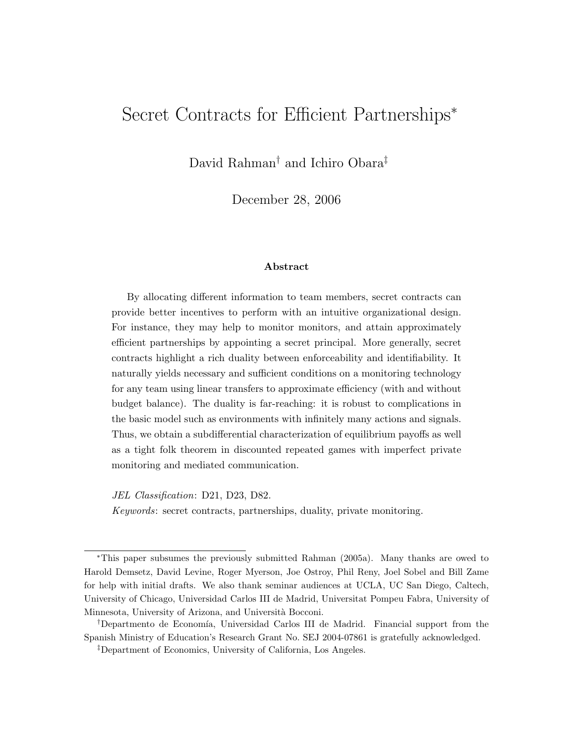# Secret Contracts for Efficient Partnerships<sup>∗</sup>

David Rahman† and Ichiro Obara‡

December 28, 2006

#### Abstract

By allocating different information to team members, secret contracts can provide better incentives to perform with an intuitive organizational design. For instance, they may help to monitor monitors, and attain approximately efficient partnerships by appointing a secret principal. More generally, secret contracts highlight a rich duality between enforceability and identifiability. It naturally yields necessary and sufficient conditions on a monitoring technology for any team using linear transfers to approximate efficiency (with and without budget balance). The duality is far-reaching: it is robust to complications in the basic model such as environments with infinitely many actions and signals. Thus, we obtain a subdifferential characterization of equilibrium payoffs as well as a tight folk theorem in discounted repeated games with imperfect private monitoring and mediated communication.

JEL Classification: D21, D23, D82.

Keywords: secret contracts, partnerships, duality, private monitoring.

<sup>∗</sup>This paper subsumes the previously submitted [Rahman](#page-38-0) [\(2005a\)](#page-38-0). Many thanks are owed to Harold Demsetz, David Levine, Roger Myerson, Joe Ostroy, Phil Reny, Joel Sobel and Bill Zame for help with initial drafts. We also thank seminar audiences at UCLA, UC San Diego, Caltech, University of Chicago, Universidad Carlos III de Madrid, Universitat Pompeu Fabra, University of Minnesota, University of Arizona, and Università Bocconi.

<sup>&</sup>lt;sup>†</sup>Departmento de Economía, Universidad Carlos III de Madrid. Financial support from the Spanish Ministry of Education's Research Grant No. SEJ 2004-07861 is gratefully acknowledged.

<sup>‡</sup>Department of Economics, University of California, Los Angeles.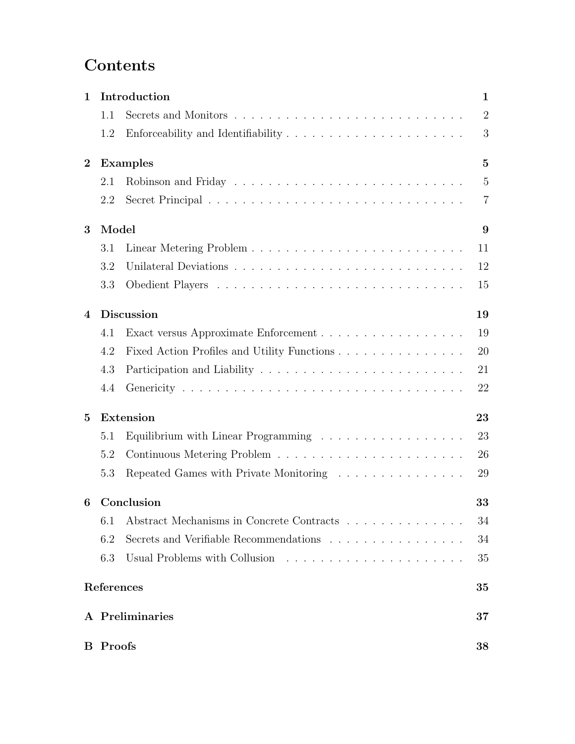# Contents

| 1                | Introduction      |                                                                                      |                |  |  |  |  |
|------------------|-------------------|--------------------------------------------------------------------------------------|----------------|--|--|--|--|
|                  | 1.1               |                                                                                      | $\overline{2}$ |  |  |  |  |
|                  | 1.2               | Enforceability and Identifiability $\dots \dots \dots \dots \dots \dots \dots \dots$ | 3              |  |  |  |  |
| $\boldsymbol{2}$ | <b>Examples</b>   |                                                                                      |                |  |  |  |  |
|                  | 2.1               |                                                                                      | $\overline{5}$ |  |  |  |  |
|                  | 2.2               |                                                                                      | $\overline{7}$ |  |  |  |  |
| 3                |                   | Model                                                                                |                |  |  |  |  |
|                  | 3.1               |                                                                                      | 11             |  |  |  |  |
|                  | 3.2               |                                                                                      | 12             |  |  |  |  |
|                  | 3.3               |                                                                                      | 15             |  |  |  |  |
| 4                | <b>Discussion</b> |                                                                                      |                |  |  |  |  |
|                  | 4.1               | Exact versus Approximate Enforcement                                                 | 19             |  |  |  |  |
|                  | 4.2               | Fixed Action Profiles and Utility Functions                                          | 20             |  |  |  |  |
|                  | 4.3               |                                                                                      | 21             |  |  |  |  |
|                  | 4.4               |                                                                                      | 22             |  |  |  |  |
| 5                |                   | Extension<br>23                                                                      |                |  |  |  |  |
|                  | 5.1               | Equilibrium with Linear Programming $\ldots \ldots \ldots \ldots \ldots$             | 23             |  |  |  |  |
|                  | 5.2               |                                                                                      | 26             |  |  |  |  |
|                  | 5.3               | Repeated Games with Private Monitoring                                               | 29             |  |  |  |  |
| 6                | Conclusion<br>33  |                                                                                      |                |  |  |  |  |
|                  | 6.1               | Abstract Mechanisms in Concrete Contracts                                            | 34             |  |  |  |  |
|                  | 6.2               | Secrets and Verifiable Recommendations                                               | 34             |  |  |  |  |
|                  | 6.3               | Usual Problems with Collusion                                                        | 35             |  |  |  |  |
|                  | References        |                                                                                      | 35             |  |  |  |  |
|                  |                   | A Preliminaries                                                                      | 37             |  |  |  |  |
|                  | <b>B</b> Proofs   |                                                                                      | 38             |  |  |  |  |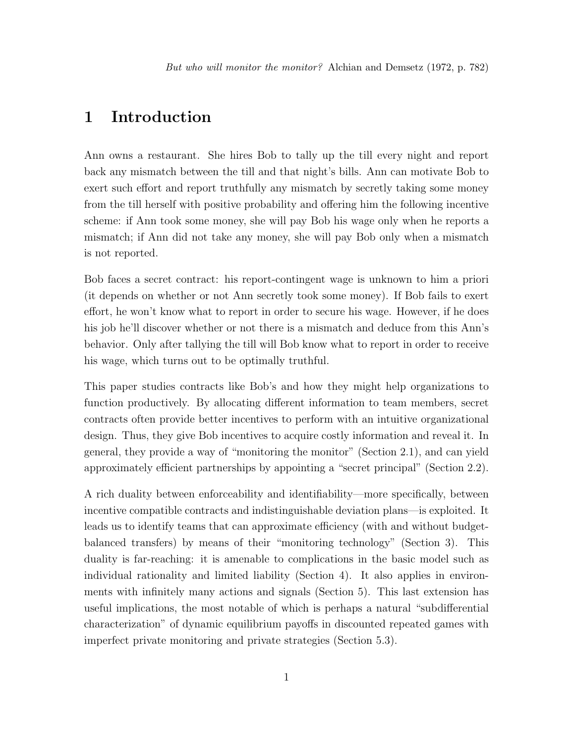# <span id="page-2-0"></span>1 Introduction

Ann owns a restaurant. She hires Bob to tally up the till every night and report back any mismatch between the till and that night's bills. Ann can motivate Bob to exert such effort and report truthfully any mismatch by secretly taking some money from the till herself with positive probability and offering him the following incentive scheme: if Ann took some money, she will pay Bob his wage only when he reports a mismatch; if Ann did not take any money, she will pay Bob only when a mismatch is not reported.

Bob faces a secret contract: his report-contingent wage is unknown to him a priori (it depends on whether or not Ann secretly took some money). If Bob fails to exert effort, he won't know what to report in order to secure his wage. However, if he does his job he'll discover whether or not there is a mismatch and deduce from this Ann's behavior. Only after tallying the till will Bob know what to report in order to receive his wage, which turns out to be optimally truthful.

This paper studies contracts like Bob's and how they might help organizations to function productively. By allocating different information to team members, secret contracts often provide better incentives to perform with an intuitive organizational design. Thus, they give Bob incentives to acquire costly information and reveal it. In general, they provide a way of "monitoring the monitor" [\(Section 2.1\)](#page-6-1), and can yield approximately efficient partnerships by appointing a "secret principal" [\(Section 2.2\)](#page-8-0).

A rich duality between enforceability and identifiability—more specifically, between incentive compatible contracts and indistinguishable deviation plans—is exploited. It leads us to identify teams that can approximate efficiency (with and without budgetbalanced transfers) by means of their "monitoring technology" [\(Section 3\)](#page-10-0). This duality is far-reaching: it is amenable to complications in the basic model such as individual rationality and limited liability [\(Section 4\)](#page-20-0). It also applies in environments with infinitely many actions and signals [\(Section 5\)](#page-24-0). This last extension has useful implications, the most notable of which is perhaps a natural "subdifferential characterization" of dynamic equilibrium payoffs in discounted repeated games with imperfect private monitoring and private strategies [\(Section 5.3\)](#page-30-0).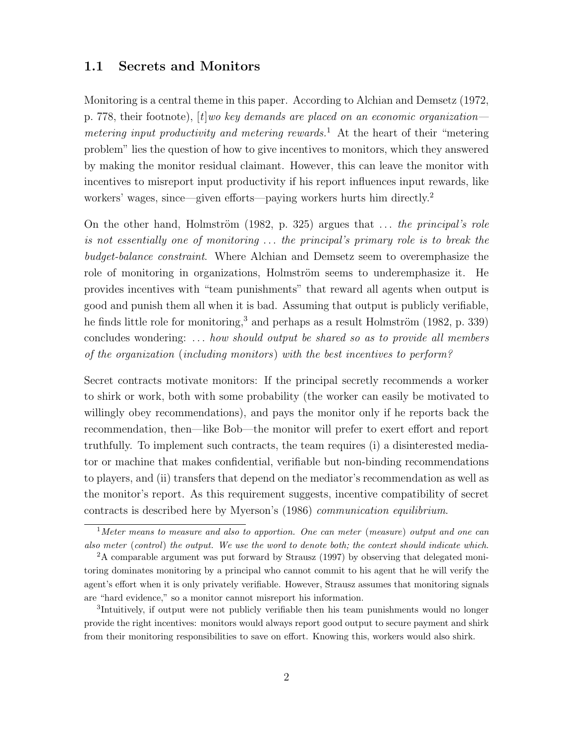### <span id="page-3-0"></span>1.1 Secrets and Monitors

Monitoring is a central theme in this paper. According to [Alchian and Demsetz](#page-36-1) [\(1972,](#page-36-1) p. 778, their footnote),  $[t]$ *wo key demands are placed on an economic organization—* metering input productivity and metering rewards.<sup>[1](#page-3-1)</sup> At the heart of their "metering" problem" lies the question of how to give incentives to monitors, which they answered by making the monitor residual claimant. However, this can leave the monitor with incentives to misreport input productivity if his report influences input rewards, like workers' wages, since—given efforts—paying workers hurts him directly.<sup>[2](#page-3-2)</sup>

On the other hand, Holmström [\(1982,](#page-37-0) p. 325) argues that  $\dots$  the principal's role is not essentially one of monitoring . . . the principal's primary role is to break the budget-balance constraint. Where [Alchian and Demsetz](#page-36-1) seem to overemphasize the role of monitoring in organizations, Holmström seems to underemphasize it. He provides incentives with "team punishments" that reward all agents when output is good and punish them all when it is bad. Assuming that output is publicly verifiable, he finds little role for monitoring,<sup>[3](#page-3-3)</sup> and perhaps as a result Holmström [\(1982,](#page-37-0) p. 339) concludes wondering:  $\ldots$  how should output be shared so as to provide all members of the organization (including monitors) with the best incentives to perform?

Secret contracts motivate monitors: If the principal secretly recommends a worker to shirk or work, both with some probability (the worker can easily be motivated to willingly obey recommendations), and pays the monitor only if he reports back the recommendation, then—like Bob—the monitor will prefer to exert effort and report truthfully. To implement such contracts, the team requires (i) a disinterested mediator or machine that makes confidential, verifiable but non-binding recommendations to players, and (ii) transfers that depend on the mediator's recommendation as well as the monitor's report. As this requirement suggests, incentive compatibility of secret contracts is described here by [Myerson'](#page-37-1)s [\(1986\)](#page-37-1) communication equilibrium.

<span id="page-3-1"></span> $1$ Meter means to measure and also to apportion. One can meter (measure) output and one can also meter (control) the output. We use the word to denote both; the context should indicate which.

<span id="page-3-2"></span><sup>2</sup>A comparable argument was put forward by [Strausz](#page-38-2) [\(1997\)](#page-38-2) by observing that delegated monitoring dominates monitoring by a principal who cannot commit to his agent that he will verify the agent's effort when it is only privately verifiable. However, [Strausz](#page-38-2) assumes that monitoring signals are "hard evidence," so a monitor cannot misreport his information.

<span id="page-3-3"></span><sup>3</sup> Intuitively, if output were not publicly verifiable then his team punishments would no longer provide the right incentives: monitors would always report good output to secure payment and shirk from their monitoring responsibilities to save on effort. Knowing this, workers would also shirk.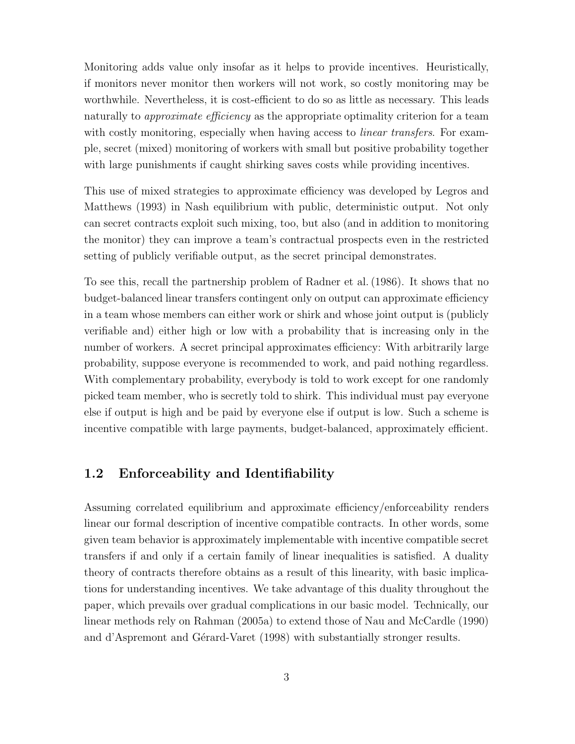Monitoring adds value only insofar as it helps to provide incentives. Heuristically, if monitors never monitor then workers will not work, so costly monitoring may be worthwhile. Nevertheless, it is cost-efficient to do so as little as necessary. This leads naturally to *approximate efficiency* as the appropriate optimality criterion for a team with costly monitoring, especially when having access to *linear transfers*. For example, secret (mixed) monitoring of workers with small but positive probability together with large punishments if caught shirking saves costs while providing incentives.

This use of mixed strategies to approximate efficiency was developed by [Legros and](#page-37-2) [Matthews](#page-37-2) [\(1993\)](#page-37-2) in Nash equilibrium with public, deterministic output. Not only can secret contracts exploit such mixing, too, but also (and in addition to monitoring the monitor) they can improve a team's contractual prospects even in the restricted setting of publicly verifiable output, as the secret principal demonstrates.

To see this, recall the partnership problem of [Radner et al.\(1986\)](#page-38-3). It shows that no budget-balanced linear transfers contingent only on output can approximate efficiency in a team whose members can either work or shirk and whose joint output is (publicly verifiable and) either high or low with a probability that is increasing only in the number of workers. A secret principal approximates efficiency: With arbitrarily large probability, suppose everyone is recommended to work, and paid nothing regardless. With complementary probability, everybody is told to work except for one randomly picked team member, who is secretly told to shirk. This individual must pay everyone else if output is high and be paid by everyone else if output is low. Such a scheme is incentive compatible with large payments, budget-balanced, approximately efficient.

### <span id="page-4-0"></span>1.2 Enforceability and Identifiability

Assuming correlated equilibrium and approximate efficiency/enforceability renders linear our formal description of incentive compatible contracts. In other words, some given team behavior is approximately implementable with incentive compatible secret transfers if and only if a certain family of linear inequalities is satisfied. A duality theory of contracts therefore obtains as a result of this linearity, with basic implications for understanding incentives. We take advantage of this duality throughout the paper, which prevails over gradual complications in our basic model. Technically, our linear methods rely on [Rahman](#page-38-0) [\(2005a\)](#page-38-0) to extend those of [Nau and McCardle](#page-38-4) [\(1990\)](#page-38-4) and d'Aspremont and Gérard-Varet [\(1998\)](#page-37-3) with substantially stronger results.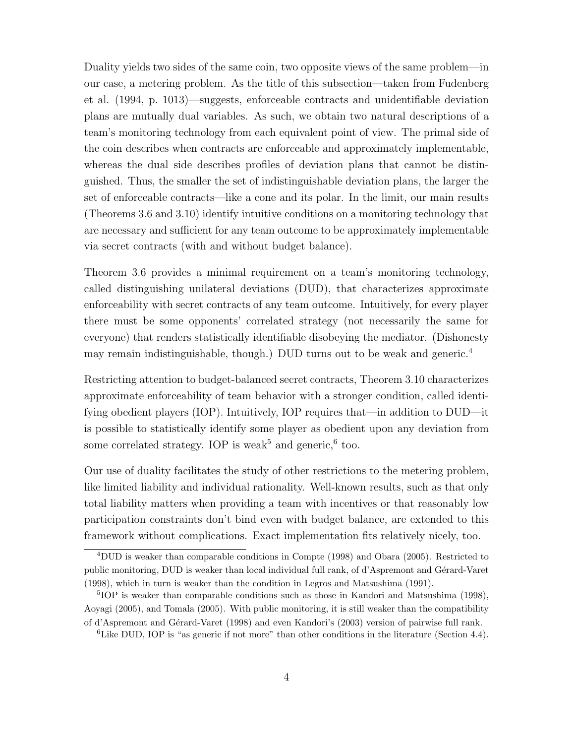Duality yields two sides of the same coin, two opposite views of the same problem—in our case, a metering problem. As the title of this subsection—taken from [Fudenberg](#page-37-4) [et al.](#page-37-4) [\(1994,](#page-37-4) p. 1013)—suggests, enforceable contracts and unidentifiable deviation plans are mutually dual variables. As such, we obtain two natural descriptions of a team's monitoring technology from each equivalent point of view. The primal side of the coin describes when contracts are enforceable and approximately implementable, whereas the dual side describes profiles of deviation plans that cannot be distinguished. Thus, the smaller the set of indistinguishable deviation plans, the larger the set of enforceable contracts—like a cone and its polar. In the limit, our main results [\(Theorems 3.6](#page-15-0) and [3.10\)](#page-18-0) identify intuitive conditions on a monitoring technology that are necessary and sufficient for any team outcome to be approximately implementable via secret contracts (with and without budget balance).

[Theorem 3.6](#page-15-0) provides a minimal requirement on a team's monitoring technology, called distinguishing unilateral deviations (DUD), that characterizes approximate enforceability with secret contracts of any team outcome. Intuitively, for every player there must be some opponents' correlated strategy (not necessarily the same for everyone) that renders statistically identifiable disobeying the mediator. (Dishonesty may remain indistinguishable, though.) DUD turns out to be weak and generic.<sup>[4](#page-5-0)</sup>

Restricting attention to budget-balanced secret contracts, [Theorem 3.10](#page-18-0) characterizes approximate enforceability of team behavior with a stronger condition, called identifying obedient players (IOP). Intuitively, IOP requires that—in addition to DUD—it is possible to statistically identify some player as obedient upon any deviation from some correlated strategy. IOP is weak<sup>[5](#page-5-1)</sup> and generic,<sup>[6](#page-5-2)</sup> too.

Our use of duality facilitates the study of other restrictions to the metering problem, like limited liability and individual rationality. Well-known results, such as that only total liability matters when providing a team with incentives or that reasonably low participation constraints don't bind even with budget balance, are extended to this framework without complications. Exact implementation fits relatively nicely, too.

<span id="page-5-0"></span><sup>4</sup>DUD is weaker than comparable conditions in [Compte](#page-37-5) [\(1998\)](#page-37-5) and [Obara](#page-38-5) [\(2005\)](#page-38-5). Restricted to public monitoring, DUD is weaker than local individual full rank, of d'Aspremont and Gérard-Varet [\(1998\)](#page-37-3), which in turn is weaker than the condition in [Legros and Matsushima](#page-37-6) [\(1991\)](#page-37-6).

<span id="page-5-1"></span><sup>5</sup> IOP is weaker than comparable conditions such as those in [Kandori and Matsushima](#page-37-7) [\(1998\)](#page-37-7), [Aoyagi](#page-36-2) [\(2005\)](#page-36-2), and [Tomala](#page-38-6) [\(2005\)](#page-38-6). With public monitoring, it is still weaker than the compatibility of d'Aspremont and Gérard-Varet [\(1998\)](#page-37-3) and even [Kandori'](#page-37-8)s [\(2003\)](#page-37-8) version of pairwise full rank.

<span id="page-5-2"></span><sup>&</sup>lt;sup>6</sup>Like DUD, IOP is "as generic if not more" than other conditions in the literature [\(Section 4.4\)](#page-23-0).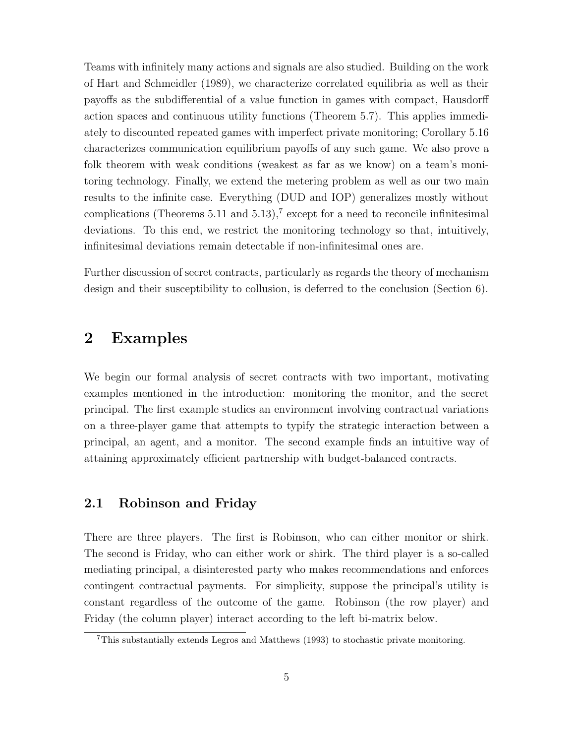Teams with infinitely many actions and signals are also studied. Building on the work of [Hart and Schmeidler](#page-37-9) [\(1989\)](#page-37-9), we characterize correlated equilibria as well as their payoffs as the subdifferential of a value function in games with compact, Hausdorff action spaces and continuous utility functions [\(Theorem 5.7\)](#page-26-0). This applies immediately to discounted repeated games with imperfect private monitoring; [Corollary 5.16](#page-31-0) characterizes communication equilibrium payoffs of any such game. We also prove a folk theorem with weak conditions (weakest as far as we know) on a team's monitoring technology. Finally, we extend the metering problem as well as our two main results to the infinite case. Everything (DUD and IOP) generalizes mostly without complications (Theorems  $5.11$  and  $5.13$ ),<sup>[7](#page-6-2)</sup> except for a need to reconcile infinitesimal deviations. To this end, we restrict the monitoring technology so that, intuitively, infinitesimal deviations remain detectable if non-infinitesimal ones are.

Further discussion of secret contracts, particularly as regards the theory of mechanism design and their susceptibility to collusion, is deferred to the conclusion [\(Section 6\)](#page-34-0).

# <span id="page-6-0"></span>2 Examples

We begin our formal analysis of secret contracts with two important, motivating examples mentioned in the introduction: monitoring the monitor, and the secret principal. The first example studies an environment involving contractual variations on a three-player game that attempts to typify the strategic interaction between a principal, an agent, and a monitor. The second example finds an intuitive way of attaining approximately efficient partnership with budget-balanced contracts.

### <span id="page-6-1"></span>2.1 Robinson and Friday

There are three players. The first is Robinson, who can either monitor or shirk. The second is Friday, who can either work or shirk. The third player is a so-called mediating principal, a disinterested party who makes recommendations and enforces contingent contractual payments. For simplicity, suppose the principal's utility is constant regardless of the outcome of the game. Robinson (the row player) and Friday (the column player) interact according to the left bi-matrix below.

<span id="page-6-2"></span><sup>7</sup>This substantially extends [Legros and Matthews](#page-37-2) [\(1993\)](#page-37-2) to stochastic private monitoring.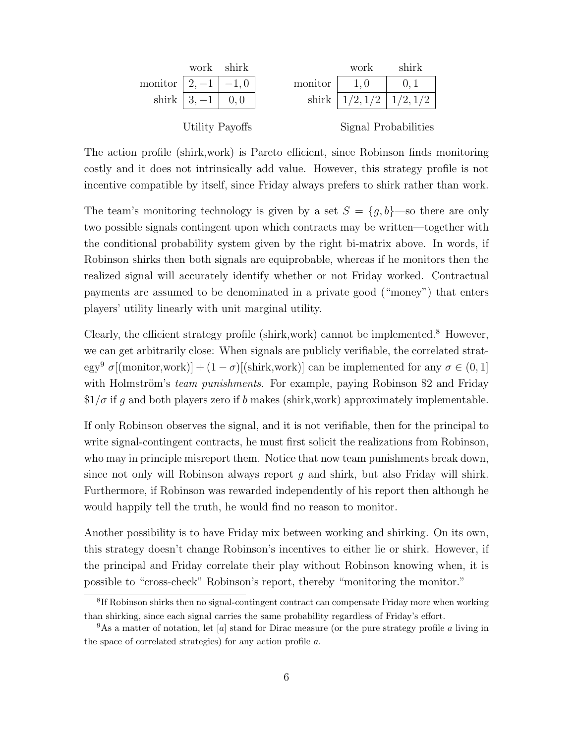|                         |                     | work shirk |         | work                     | shirk                |
|-------------------------|---------------------|------------|---------|--------------------------|----------------------|
| monitor $ 2, -1  -1, 0$ |                     |            | monitor | 1,0                      |                      |
|                         | shirk $ 3, -1 $ 0,0 |            |         | shirk $ 1/2,1/2 1/2,1/2$ |                      |
| Utility Payoffs         |                     |            |         |                          | Signal Probabilities |

The action profile (shirk,work) is Pareto efficient, since Robinson finds monitoring costly and it does not intrinsically add value. However, this strategy profile is not incentive compatible by itself, since Friday always prefers to shirk rather than work.

The team's monitoring technology is given by a set  $S = \{g, b\}$ —so there are only two possible signals contingent upon which contracts may be written—together with the conditional probability system given by the right bi-matrix above. In words, if Robinson shirks then both signals are equiprobable, whereas if he monitors then the realized signal will accurately identify whether or not Friday worked. Contractual payments are assumed to be denominated in a private good ("money") that enters players' utility linearly with unit marginal utility.

Clearly, the efficient strategy profile (shirk, work) cannot be implemented.<sup>[8](#page-7-0)</sup> However, we can get arbitrarily close: When signals are publicly verifiable, the correlated strat-egy<sup>[9](#page-7-1)</sup>  $\sigma$ [(monitor,work)] +  $(1 - \sigma)$ [(shirk,work)] can be implemented for any  $\sigma \in (0, 1]$ with Holmström's *team punishments*. For example, paying Robinson \$2 and Friday  $1/\sigma$  if q and both players zero if b makes (shirk, work) approximately implementable.

If only Robinson observes the signal, and it is not verifiable, then for the principal to write signal-contingent contracts, he must first solicit the realizations from Robinson, who may in principle misreport them. Notice that now team punishments break down, since not only will Robinson always report  $g$  and shirk, but also Friday will shirk. Furthermore, if Robinson was rewarded independently of his report then although he would happily tell the truth, he would find no reason to monitor.

Another possibility is to have Friday mix between working and shirking. On its own, this strategy doesn't change Robinson's incentives to either lie or shirk. However, if the principal and Friday correlate their play without Robinson knowing when, it is possible to "cross-check" Robinson's report, thereby "monitoring the monitor."

<span id="page-7-0"></span><sup>&</sup>lt;sup>8</sup>If Robinson shirks then no signal-contingent contract can compensate Friday more when working than shirking, since each signal carries the same probability regardless of Friday's effort.

<span id="page-7-1"></span> $9\text{As a matter of notation, let } [a]$  stand for Dirac measure (or the pure strategy profile a living in the space of correlated strategies) for any action profile a.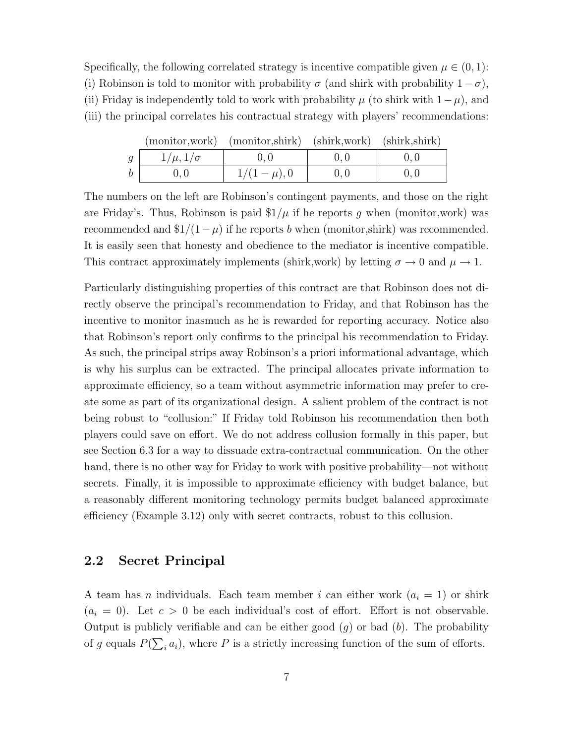Specifically, the following correlated strategy is incentive compatible given  $\mu \in (0,1)$ : (i) Robinson is told to monitor with probability  $\sigma$  (and shirk with probability  $1-\sigma$ ), (ii) Friday is independently told to work with probability  $\mu$  (to shirk with  $1-\mu$ ), and (iii) the principal correlates his contractual strategy with players' recommendations:

|   |                   | (monitor, work) (monitor, shirk) (shirk, work) (shirk, shirk) |  |
|---|-------------------|---------------------------------------------------------------|--|
| g | $1/\mu, 1/\sigma$ |                                                               |  |
|   |                   | $1/(1-\mu)$ , 0                                               |  |

(monitor,work) (monitor,shirk) (shirk,work) (shirk,shirk)

The numbers on the left are Robinson's contingent payments, and those on the right are Friday's. Thus, Robinson is paid  $\frac{1}{\mu}$  if he reports q when (monitor, work) was recommended and  $\frac{1}{1-\mu}$  if he reports b when (monitor,shirk) was recommended. It is easily seen that honesty and obedience to the mediator is incentive compatible. This contract approximately implements (shirk,work) by letting  $\sigma \to 0$  and  $\mu \to 1$ .

Particularly distinguishing properties of this contract are that Robinson does not directly observe the principal's recommendation to Friday, and that Robinson has the incentive to monitor inasmuch as he is rewarded for reporting accuracy. Notice also that Robinson's report only confirms to the principal his recommendation to Friday. As such, the principal strips away Robinson's a priori informational advantage, which is why his surplus can be extracted. The principal allocates private information to approximate efficiency, so a team without asymmetric information may prefer to create some as part of its organizational design. A salient problem of the contract is not being robust to "collusion:" If Friday told Robinson his recommendation then both players could save on effort. We do not address collusion formally in this paper, but see [Section 6.3](#page-36-0) for a way to dissuade extra-contractual communication. On the other hand, there is no other way for Friday to work with positive probability—not without secrets. Finally, it is impossible to approximate efficiency with budget balance, but a reasonably different monitoring technology permits budget balanced approximate efficiency [\(Example 3.12\)](#page-18-1) only with secret contracts, robust to this collusion.

#### <span id="page-8-0"></span>2.2 Secret Principal

A team has *n* individuals. Each team member *i* can either work  $(a_i = 1)$  or shirk  $(a_i = 0)$ . Let  $c > 0$  be each individual's cost of effort. Effort is not observable. Output is publicly verifiable and can be either good  $(g)$  or bad  $(b)$ . The probability of g equals  $P(\sum_i a_i)$ , where P is a strictly increasing function of the sum of efforts.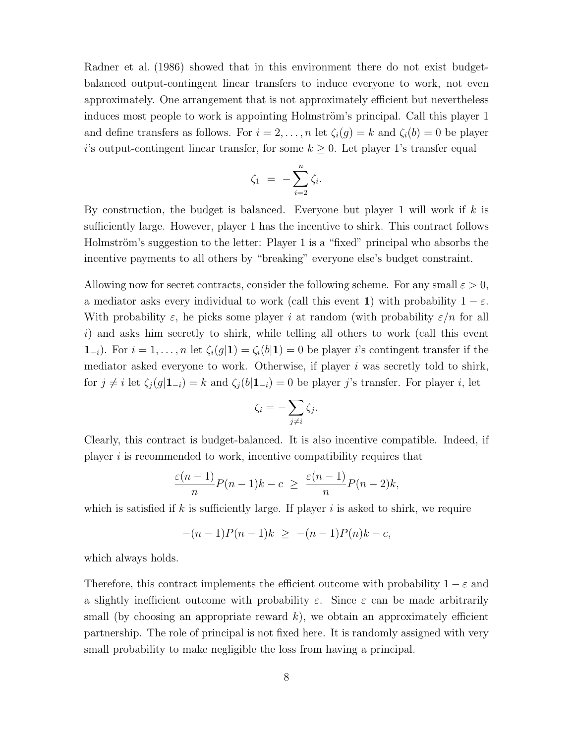[Radner et al.](#page-38-3) [\(1986\)](#page-38-3) showed that in this environment there do not exist budgetbalanced output-contingent linear transfers to induce everyone to work, not even approximately. One arrangement that is not approximately efficient but nevertheless induces most people to work is appointing Holmström's principal. Call this player 1 and define transfers as follows. For  $i = 2, \ldots, n$  let  $\zeta_i(g) = k$  and  $\zeta_i(b) = 0$  be player i's output-contingent linear transfer, for some  $k \geq 0$ . Let player 1's transfer equal

$$
\zeta_1 = -\sum_{i=2}^n \zeta_i.
$$

By construction, the budget is balanced. Everyone but player 1 will work if  $k$  is sufficiently large. However, player 1 has the incentive to shirk. This contract follows Holmström's suggestion to the letter: Player 1 is a "fixed" principal who absorbs the incentive payments to all others by "breaking" everyone else's budget constraint.

Allowing now for secret contracts, consider the following scheme. For any small  $\varepsilon > 0$ , a mediator asks every individual to work (call this event 1) with probability  $1 - \varepsilon$ . With probability  $\varepsilon$ , he picks some player i at random (with probability  $\varepsilon/n$  for all i) and asks him secretly to shirk, while telling all others to work (call this event  $1_{-i}$ ). For  $i = 1, \ldots, n$  let  $\zeta_i(g|1) = \zeta_i(b|1) = 0$  be player i's contingent transfer if the mediator asked everyone to work. Otherwise, if player  $i$  was secretly told to shirk, for  $j \neq i$  let  $\zeta_i(g|1_{-i}) = k$  and  $\zeta_i(b|1_{-i}) = 0$  be player j's transfer. For player i, let

$$
\zeta_i = -\sum_{j \neq i} \zeta_j.
$$

Clearly, this contract is budget-balanced. It is also incentive compatible. Indeed, if player  $i$  is recommended to work, incentive compatibility requires that

$$
\frac{\varepsilon(n-1)}{n}P(n-1)k-c \geq \frac{\varepsilon(n-1)}{n}P(n-2)k,
$$

which is satisfied if k is sufficiently large. If player i is asked to shirk, we require

$$
-(n-1)P(n-1)k \ge -(n-1)P(n)k - c,
$$

which always holds.

Therefore, this contract implements the efficient outcome with probability  $1 - \varepsilon$  and a slightly inefficient outcome with probability  $\varepsilon$ . Since  $\varepsilon$  can be made arbitrarily small (by choosing an appropriate reward  $k$ ), we obtain an approximately efficient partnership. The role of principal is not fixed here. It is randomly assigned with very small probability to make negligible the loss from having a principal.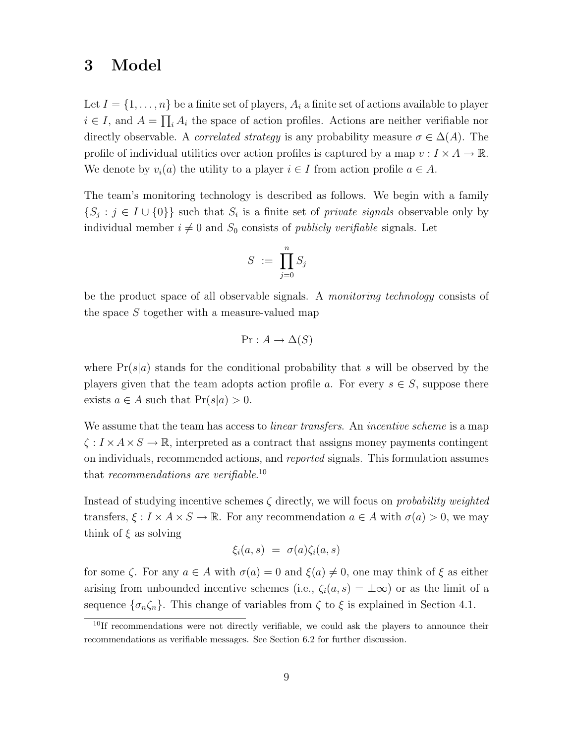# <span id="page-10-0"></span>3 Model

Let  $I = \{1, \ldots, n\}$  be a finite set of players,  $A_i$  a finite set of actions available to player  $i \in I$ , and  $A = \prod_i A_i$  the space of action profiles. Actions are neither verifiable nor directly observable. A *correlated strategy* is any probability measure  $\sigma \in \Delta(A)$ . The profile of individual utilities over action profiles is captured by a map  $v: I \times A \to \mathbb{R}$ . We denote by  $v_i(a)$  the utility to a player  $i \in I$  from action profile  $a \in A$ .

The team's monitoring technology is described as follows. We begin with a family  $\{S_j : j \in I \cup \{0\}\}\$  such that  $S_i$  is a finite set of *private signals* observable only by individual member  $i \neq 0$  and  $S_0$  consists of *publicly verifiable* signals. Let

$$
S\ :=\ \prod_{j=0}^n S_j
$$

be the product space of all observable signals. A monitoring technology consists of the space S together with a measure-valued map

$$
Pr: A \to \Delta(S)
$$

where  $Pr(s|a)$  stands for the conditional probability that s will be observed by the players given that the team adopts action profile a. For every  $s \in S$ , suppose there exists  $a \in A$  such that  $Pr(s|a) > 0$ .

We assume that the team has access to *linear transfers*. An *incentive scheme* is a map  $\zeta : I \times A \times S \to \mathbb{R}$ , interpreted as a contract that assigns money payments contingent on individuals, recommended actions, and reported signals. This formulation assumes that recommendations are verifiable.<sup>[10](#page-10-1)</sup>

Instead of studying incentive schemes  $\zeta$  directly, we will focus on *probability weighted* transfers,  $\xi : I \times A \times S \to \mathbb{R}$ . For any recommendation  $a \in A$  with  $\sigma(a) > 0$ , we may think of  $\xi$  as solving

$$
\xi_i(a,s) = \sigma(a)\zeta_i(a,s)
$$

for some  $\zeta$ . For any  $a \in A$  with  $\sigma(a) = 0$  and  $\xi(a) \neq 0$ , one may think of  $\xi$  as either arising from unbounded incentive schemes (i.e.,  $\zeta_i(a, s) = \pm \infty$ ) or as the limit of a sequence  $\{\sigma_n\zeta_n\}$ . This change of variables from  $\zeta$  to  $\xi$  is explained in [Section 4.1.](#page-20-1)

<span id="page-10-1"></span> $10$ If recommendations were not directly verifiable, we could ask the players to announce their recommendations as verifiable messages. See [Section 6.2](#page-35-1) for further discussion.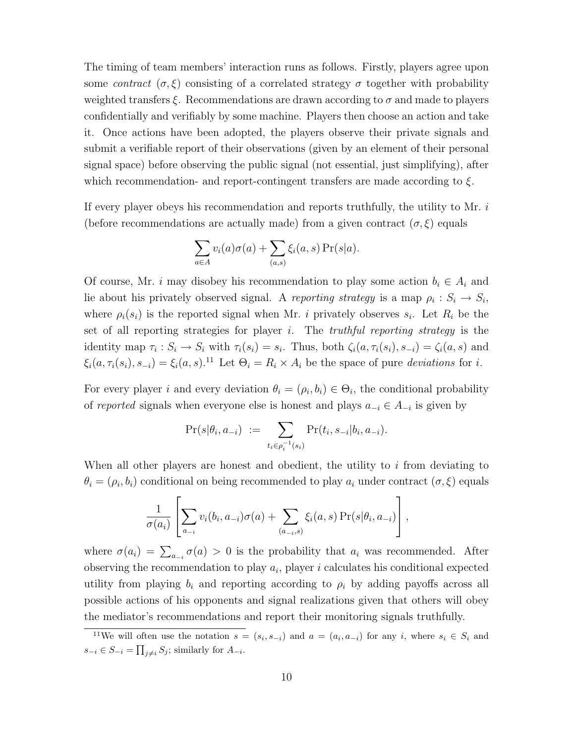The timing of team members' interaction runs as follows. Firstly, players agree upon some contract  $(\sigma, \xi)$  consisting of a correlated strategy  $\sigma$  together with probability weighted transfers  $\xi$ . Recommendations are drawn according to  $\sigma$  and made to players confidentially and verifiably by some machine. Players then choose an action and take it. Once actions have been adopted, the players observe their private signals and submit a verifiable report of their observations (given by an element of their personal signal space) before observing the public signal (not essential, just simplifying), after which recommendation- and report-contingent transfers are made according to  $\xi$ .

If every player obeys his recommendation and reports truthfully, the utility to Mr. i (before recommendations are actually made) from a given contract  $(\sigma, \xi)$  equals

$$
\sum_{a \in A} v_i(a)\sigma(a) + \sum_{(a,s)} \xi_i(a,s) \Pr(s|a).
$$

Of course, Mr. *i* may disobey his recommendation to play some action  $b_i \in A_i$  and lie about his privately observed signal. A reporting strategy is a map  $\rho_i : S_i \to S_i$ , where  $\rho_i(s_i)$  is the reported signal when Mr. *i* privately observes  $s_i$ . Let  $R_i$  be the set of all reporting strategies for player i. The *truthful reporting strategy* is the identity map  $\tau_i : S_i \to S_i$  with  $\tau_i(s_i) = s_i$ . Thus, both  $\zeta_i(a, \tau_i(s_i), s_{-i}) = \zeta_i(a, s)$  and  $\xi_i(a, \tau_i(s_i), s_{-i}) = \xi_i(a, s)$ .<sup>[11](#page-11-0)</sup> Let  $\Theta_i = R_i \times A_i$  be the space of pure *deviations* for *i*.

For every player i and every deviation  $\theta_i = (\rho_i, b_i) \in \Theta_i$ , the conditional probability of reported signals when everyone else is honest and plays  $a_{-i} \in A_{-i}$  is given by

$$
\Pr(s|\theta_i, a_{-i}) := \sum_{t_i \in \rho_i^{-1}(s_i)} \Pr(t_i, s_{-i}|b_i, a_{-i}).
$$

When all other players are honest and obedient, the utility to  $i$  from deviating to  $\theta_i = (\rho_i, b_i)$  conditional on being recommended to play  $a_i$  under contract  $(\sigma, \xi)$  equals

$$
\frac{1}{\sigma(a_i)} \left[ \sum_{a_{-i}} v_i(b_i, a_{-i}) \sigma(a) + \sum_{(a_{-i}, s)} \xi_i(a, s) \Pr(s | \theta_i, a_{-i}) \right],
$$

where  $\sigma(a_i) = \sum_{a_{-i}} \sigma(a) > 0$  is the probability that  $a_i$  was recommended. After observing the recommendation to play  $a_i$ , player i calculates his conditional expected utility from playing  $b_i$  and reporting according to  $\rho_i$  by adding payoffs across all possible actions of his opponents and signal realizations given that others will obey the mediator's recommendations and report their monitoring signals truthfully.

<span id="page-11-0"></span><sup>&</sup>lt;sup>11</sup>We will often use the notation  $s = (s_i, s_{-i})$  and  $a = (a_i, a_{-i})$  for any i, where  $s_i \in S_i$  and  $s_{-i} \in S_{-i} = \prod_{j \neq i} S_j$ ; similarly for  $A_{-i}$ .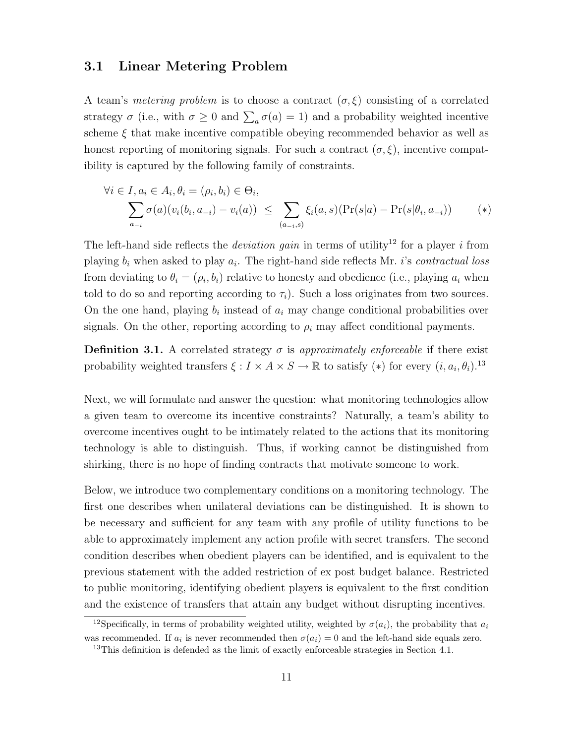#### <span id="page-12-0"></span>3.1 Linear Metering Problem

A team's *metering problem* is to choose a contract  $(\sigma, \xi)$  consisting of a correlated strategy  $\sigma$  (i.e., with  $\sigma \geq 0$  and  $\sum_{a} \sigma(a) = 1$ ) and a probability weighted incentive scheme  $\xi$  that make incentive compatible obeying recommended behavior as well as honest reporting of monitoring signals. For such a contract  $(\sigma, \xi)$ , incentive compatibility is captured by the following family of constraints.

<span id="page-12-3"></span>
$$
\forall i \in I, a_i \in A_i, \theta_i = (\rho_i, b_i) \in \Theta_i,
$$
  

$$
\sum_{a_{-i}} \sigma(a)(v_i(b_i, a_{-i}) - v_i(a)) \leq \sum_{(a_{-i}, s)} \xi_i(a, s)(\Pr(s|a) - \Pr(s|\theta_i, a_{-i})) \qquad (*)
$$

The left-hand side reflects the *deviation gain* in terms of utility<sup>[12](#page-12-1)</sup> for a player *i* from playing  $b_i$  when asked to play  $a_i$ . The right-hand side reflects Mr. *i*'s *contractual loss* from deviating to  $\theta_i = (\rho_i, b_i)$  relative to honesty and obedience (i.e., playing  $a_i$  when told to do so and reporting according to  $\tau_i$ ). Such a loss originates from two sources. On the one hand, playing  $b_i$  instead of  $a_i$  may change conditional probabilities over signals. On the other, reporting according to  $\rho_i$  may affect conditional payments.

<span id="page-12-4"></span>**Definition 3.1.** A correlated strategy  $\sigma$  is approximately enforceable if there exist probability weighted transfers  $\xi : I \times A \times S \to \mathbb{R}$  to satisfy  $(*)$  for every  $(i, a_i, \theta_i)$ .<sup>[13](#page-12-2)</sup>

Next, we will formulate and answer the question: what monitoring technologies allow a given team to overcome its incentive constraints? Naturally, a team's ability to overcome incentives ought to be intimately related to the actions that its monitoring technology is able to distinguish. Thus, if working cannot be distinguished from shirking, there is no hope of finding contracts that motivate someone to work.

Below, we introduce two complementary conditions on a monitoring technology. The first one describes when unilateral deviations can be distinguished. It is shown to be necessary and sufficient for any team with any profile of utility functions to be able to approximately implement any action profile with secret transfers. The second condition describes when obedient players can be identified, and is equivalent to the previous statement with the added restriction of ex post budget balance. Restricted to public monitoring, identifying obedient players is equivalent to the first condition and the existence of transfers that attain any budget without disrupting incentives.

<span id="page-12-1"></span><sup>&</sup>lt;sup>12</sup>Specifically, in terms of probability weighted utility, weighted by  $\sigma(a_i)$ , the probability that  $a_i$ was recommended. If  $a_i$  is never recommended then  $\sigma(a_i) = 0$  and the left-hand side equals zero.

<span id="page-12-2"></span><sup>&</sup>lt;sup>13</sup>This definition is defended as the limit of exactly enforceable strategies in [Section 4.1.](#page-20-1)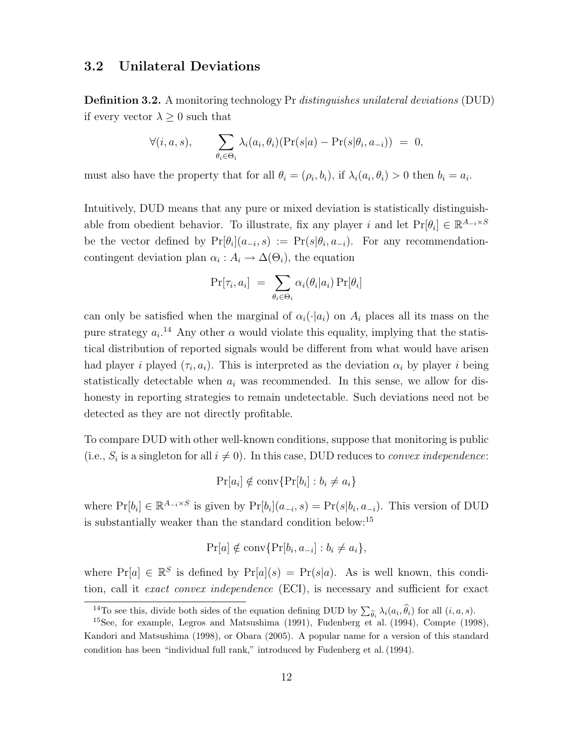#### <span id="page-13-3"></span><span id="page-13-0"></span>3.2 Unilateral Deviations

**Definition 3.2.** A monitoring technology Pr *distinguishes unilateral deviations* (DUD) if every vector  $\lambda \geq 0$  such that

$$
\forall (i, a, s), \qquad \sum_{\theta_i \in \Theta_i} \lambda_i(a_i, \theta_i)(\Pr(s|a) - \Pr(s|\theta_i, a_{-i})) = 0,
$$

must also have the property that for all  $\theta_i = (\rho_i, b_i)$ , if  $\lambda_i(a_i, \theta_i) > 0$  then  $b_i = a_i$ .

Intuitively, DUD means that any pure or mixed deviation is statistically distinguishable from obedient behavior. To illustrate, fix any player i and let  $Pr[\theta_i] \in \mathbb{R}^{A_{-i} \times S}$ be the vector defined by  $Pr[\theta_i](a_{-i}, s) := Pr(s | \theta_i, a_{-i}).$  For any recommendationcontingent deviation plan  $\alpha_i : A_i \to \Delta(\Theta_i)$ , the equation

$$
\Pr[\tau_i, a_i] = \sum_{\theta_i \in \Theta_i} \alpha_i(\theta_i | a_i) \Pr[\theta_i]
$$

can only be satisfied when the marginal of  $\alpha_i(\cdot|a_i)$  on  $A_i$  places all its mass on the pure strategy  $a_i$ <sup>[14](#page-13-1)</sup> Any other  $\alpha$  would violate this equality, implying that the statistical distribution of reported signals would be different from what would have arisen had player *i* played  $(\tau_i, a_i)$ . This is interpreted as the deviation  $\alpha_i$  by player *i* being statistically detectable when  $a_i$  was recommended. In this sense, we allow for dishonesty in reporting strategies to remain undetectable. Such deviations need not be detected as they are not directly profitable.

To compare DUD with other well-known conditions, suppose that monitoring is public (i.e.,  $S_i$  is a singleton for all  $i \neq 0$ ). In this case, DUD reduces to *convex independence*:

$$
\Pr[a_i] \notin \text{conv}\{\Pr[b_i] : b_i \neq a_i\}
$$

where  $Pr[b_i] \in \mathbb{R}^{A_{-i} \times S}$  is given by  $Pr[b_i](a_{-i}, s) = Pr(s|b_i, a_{-i})$ . This version of DUD is substantially weaker than the standard condition below:[15](#page-13-2)

$$
\Pr[a] \notin \operatorname{conv}\{\Pr[b_i, a_{-i}] : b_i \neq a_i\},\
$$

where  $Pr[a] \in \mathbb{R}^S$  is defined by  $Pr[a](s) = Pr(s|a)$ . As is well known, this condition, call it *exact convex independence* (ECI), is necessary and sufficient for exact

<span id="page-13-2"></span><span id="page-13-1"></span><sup>&</sup>lt;sup>14</sup>To see this, divide both sides of the equation defining DUD by  $\sum_{\hat{\theta}_i} \lambda_i(a_i, \hat{\theta}_i)$  for all  $(i, a, s)$ .

 $15$ See, for example, [Legros and Matsushima](#page-37-6) [\(1991\)](#page-37-6), [Fudenberg et al.](#page-37-4) [\(1994\)](#page-37-4), [Compte](#page-37-5) [\(1998\)](#page-37-5), [Kandori and Matsushima](#page-37-7) [\(1998\)](#page-37-7), or [Obara](#page-38-5) [\(2005\)](#page-38-5). A popular name for a version of this standard condition has been "individual full rank," introduced by [Fudenberg et al.\(1994\)](#page-37-4).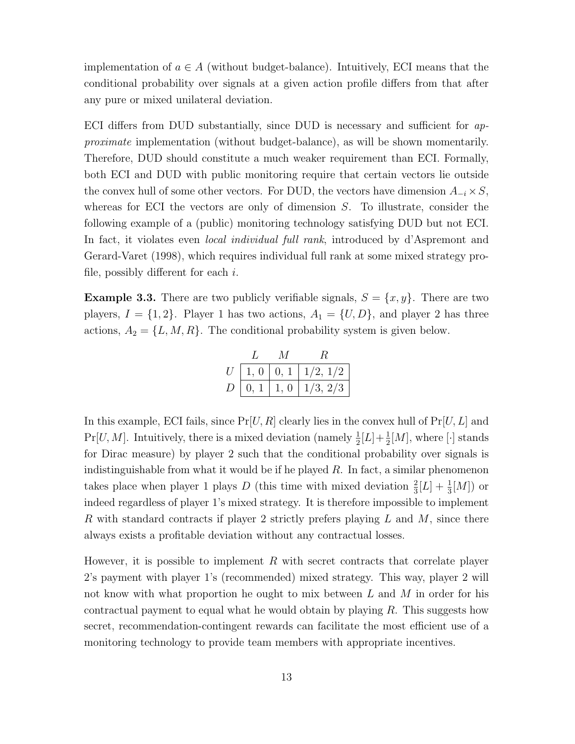implementation of  $a \in A$  (without budget-balance). Intuitively, ECI means that the conditional probability over signals at a given action profile differs from that after any pure or mixed unilateral deviation.

ECI differs from DUD substantially, since DUD is necessary and sufficient for approximate implementation (without budget-balance), as will be shown momentarily. Therefore, DUD should constitute a much weaker requirement than ECI. Formally, both ECI and DUD with public monitoring require that certain vectors lie outside the convex hull of some other vectors. For DUD, the vectors have dimension  $A_{-i} \times S$ , whereas for ECI the vectors are only of dimension S. To illustrate, consider the following example of a (public) monitoring technology satisfying DUD but not ECI. In fact, it violates even *local individual full rank*, introduced by d'Aspremont and Gerard-Varet (1998), which requires individual full rank at some mixed strategy profile, possibly different for each  $i$ .

<span id="page-14-0"></span>**Example 3.3.** There are two publicly verifiable signals,  $S = \{x, y\}$ . There are two players,  $I = \{1, 2\}$ . Player 1 has two actions,  $A_1 = \{U, D\}$ , and player 2 has three actions,  $A_2 = \{L, M, R\}$ . The conditional probability system is given below.

|                |      | M    |                                       |
|----------------|------|------|---------------------------------------|
|                |      |      | $U \mid 1, 0 \mid 0, 1 \mid 1/2, 1/2$ |
| D <sub>1</sub> | 0, 1 | 1, 0 | 1/3, 2/3                              |

In this example, ECI fails, since  $Pr[U, R]$  clearly lies in the convex hull of  $Pr[U, L]$  and  $Pr[U, M]$ . Intuitively, there is a mixed deviation (namely  $\frac{1}{2}[L] + \frac{1}{2}[M]$ , where [·] stands for Dirac measure) by player 2 such that the conditional probability over signals is indistinguishable from what it would be if he played  $R$ . In fact, a similar phenomenon takes place when player 1 plays D (this time with mixed deviation  $\frac{2}{3}[L] + \frac{1}{3}[M]$ ) or indeed regardless of player 1's mixed strategy. It is therefore impossible to implement R with standard contracts if player 2 strictly prefers playing L and M, since there always exists a profitable deviation without any contractual losses.

However, it is possible to implement R with secret contracts that correlate player 2's payment with player 1's (recommended) mixed strategy. This way, player 2 will not know with what proportion he ought to mix between L and M in order for his contractual payment to equal what he would obtain by playing  $R$ . This suggests how secret, recommendation-contingent rewards can facilitate the most efficient use of a monitoring technology to provide team members with appropriate incentives.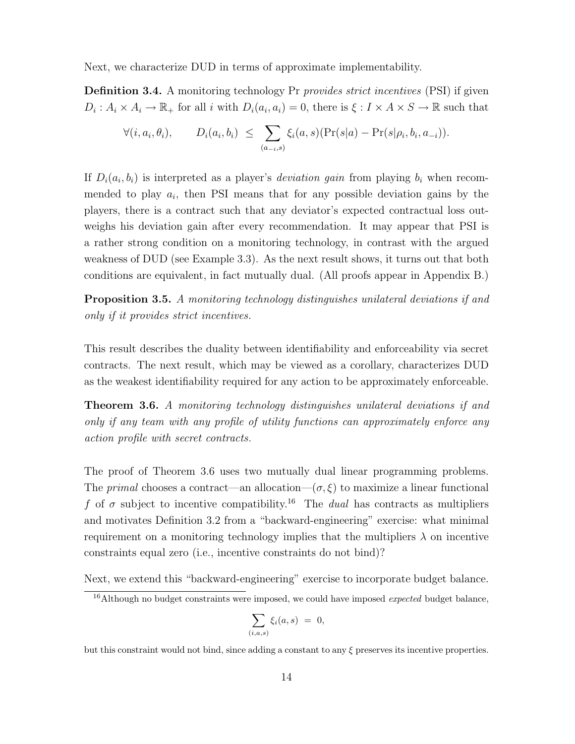Next, we characterize DUD in terms of approximate implementability.

**Definition 3.4.** A monitoring technology Pr *provides strict incentives* (PSI) if given  $D_i: A_i \times A_i \to \mathbb{R}_+$  for all i with  $D_i(a_i, a_i) = 0$ , there is  $\xi: I \times A \times S \to \mathbb{R}$  such that

$$
\forall (i, a_i, \theta_i), \qquad D_i(a_i, b_i) \leq \sum_{(a_{-i}, s)} \xi_i(a, s) (\Pr(s|a) - \Pr(s|\rho_i, b_i, a_{-i})).
$$

If  $D_i(a_i, b_i)$  is interpreted as a player's *deviation gain* from playing  $b_i$  when recommended to play  $a_i$ , then PSI means that for any possible deviation gains by the players, there is a contract such that any deviator's expected contractual loss outweighs his deviation gain after every recommendation. It may appear that PSI is a rather strong condition on a monitoring technology, in contrast with the argued weakness of DUD (see [Example 3.3\)](#page-14-0). As the next result shows, it turns out that both conditions are equivalent, in fact mutually dual. (All proofs appear in [Appendix B.](#page-39-0))

<span id="page-15-2"></span>**Proposition 3.5.** [A monitoring technology distinguishes unilateral deviations if and](#page-39-1) [only if it provides strict incentives.](#page-39-1)

This result describes the duality between identifiability and enforceability via secret contracts. The next result, which may be viewed as a corollary, characterizes DUD as the weakest identifiability required for any action to be approximately enforceable.

<span id="page-15-0"></span>Theorem 3.6. [A monitoring technology distinguishes unilateral deviations if and](#page-40-0) [only if any team with any profile of utility functions can approximately enforce any](#page-40-0) [action profile with secret contracts.](#page-40-0)

The proof of [Theorem 3.6](#page-15-0) uses two mutually dual linear programming problems. The *primal* chooses a contract—an allocation— $(\sigma, \xi)$  to maximize a linear functional f of  $\sigma$  subject to incentive compatibility.<sup>[16](#page-15-1)</sup> The *dual* has contracts as multipliers and motivates [Definition 3.2](#page-13-3) from a "backward-engineering" exercise: what minimal requirement on a monitoring technology implies that the multipliers  $\lambda$  on incentive constraints equal zero (i.e., incentive constraints do not bind)?

Next, we extend this "backward-engineering" exercise to incorporate budget balance.

$$
\sum_{(i,a,s)} \xi_i(a,s) = 0,
$$

but this constraint would not bind, since adding a constant to any  $\xi$  preserves its incentive properties.

<span id="page-15-1"></span> $16$ Although no budget constraints were imposed, we could have imposed *expected* budget balance,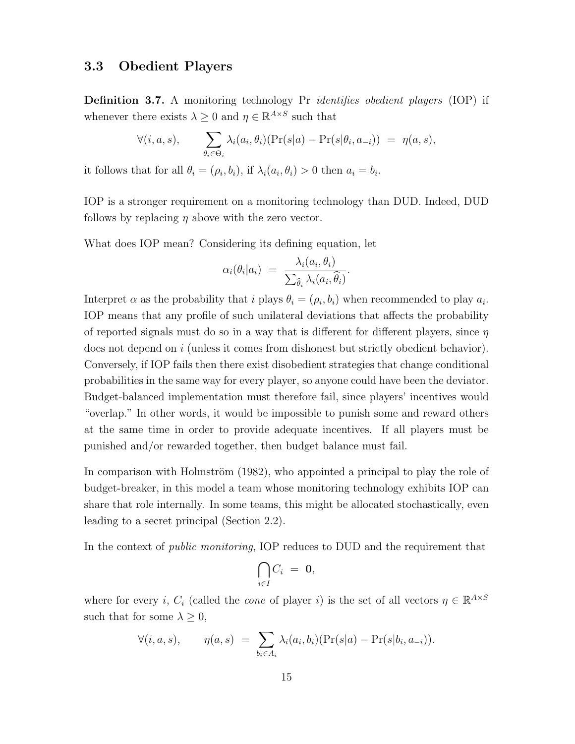#### <span id="page-16-0"></span>3.3 Obedient Players

**Definition 3.7.** A monitoring technology Pr *identifies obedient players* (IOP) if whenever there exists  $\lambda \geq 0$  and  $\eta \in \mathbb{R}^{A \times S}$  such that

$$
\forall (i, a, s), \qquad \sum_{\theta_i \in \Theta_i} \lambda_i(a_i, \theta_i)(\Pr(s|a) - \Pr(s|\theta_i, a_{-i})) = \eta(a, s),
$$

it follows that for all  $\theta_i = (\rho_i, b_i)$ , if  $\lambda_i(a_i, \theta_i) > 0$  then  $a_i = b_i$ .

IOP is a stronger requirement on a monitoring technology than DUD. Indeed, DUD follows by replacing  $\eta$  above with the zero vector.

What does IOP mean? Considering its defining equation, let

$$
\alpha_i(\theta_i|a_i) = \frac{\lambda_i(a_i, \theta_i)}{\sum_{\widehat{\theta}_i} \lambda_i(a_i, \widehat{\theta}_i)}.
$$

Interpret  $\alpha$  as the probability that i plays  $\theta_i = (\rho_i, b_i)$  when recommended to play  $a_i$ . IOP means that any profile of such unilateral deviations that affects the probability of reported signals must do so in a way that is different for different players, since  $\eta$ does not depend on i (unless it comes from dishonest but strictly obedient behavior). Conversely, if IOP fails then there exist disobedient strategies that change conditional probabilities in the same way for every player, so anyone could have been the deviator. Budget-balanced implementation must therefore fail, since players' incentives would "overlap." In other words, it would be impossible to punish some and reward others at the same time in order to provide adequate incentives. If all players must be punished and/or rewarded together, then budget balance must fail.

In comparison with Holmström [\(1982\)](#page-37-0), who appointed a principal to play the role of budget-breaker, in this model a team whose monitoring technology exhibits IOP can share that role internally. In some teams, this might be allocated stochastically, even leading to a secret principal [\(Section 2.2\)](#page-8-0).

In the context of public monitoring, IOP reduces to DUD and the requirement that

$$
\bigcap_{i\in I}C_i~=~\mathbf{0},
$$

where for every *i*,  $C_i$  (called the *cone* of player *i*) is the set of all vectors  $\eta \in \mathbb{R}^{A \times S}$ such that for some  $\lambda \geq 0$ ,

$$
\forall (i, a, s), \qquad \eta(a, s) = \sum_{b_i \in A_i} \lambda_i(a_i, b_i) (\Pr(s|a) - \Pr(s|b_i, a_{-i})).
$$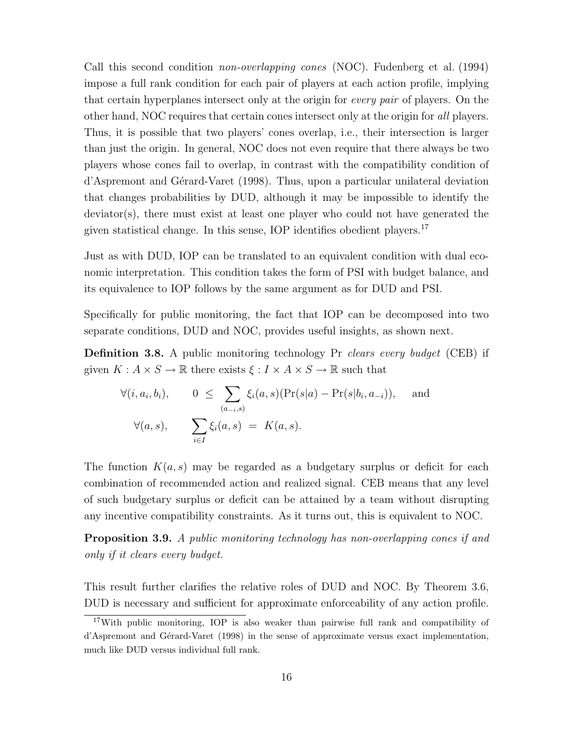Call this second condition *non-overlapping cones* (NOC). [Fudenberg et al.](#page-37-4) [\(1994\)](#page-37-4) impose a full rank condition for each pair of players at each action profile, implying that certain hyperplanes intersect only at the origin for every pair of players. On the other hand, NOC requires that certain cones intersect only at the origin for all players. Thus, it is possible that two players' cones overlap, i.e., their intersection is larger than just the origin. In general, NOC does not even require that there always be two players whose cones fail to overlap, in contrast with the compatibility condition of [d'Aspremont and G´erard-Varet](#page-37-3) [\(1998\)](#page-37-3). Thus, upon a particular unilateral deviation that changes probabilities by DUD, although it may be impossible to identify the deviator(s), there must exist at least one player who could not have generated the given statistical change. In this sense, IOP identifies obedient players.[17](#page-17-0)

Just as with DUD, IOP can be translated to an equivalent condition with dual economic interpretation. This condition takes the form of PSI with budget balance, and its equivalence to IOP follows by the same argument as for DUD and PSI.

Specifically for public monitoring, the fact that IOP can be decomposed into two separate conditions, DUD and NOC, provides useful insights, as shown next.

**Definition 3.8.** A public monitoring technology Pr clears every budget (CEB) if given  $K: A \times S \to \mathbb{R}$  there exists  $\xi: I \times A \times S \to \mathbb{R}$  such that

$$
\forall (i, a_i, b_i), \qquad 0 \leq \sum_{(a_{-i}, s)} \xi_i(a, s)(\Pr(s|a) - \Pr(s|b_i, a_{-i})), \text{ and}
$$

$$
\forall (a, s), \qquad \sum_{i \in I} \xi_i(a, s) = K(a, s).
$$

The function  $K(a, s)$  may be regarded as a budgetary surplus or deficit for each combination of recommended action and realized signal. CEB means that any level of such budgetary surplus or deficit can be attained by a team without disrupting any incentive compatibility constraints. As it turns out, this is equivalent to NOC.

<span id="page-17-1"></span>**Proposition 3.9.** [A public monitoring technology has non-overlapping cones if and](#page-41-0) [only if it clears every budget.](#page-41-0)

This result further clarifies the relative roles of DUD and NOC. By [Theorem 3.6,](#page-15-0) DUD is necessary and sufficient for approximate enforceability of any action profile.

<span id="page-17-0"></span><sup>17</sup>With public monitoring, IOP is also weaker than pairwise full rank and compatibility of d'Aspremont and Gérard-Varet [\(1998\)](#page-37-3) in the sense of approximate versus exact implementation, much like DUD versus individual full rank.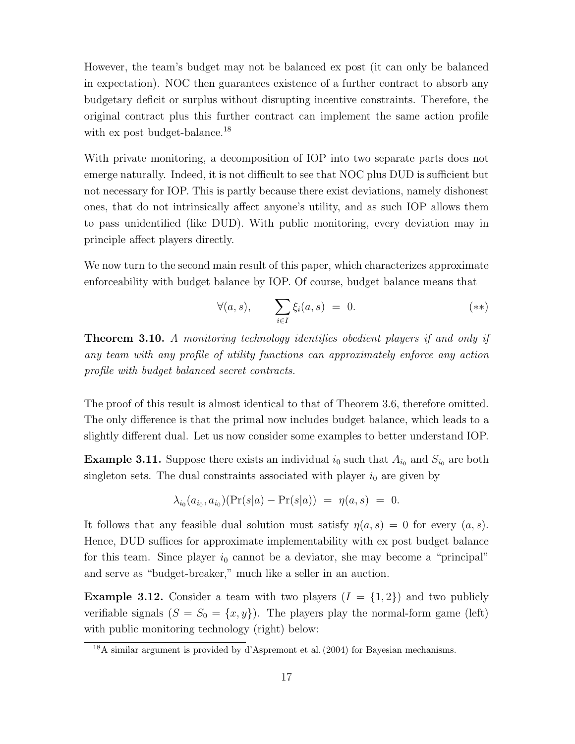However, the team's budget may not be balanced ex post (it can only be balanced in expectation). NOC then guarantees existence of a further contract to absorb any budgetary deficit or surplus without disrupting incentive constraints. Therefore, the original contract plus this further contract can implement the same action profile with ex post budget-balance.<sup>[18](#page-18-2)</sup>

With private monitoring, a decomposition of IOP into two separate parts does not emerge naturally. Indeed, it is not difficult to see that NOC plus DUD is sufficient but not necessary for IOP. This is partly because there exist deviations, namely dishonest ones, that do not intrinsically affect anyone's utility, and as such IOP allows them to pass unidentified (like DUD). With public monitoring, every deviation may in principle affect players directly.

We now turn to the second main result of this paper, which characterizes approximate enforceability with budget balance by IOP. Of course, budget balance means that

<span id="page-18-3"></span>
$$
\forall (a,s), \qquad \sum_{i \in I} \xi_i(a,s) = 0. \tag{**}
$$

<span id="page-18-0"></span>**Theorem 3.10.** A monitoring technology identifies obedient players if and only if any team with any profile of utility functions can approximately enforce any action profile with budget balanced secret contracts.

The proof of this result is almost identical to that of [Theorem 3.6,](#page-15-0) therefore omitted. The only difference is that the primal now includes budget balance, which leads to a slightly different dual. Let us now consider some examples to better understand IOP.

**Example 3.11.** Suppose there exists an individual  $i_0$  such that  $A_{i_0}$  and  $S_{i_0}$  are both singleton sets. The dual constraints associated with player  $i_0$  are given by

$$
\lambda_{i_0}(a_{i_0}, a_{i_0})(\Pr(s|a) - \Pr(s|a)) = \eta(a, s) = 0.
$$

It follows that any feasible dual solution must satisfy  $\eta(a, s) = 0$  for every  $(a, s)$ . Hence, DUD suffices for approximate implementability with ex post budget balance for this team. Since player  $i_0$  cannot be a deviator, she may become a "principal" and serve as "budget-breaker," much like a seller in an auction.

<span id="page-18-1"></span>**Example 3.12.** Consider a team with two players  $(I = \{1,2\})$  and two publicly verifiable signals  $(S = S_0 = \{x, y\})$ . The players play the normal-form game (left) with public monitoring technology (right) below:

<span id="page-18-2"></span><sup>18</sup>A similar argument is provided by [d'Aspremont et al.\(2004\)](#page-37-10) for Bayesian mechanisms.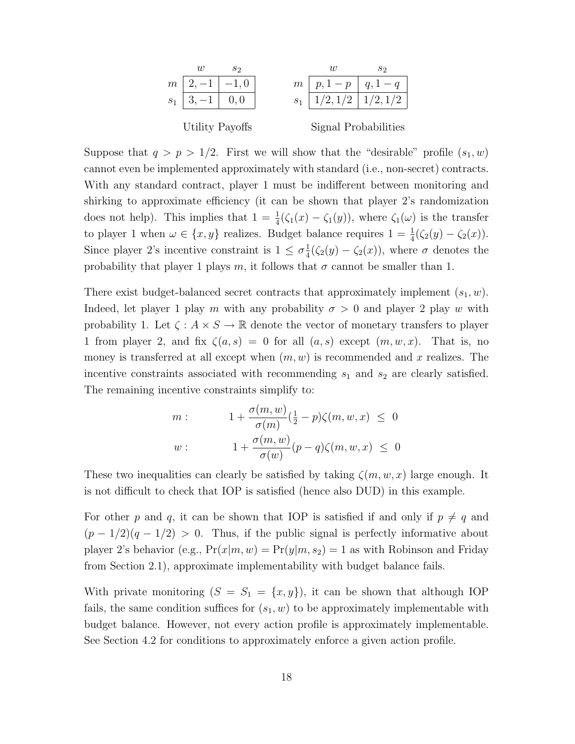

Suppose that  $q > p > 1/2$ . First we will show that the "desirable" profile  $(s_1, w)$ cannot even be implemented approximately with standard (i.e., non-secret) contracts. With any standard contract, player 1 must be indifferent between monitoring and shirking to approximate efficiency (it can be shown that player 2's randomization does not help). This implies that  $1 = \frac{1}{4}(\zeta_1(x) - \zeta_1(y))$ , where  $\zeta_1(\omega)$  is the transfer to player 1 when  $\omega \in \{x, y\}$  realizes. Budget balance requires  $1 = \frac{1}{4}(\zeta_2(y) - \zeta_2(x))$ . Since player 2's incentive constraint is  $1 \leq \sigma_{\overline{A}}^1$  $\frac{1}{4}(\zeta_2(y) - \zeta_2(x))$ , where  $\sigma$  denotes the probability that player 1 plays m, it follows that  $\sigma$  cannot be smaller than 1.

There exist budget-balanced secret contracts that approximately implement  $(s_1, w)$ . Indeed, let player 1 play m with any probability  $\sigma > 0$  and player 2 play w with probability 1. Let  $\zeta : A \times S \to \mathbb{R}$  denote the vector of monetary transfers to player 1 from player 2, and fix  $\zeta(a,s) = 0$  for all  $(a,s)$  except  $(m, w, x)$ . That is, no money is transferred at all except when  $(m, w)$  is recommended and x realizes. The incentive constraints associated with recommending  $s_1$  and  $s_2$  are clearly satisfied. The remaining incentive constraints simplify to:

$$
m: \t 1 + \frac{\sigma(m, w)}{\sigma(m)} \left(\frac{1}{2} - p\right) \zeta(m, w, x) \leq 0
$$
  

$$
w: \t 1 + \frac{\sigma(m, w)}{\sigma(w)} (p - q) \zeta(m, w, x) \leq 0
$$

These two inequalities can clearly be satisfied by taking  $\zeta(m, w, x)$  large enough. It is not difficult to check that IOP is satisfied (hence also DUD) in this example.

For other p and q, it can be shown that IOP is satisfied if and only if  $p \neq q$  and  $(p-1/2)(q-1/2) > 0$ . Thus, if the public signal is perfectly informative about player 2's behavior (e.g.,  $Pr(x|m, w) = Pr(y|m, s_2) = 1$  as with Robinson and Friday from [Section 2.1\)](#page-6-1), approximate implementability with budget balance fails.

With private monitoring  $(S = S_1 = \{x, y\})$ , it can be shown that although IOP fails, the same condition suffices for  $(s_1, w)$  to be approximately implementable with budget balance. However, not every action profile is approximately implementable. See [Section 4.2](#page-21-0) for conditions to approximately enforce a given action profile.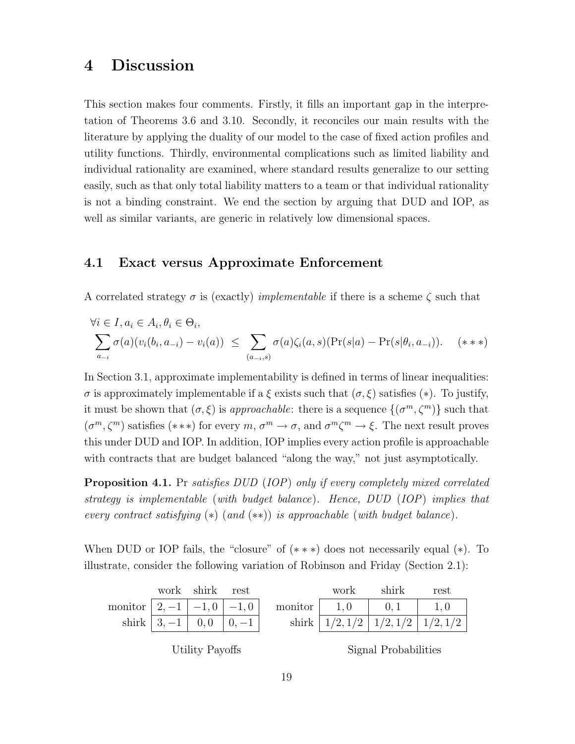# <span id="page-20-0"></span>4 Discussion

This section makes four comments. Firstly, it fills an important gap in the interpretation of [Theorems 3.6](#page-15-0) and [3.10.](#page-18-0) Secondly, it reconciles our main results with the literature by applying the duality of our model to the case of fixed action profiles and utility functions. Thirdly, environmental complications such as limited liability and individual rationality are examined, where standard results generalize to our setting easily, such as that only total liability matters to a team or that individual rationality is not a binding constraint. We end the section by arguing that DUD and IOP, as well as similar variants, are generic in relatively low dimensional spaces.

### <span id="page-20-1"></span>4.1 Exact versus Approximate Enforcement

A correlated strategy  $\sigma$  is (exactly) *implementable* if there is a scheme  $\zeta$  such that

<span id="page-20-2"></span>
$$
\forall i \in I, a_i \in A_i, \theta_i \in \Theta_i,
$$
  

$$
\sum_{a_{-i}} \sigma(a)(v_i(b_i, a_{-i}) - v_i(a)) \leq \sum_{(a_{-i}, s)} \sigma(a)\zeta_i(a, s)(\Pr(s|a) - \Pr(s|\theta_i, a_{-i})).
$$
 (\*\*\*)

In [Section 3.1,](#page-12-0) approximate implementability is defined in terms of linear inequalities: σ is approximately implementable if a ξ exists such that (σ, ξ) satisfies ([∗](#page-12-3)). To justify, it must be shown that  $(\sigma, \xi)$  is *approachable*: there is a sequence  $\{(\sigma^m, \zeta^m)\}\$  such that  $(\sigma^m, \zeta^m)$  satisfies  $(***)$  for every  $m, \sigma^m \to \sigma$ , and  $\sigma^m \zeta^m \to \xi$ . The next result proves this under DUD and IOP. In addition, IOP implies every action profile is approachable with contracts that are budget balanced "along the way," not just asymptotically.

<span id="page-20-3"></span>**Proposition 4.1.** Pr satisfies DUD (IOP) [only if every completely mixed correlated](#page-41-1) [strategy is implementable](#page-41-1) (with budget balance). Hence, DUD (IOP) implies that [every contract satisfying](#page-41-1)  $(*)$  (and  $(**)$ ) is approachable (with budget balance).

When DUD or IOP fails, the "closure" of  $(***)$  does not necessarily equal  $(*)$ . To illustrate, consider the following variation of Robinson and Friday [\(Section 2.1\)](#page-6-1):

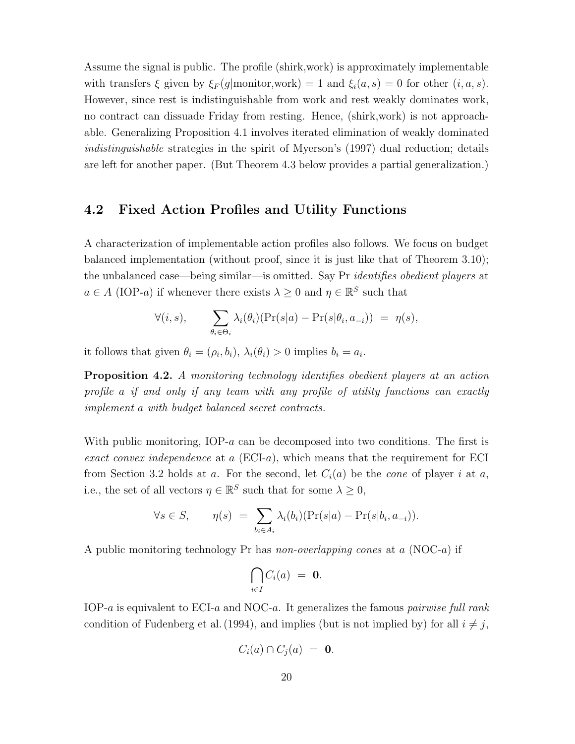Assume the signal is public. The profile (shirk,work) is approximately implementable with transfers  $\xi$  given by  $\xi_F(g|$ monitor,work) = 1 and  $\xi_i(a, s) = 0$  for other  $(i, a, s)$ . However, since rest is indistinguishable from work and rest weakly dominates work, no contract can dissuade Friday from resting. Hence, (shirk,work) is not approachable. Generalizing [Proposition 4.1](#page-20-3) involves iterated elimination of weakly dominated indistinguishable strategies in the spirit of [Myerson'](#page-38-7)s [\(1997\)](#page-38-7) dual reduction; details are left for another paper. (But [Theorem 4.3](#page-22-1) below provides a partial generalization.)

#### <span id="page-21-0"></span>4.2 Fixed Action Profiles and Utility Functions

A characterization of implementable action profiles also follows. We focus on budget balanced implementation (without proof, since it is just like that of [Theorem 3.10\)](#page-18-0); the unbalanced case—being similar—is omitted. Say Pr *identifies obedient players* at  $a \in A$  (IOP-a) if whenever there exists  $\lambda \geq 0$  and  $\eta \in \mathbb{R}^S$  such that

$$
\forall (i,s), \qquad \sum_{\theta_i \in \Theta_i} \lambda_i(\theta_i)(\Pr(s|a) - \Pr(s|\theta_i, a_{-i})) = \eta(s),
$$

<span id="page-21-1"></span>it follows that given  $\theta_i = (\rho_i, b_i), \lambda_i(\theta_i) > 0$  implies  $b_i = a_i$ .

**Proposition 4.2.** A monitoring technology identifies obedient players at an action profile a if and only if any team with any profile of utility functions can exactly implement a with budget balanced secret contracts.

With public monitoring, IOP-a can be decomposed into two conditions. The first is exact convex independence at a  $(ECI-a)$ , which means that the requirement for ECI from [Section 3.2](#page-13-0) holds at a. For the second, let  $C_i(a)$  be the *cone* of player i at a, i.e., the set of all vectors  $\eta \in \mathbb{R}^S$  such that for some  $\lambda \geq 0$ ,

$$
\forall s \in S, \qquad \eta(s) = \sum_{b_i \in A_i} \lambda_i(b_i)(\Pr(s|a) - \Pr(s|b_i, a_{-i})).
$$

A public monitoring technology Pr has *non-overlapping cones* at a  $(NOC-a)$  if

$$
\bigcap_{i\in I} C_i(a) = \mathbf{0}.
$$

IOP-a is equivalent to ECI-a and NOC-a. It generalizes the famous *pairwise full rank* condition of Fudenberg et al. (1994), and implies (but is not implied by) for all  $i \neq j$ ,

$$
C_i(a) \cap C_j(a) = \mathbf{0}.
$$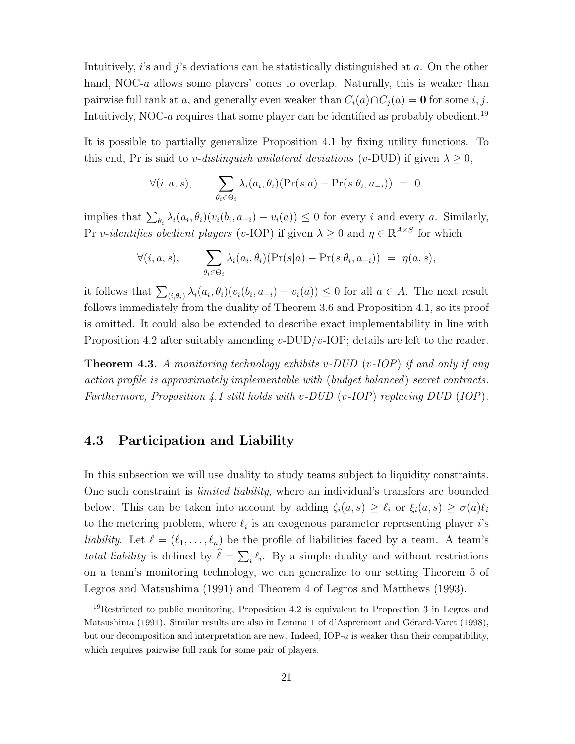Intuitively, i's and j's deviations can be statistically distinguished at  $a$ . On the other hand, NOC-a allows some players' cones to overlap. Naturally, this is weaker than pairwise full rank at a, and generally even weaker than  $C_i(a) \cap C_i(a) = \mathbf{0}$  for some i, j. Intuitively, NOC-a requires that some player can be identified as probably obedient.<sup>[19](#page-22-2)</sup>

It is possible to partially generalize [Proposition 4.1](#page-20-3) by fixing utility functions. To this end, Pr is said to v-distinguish unilateral deviations (v-DUD) if given  $\lambda \geq 0$ ,

$$
\forall (i, a, s), \qquad \sum_{\theta_i \in \Theta_i} \lambda_i(a_i, \theta_i) (\Pr(s|a) - \Pr(s|\theta_i, a_{-i})) = 0,
$$

implies that  $\sum_{\theta_i} \lambda_i(a_i, \theta_i)(v_i(b_i, a_{-i}) - v_i(a)) \leq 0$  for every *i* and every *a*. Similarly, Pr v-identifies obedient players (v-IOP) if given  $\lambda \geq 0$  and  $\eta \in \mathbb{R}^{A \times S}$  for which

$$
\forall (i, a, s), \qquad \sum_{\theta_i \in \Theta_i} \lambda_i(a_i, \theta_i)(\Pr(s|a) - \Pr(s|\theta_i, a_{-i})) = \eta(a, s),
$$

it follows that  $\sum_{(i,\theta_i)} \lambda_i(a_i,\theta_i)(v_i(b_i,a_{-i}) - v_i(a)) \leq 0$  for all  $a \in A$ . The next result follows immediately from the duality of [Theorem 3.6](#page-15-0) and [Proposition 4.1,](#page-20-3) so its proof is omitted. It could also be extended to describe exact implementability in line with [Proposition 4.2](#page-21-1) after suitably amending  $v$ -DUD/ $v$ -IOP; details are left to the reader.

<span id="page-22-1"></span>**Theorem 4.3.** A monitoring technology exhibits v-DUD (v-IOP) if and only if any action profile is approximately implementable with (budget balanced) secret contracts. Furthermore, [Proposition 4.1](#page-20-3) still holds with v-DUD (v-IOP) replacing DUD (IOP).

### <span id="page-22-0"></span>4.3 Participation and Liability

In this subsection we will use duality to study teams subject to liquidity constraints. One such constraint is *limited liability*, where an individual's transfers are bounded below. This can be taken into account by adding  $\zeta_i(a, s) \geq \ell_i$  or  $\xi_i(a, s) \geq \sigma(a)\ell_i$ to the metering problem, where  $\ell_i$  is an exogenous parameter representing player *i*'s liability. Let  $\ell = (\ell_1, \ldots, \ell_n)$  be the profile of liabilities faced by a team. A team's total liability is defined by  $\ell = \sum_i \ell_i$ . By a simple duality and without restrictions on a team's monitoring technology, we can generalize to our setting Theorem 5 of [Legros and Matsushima](#page-37-6) [\(1991\)](#page-37-6) and Theorem 4 of [Legros and Matthews](#page-37-2) [\(1993\)](#page-37-2).

<span id="page-22-3"></span><span id="page-22-2"></span> $19$ Restricted to public monitoring, [Proposition 4.2](#page-21-1) is equivalent to Proposition 3 in [Legros and](#page-37-6) [Matsushima](#page-37-6) [\(1991\)](#page-37-6). Similar results are also in Lemma 1 of d'Aspremont and Gérard-Varet [\(1998\)](#page-37-3), but our decomposition and interpretation are new. Indeed, IOP- $a$  is weaker than their compatibility, which requires pairwise full rank for some pair of players.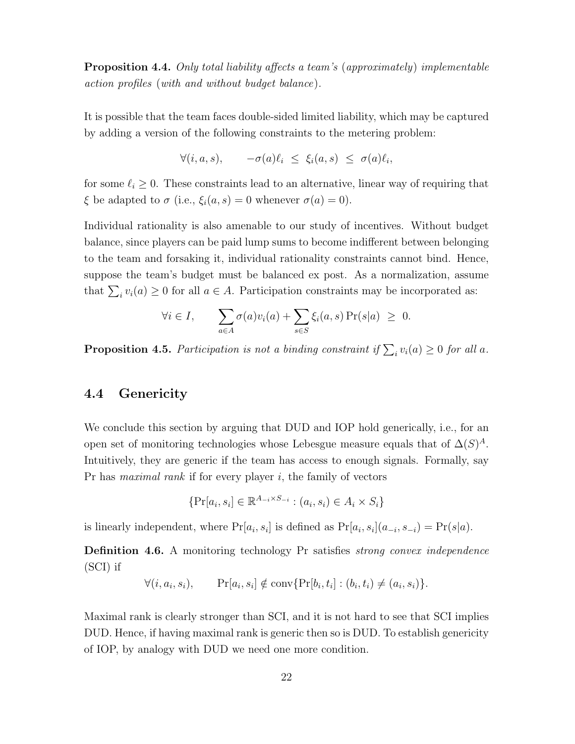Proposition 4.4. [Only total liability affects a team's](#page-42-0) (approximately) implementable action profiles ([with and without budget balance](#page-42-0)).

It is possible that the team faces double-sided limited liability, which may be captured by adding a version of the following constraints to the metering problem:

$$
\forall (i, a, s), \quad -\sigma(a)\ell_i \leq \xi_i(a, s) \leq \sigma(a)\ell_i,
$$

for some  $\ell_i \geq 0$ . These constraints lead to an alternative, linear way of requiring that  $\xi$  be adapted to  $\sigma$  (i.e.,  $\xi_i(a, s) = 0$  whenever  $\sigma(a) = 0$ ).

Individual rationality is also amenable to our study of incentives. Without budget balance, since players can be paid lump sums to become indifferent between belonging to the team and forsaking it, individual rationality constraints cannot bind. Hence, suppose the team's budget must be balanced ex post. As a normalization, assume that  $\sum_i v_i(a) \geq 0$  for all  $a \in A$ . Participation constraints may be incorporated as:

$$
\forall i \in I, \qquad \sum_{a \in A} \sigma(a) v_i(a) + \sum_{s \in S} \xi_i(a, s) \Pr(s|a) \geq 0.
$$

<span id="page-23-2"></span>**Proposition 4.5.** [Participation is not a binding constraint if](#page-42-1)  $\sum_i v_i(a) \geq 0$  for all a.

#### <span id="page-23-0"></span>4.4 Genericity

We conclude this section by arguing that DUD and IOP hold generically, i.e., for an open set of monitoring technologies whose Lebesgue measure equals that of  $\Delta(S)^A$ . Intuitively, they are generic if the team has access to enough signals. Formally, say Pr has *maximal rank* if for every player  $i$ , the family of vectors

$$
\{\Pr[a_i, s_i] \in \mathbb{R}^{A_{-i} \times S_{-i}} : (a_i, s_i) \in A_i \times S_i\}
$$

<span id="page-23-1"></span>is linearly independent, where  $Pr[a_i, s_i]$  is defined as  $Pr[a_i, s_i](a_{-i}, s_{-i}) = Pr(s|a)$ .

**Definition 4.6.** A monitoring technology Pr satisfies *strong convex independence* (SCI) if

$$
\forall (i, a_i, s_i), \qquad \Pr[a_i, s_i] \notin \text{conv}\{\Pr[b_i, t_i] : (b_i, t_i) \neq (a_i, s_i)\}.
$$

Maximal rank is clearly stronger than SCI, and it is not hard to see that SCI implies DUD. Hence, if having maximal rank is generic then so is DUD. To establish genericity of IOP, by analogy with DUD we need one more condition.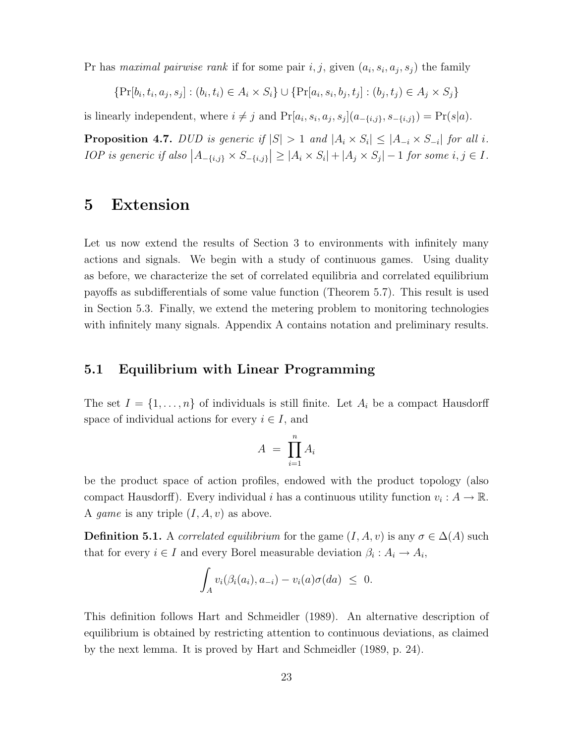Pr has maximal pairwise rank if for some pair  $i, j$ , given  $(a_i, s_i, a_j, s_j)$  the family

$$
\{\Pr[b_i, t_i, a_j, s_j] : (b_i, t_i) \in A_i \times S_i\} \cup \{\Pr[a_i, s_i, b_j, t_j] : (b_j, t_j) \in A_j \times S_j\}
$$

<span id="page-24-3"></span>is linearly independent, where  $i \neq j$  and  $Pr[a_i, s_i, a_j, s_j](a_{-\{i,j\}}, s_{-\{i,j\}}) = Pr(s|a)$ .

**Proposition 4.7.** [DUD is generic if](#page-42-2)  $|S| > 1$  and  $|A_i \times S_i| \leq |A_{-i} \times S_{-i}|$  for all i. [IOP is generic if also](#page-42-2)  $|A_{-\{i,j\}} \times S_{-\{i,j\}}| \geq |A_i \times S_i| + |A_j \times S_j| - 1$  for some  $i, j \in I$ .

# <span id="page-24-0"></span>5 Extension

Let us now extend the results of [Section 3](#page-10-0) to environments with infinitely many actions and signals. We begin with a study of continuous games. Using duality as before, we characterize the set of correlated equilibria and correlated equilibrium payoffs as subdifferentials of some value function [\(Theorem 5.7\)](#page-26-0). This result is used in [Section 5.3.](#page-30-0) Finally, we extend the metering problem to monitoring technologies with infinitely many signals. [Appendix A](#page-38-1) contains notation and preliminary results.

#### <span id="page-24-1"></span>5.1 Equilibrium with Linear Programming

The set  $I = \{1, \ldots, n\}$  of individuals is still finite. Let  $A_i$  be a compact Hausdorff space of individual actions for every  $i \in I$ , and

$$
A = \prod_{i=1}^{n} A_i
$$

be the product space of action profiles, endowed with the product topology (also compact Hausdorff). Every individual *i* has a continuous utility function  $v_i : A \to \mathbb{R}$ . A game is any triple  $(I, A, v)$  as above.

**Definition 5.1.** A correlated equilibrium for the game  $(I, A, v)$  is any  $\sigma \in \Delta(A)$  such that for every  $i \in I$  and every Borel measurable deviation  $\beta_i : A_i \to A_i$ ,

$$
\int_A v_i(\beta_i(a_i), a_{-i}) - v_i(a)\sigma(da) \leq 0.
$$

<span id="page-24-2"></span>This definition follows [Hart and Schmeidler](#page-37-9) [\(1989\)](#page-37-9). An alternative description of equilibrium is obtained by restricting attention to continuous deviations, as claimed by the next lemma. It is proved by [Hart and Schmeidler](#page-37-9) [\(1989,](#page-37-9) p. 24).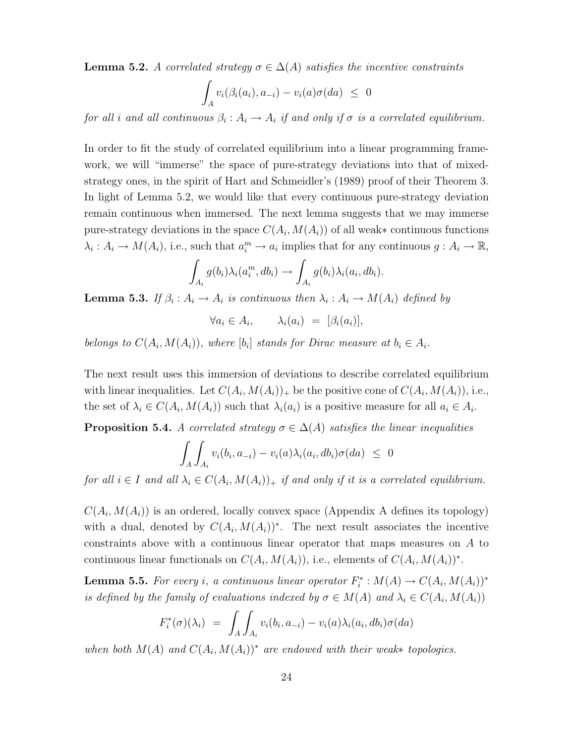**Lemma 5.2.** A correlated strategy  $\sigma \in \Delta(A)$  satisfies the incentive constraints

$$
\int_A v_i(\beta_i(a_i), a_{-i}) - v_i(a)\sigma(da) \leq 0
$$

for all i and all continuous  $\beta_i: A_i \to A_i$  if and only if  $\sigma$  is a correlated equilibrium.

In order to fit the study of correlated equilibrium into a linear programming framework, we will "immerse" the space of pure-strategy deviations into that of mixedstrategy ones, in the spirit of [Hart and Schmeidler'](#page-37-9)s [\(1989\)](#page-37-9) proof of their Theorem 3. In light of [Lemma 5.2,](#page-24-2) we would like that every continuous pure-strategy deviation remain continuous when immersed. The next lemma suggests that we may immerse pure-strategy deviations in the space  $C(A_i, M(A_i))$  of all weak\* continuous functions  $\lambda_i: A_i \to M(A_i)$ , i.e., such that  $a_i^m \to a_i$  implies that for any continuous  $g: A_i \to \mathbb{R}$ ,

$$
\int_{A_i} g(b_i) \lambda_i(a_i^m, db_i) \rightarrow \int_{A_i} g(b_i) \lambda_i(a_i, db_i).
$$

<span id="page-25-2"></span>**Lemma 5.3.** If  $\beta_i : A_i \to A_i$  [is continuous then](#page-43-0)  $\lambda_i : A_i \to M(A_i)$  defined by

 $\forall a_i \in A_i, \qquad \lambda_i(a_i) = [\beta_i(a_i)],$ 

belongs to  $C(A_i, M(A_i))$ , where  $[b_i]$  [stands for Dirac measure at](#page-43-0)  $b_i \in A_i$ .

The next result uses this immersion of deviations to describe correlated equilibrium with linear inequalities. Let  $C(A_i, M(A_i))_+$  be the positive cone of  $C(A_i, M(A_i))$ , i.e., the set of  $\lambda_i \in C(A_i, M(A_i))$  such that  $\lambda_i(a_i)$  is a positive measure for all  $a_i \in A_i$ .

<span id="page-25-0"></span>**Proposition 5.4.** A correlated strategy  $\sigma \in \Delta(A)$  [satisfies the linear inequalities](#page-43-1)

$$
\int_A \int_{A_i} v_i(b_i, a_{-i}) - v_i(a) \lambda_i(a_i, db_i) \sigma(da) \leq 0
$$

for all  $i \in I$  and all  $\lambda_i \in C(A_i, M(A_i))_{+}$  [if and only if it is a correlated equilibrium.](#page-43-1)

 $C(A_i, M(A_i))$  is an ordered, locally convex space [\(Appendix A](#page-38-1) defines its topology) with a dual, denoted by  $C(A_i, M(A_i))^*$ . The next result associates the incentive constraints above with a continuous linear operator that maps measures on A to continuous linear functionals on  $C(A_i, M(A_i))$ , i.e., elements of  $C(A_i, M(A_i))^*$ .

<span id="page-25-1"></span>**Lemma 5.5.** For every i[, a continuous linear operator](#page-43-2)  $F_i^*: M(A) \to C(A_i, M(A_i))^*$ [is defined by the family of evaluations indexed by](#page-43-2)  $\sigma \in M(A)$  and  $\lambda_i \in C(A_i, M(A_i))$ 

$$
F_i^*(\sigma)(\lambda_i) = \int_A \int_{A_i} v_i(b_i, a_{-i}) - v_i(a)\lambda_i(a_i, db_i)\sigma(da)
$$

when both  $M(A)$  and  $C(A_i, M(A_i))^*$  [are endowed with their weak](#page-43-2)\* topologies.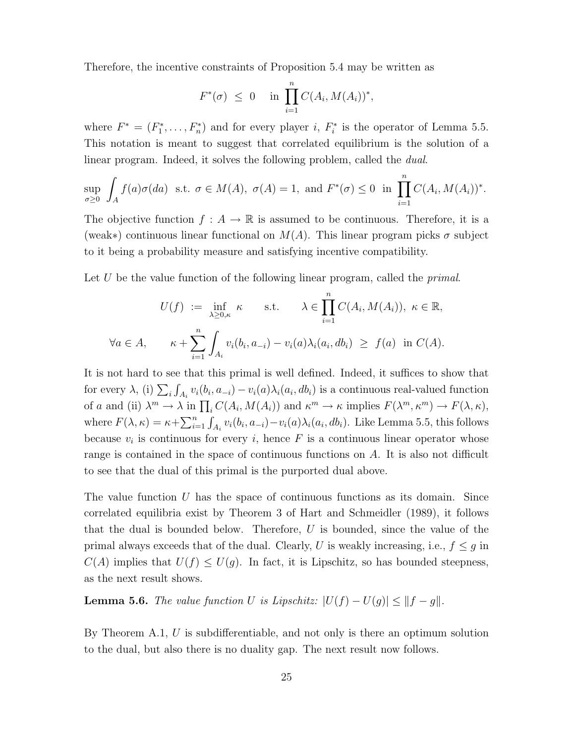Therefore, the incentive constraints of [Proposition 5.4](#page-25-0) may be written as

$$
F^*(\sigma) \leq 0
$$
 in  $\prod_{i=1}^n C(A_i, M(A_i))^*$ ,

where  $F^* = (F_1^*, \ldots, F_n^*)$  and for every player i,  $F_i^*$  is the operator of [Lemma 5.5.](#page-25-1) This notation is meant to suggest that correlated equilibrium is the solution of a linear program. Indeed, it solves the following problem, called the *dual*.

$$
\sup_{\sigma\geq 0} \int_A f(a)\sigma(da) \text{ s.t. } \sigma \in M(A), \ \sigma(A) = 1, \text{ and } F^*(\sigma) \leq 0 \text{ in } \prod_{i=1}^n C(A_i, M(A_i))^*.
$$

The objective function  $f : A \to \mathbb{R}$  is assumed to be continuous. Therefore, it is a (weak∗) continuous linear functional on  $M(A)$ . This linear program picks  $\sigma$  subject to it being a probability measure and satisfying incentive compatibility.

Let U be the value function of the following linear program, called the *primal*.

$$
U(f) := \inf_{\lambda \ge 0, \kappa} \kappa \quad \text{s.t.} \quad \lambda \in \prod_{i=1}^n C(A_i, M(A_i)), \ \kappa \in \mathbb{R},
$$
  

$$
\forall a \in A, \quad \kappa + \sum_{i=1}^n \int_{A_i} v_i(b_i, a_{-i}) - v_i(a) \lambda_i(a_i, db_i) \ge f(a) \text{ in } C(A).
$$

It is not hard to see that this primal is well defined. Indeed, it suffices to show that for every  $\lambda$ , (i)  $\sum_i \int_{A_i} v_i(b_i, a_{-i}) - v_i(a)\lambda_i(a_i, db_i)$  is a continuous real-valued function of a and (ii)  $\lambda^m \to \lambda$  in  $\prod_i C(A_i, M(A_i))$  and  $\kappa^m \to \kappa$  implies  $F(\lambda^m, \kappa^m) \to F(\lambda, \kappa)$ , where  $F(\lambda, \kappa) = \kappa + \sum_{i=1}^n \int_{A_i} v_i(b_i, a_{-i}) - v_i(a) \lambda_i(a_i, db_i)$ . Like [Lemma 5.5,](#page-25-1) this follows because  $v_i$  is continuous for every i, hence F is a continuous linear operator whose range is contained in the space of continuous functions on A. It is also not difficult to see that the dual of this primal is the purported dual above.

The value function  $U$  has the space of continuous functions as its domain. Since correlated equilibria exist by Theorem 3 of [Hart and Schmeidler](#page-37-9) [\(1989\)](#page-37-9), it follows that the dual is bounded below. Therefore,  $U$  is bounded, since the value of the primal always exceeds that of the dual. Clearly, U is weakly increasing, i.e.,  $f \leq g$  in  $C(A)$  implies that  $U(f) \leq U(g)$ . In fact, it is Lipschitz, so has bounded steepness, as the next result shows.

<span id="page-26-1"></span>**Lemma 5.6.** [The value function](#page-43-3) U is Lipschitz:  $|U(f) - U(g)| \leq ||f - g||$ .

<span id="page-26-0"></span>By [Theorem A.1,](#page-39-2) U is subdifferentiable, and not only is there an optimum solution to the dual, but also there is no duality gap. The next result now follows.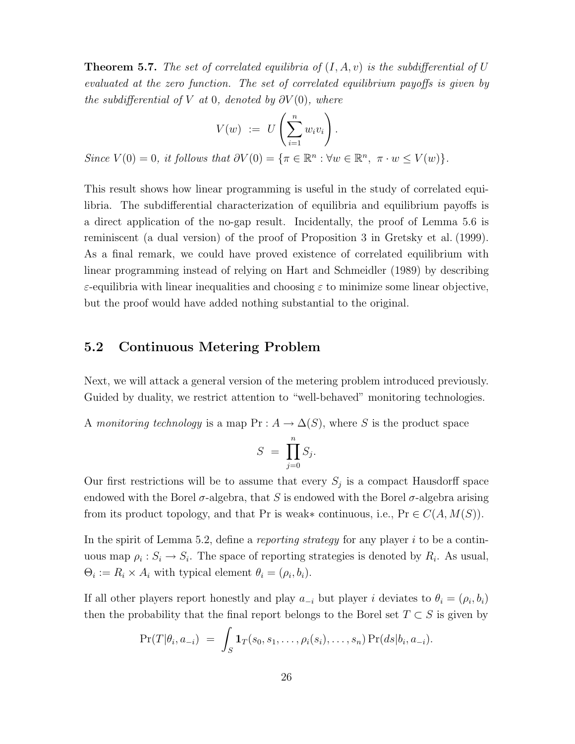**Theorem 5.7.** [The set of correlated equilibria of](#page-44-0)  $(I, A, v)$  is the subdifferential of U [evaluated at the zero function. The set of correlated equilibrium payoffs is given by](#page-44-0) [the subdifferential of](#page-44-0) V at 0, denoted by  $\partial V(0)$ , where

$$
V(w) := U\left(\sum_{i=1}^{n} w_i v_i\right).
$$
  
Since  $V(0) = 0$ , it follows that  $\partial V(0) = {\pi \in \mathbb{R}^n : \forall w \in \mathbb{R}^n, \ \pi \cdot w \le V(w)}.$ 

This result shows how linear programming is useful in the study of correlated equilibria. The subdifferential characterization of equilibria and equilibrium payoffs is a direct application of the no-gap result. Incidentally, the proof of [Lemma 5.6](#page-26-1) is reminiscent (a dual version) of the proof of Proposition 3 in [Gretsky et al.](#page-37-11) [\(1999\)](#page-37-11). As a final remark, we could have proved existence of correlated equilibrium with linear programming instead of relying on [Hart and Schmeidler](#page-37-9) [\(1989\)](#page-37-9) by describing ε-equilibria with linear inequalities and choosing ε to minimize some linear objective, but the proof would have added nothing substantial to the original.

### <span id="page-27-0"></span>5.2 Continuous Metering Problem

Next, we will attack a general version of the metering problem introduced previously. Guided by duality, we restrict attention to "well-behaved" monitoring technologies.

A monitoring technology is a map  $Pr: A \to \Delta(S)$ , where S is the product space

$$
S = \prod_{j=0}^{n} S_j.
$$

Our first restrictions will be to assume that every  $S_j$  is a compact Hausdorff space endowed with the Borel  $\sigma$ -algebra, that S is endowed with the Borel  $\sigma$ -algebra arising from its product topology, and that Pr is weak∗ continuous, i.e.,  $Pr \in C(A, M(S))$ .

In the spirit of [Lemma 5.2,](#page-24-2) define a *reporting strategy* for any player i to be a continuous map  $\rho_i : S_i \to S_i$ . The space of reporting strategies is denoted by  $R_i$ . As usual,  $\Theta_i := R_i \times A_i$  with typical element  $\theta_i = (\rho_i, b_i)$ .

If all other players report honestly and play  $a_{-i}$  but player i deviates to  $\theta_i = (\rho_i, b_i)$ then the probability that the final report belongs to the Borel set  $T \subset S$  is given by

$$
\Pr(T|\theta_i, a_{-i}) = \int_S \mathbf{1}_T(s_0, s_1, \ldots, \rho_i(s_i), \ldots, s_n) \Pr(ds|b_i, a_{-i}).
$$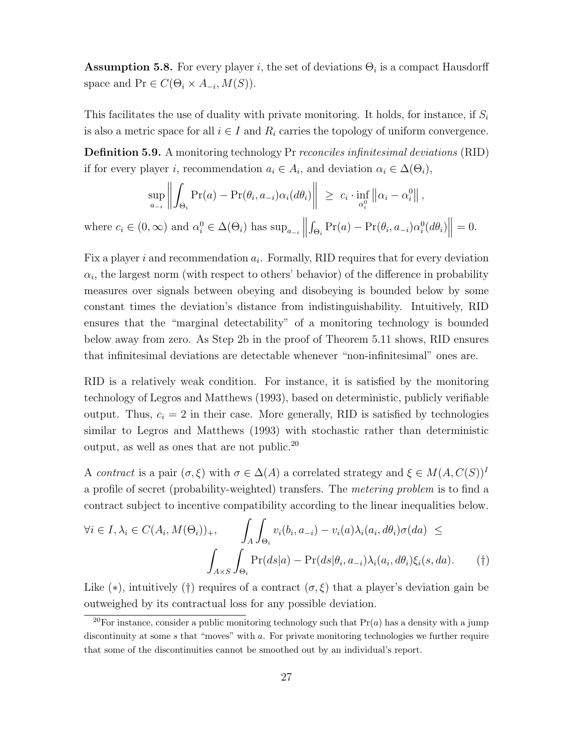**Assumption 5.8.** For every player i, the set of deviations  $\Theta_i$  is a compact Hausdorff space and  $Pr \in C(\Theta_i \times A_{-i}, M(S)).$ 

This facilitates the use of duality with private monitoring. It holds, for instance, if  $S_i$ is also a metric space for all  $i \in I$  and  $R_i$  carries the topology of uniform convergence.

<span id="page-28-1"></span>**Definition 5.9.** A monitoring technology Pr reconciles infinitesimal deviations (RID) if for every player *i*, recommendation  $a_i \in A_i$ , and deviation  $\alpha_i \in \Delta(\Theta_i)$ ,

$$
\sup_{a_{-i}} \left\| \int_{\Theta_i} \Pr(a) - \Pr(\theta_i, a_{-i}) \alpha_i(d\theta_i) \right\| \geq c_i \cdot \inf_{\alpha_i^0} \left\| \alpha_i - \alpha_i^0 \right\|,
$$

where  $c_i \in (0, \infty)$  and  $\alpha_i^0 \in \Delta(\Theta_i)$  has  $\sup_{a_{-i}}$  $\int_{\Theta_i} \Pr(a) - \Pr(\theta_i, a_{-i}) \alpha_i^0(d\theta_i) \middle\|$  $= 0.$ 

Fix a player  $i$  and recommendation  $a_i$ . Formally, RID requires that for every deviation  $\alpha_i$ , the largest norm (with respect to others' behavior) of the difference in probability measures over signals between obeying and disobeying is bounded below by some constant times the deviation's distance from indistinguishability. Intuitively, RID ensures that the "marginal detectability" of a monitoring technology is bounded below away from zero. As [Step 2b](#page-45-0) in the proof of [Theorem 5.11](#page-29-0) shows, RID ensures that infinitesimal deviations are detectable whenever "non-infinitesimal" ones are.

RID is a relatively weak condition. For instance, it is satisfied by the monitoring technology of [Legros and Matthews](#page-37-2) [\(1993\)](#page-37-2), based on deterministic, publicly verifiable output. Thus,  $c_i = 2$  in their case. More generally, RID is satisfied by technologies similar to [Legros and Matthews](#page-37-2) [\(1993\)](#page-37-2) with stochastic rather than deterministic output, as well as ones that are not public.[20](#page-28-0)

A contract is a pair  $(\sigma, \xi)$  with  $\sigma \in \Delta(A)$  a correlated strategy and  $\xi \in M(A, C(S))^I$ a profile of secret (probability-weighted) transfers. The metering problem is to find a contract subject to incentive compatibility according to the linear inequalities below.

$$
\forall i \in I, \lambda_i \in C(A_i, M(\Theta_i))_+, \qquad \int_A \int_{\Theta_i} v_i(b_i, a_{-i}) - v_i(a)\lambda_i(a_i, d\theta_i)\sigma(da) \le
$$

$$
\int_{A \times S} \int_{\Theta_i} \Pr(ds|a) - \Pr(ds|\theta_i, a_{-i})\lambda_i(a_i, d\theta_i)\xi_i(s, da). \qquad (†)
$$

Like (\*), intuitively (†) requires of a contract  $(\sigma, \xi)$  that a player's deviation gain be outweighed by its contractual loss for any possible deviation.

<span id="page-28-0"></span><sup>&</sup>lt;sup>20</sup>For instance, consider a public monitoring technology such that  $Pr(a)$  has a density with a jump discontinuity at some s that "moves" with a. For private monitoring technologies we further require that some of the discontinuities cannot be smoothed out by an individual's report.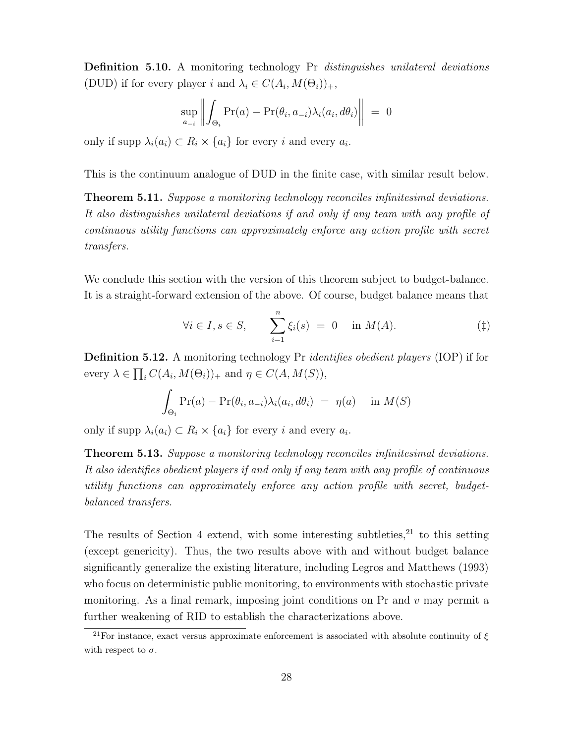Definition 5.10. A monitoring technology Pr distinguishes unilateral deviations (DUD) if for every player i and  $\lambda_i \in C(A_i, M(\Theta_i))_+,$ 

$$
\sup_{a_{-i}} \left\| \int_{\Theta_i} \Pr(a) - \Pr(\theta_i, a_{-i}) \lambda_i(a_i, d\theta_i) \right\| = 0
$$

only if supp  $\lambda_i(a_i) \subset R_i \times \{a_i\}$  for every i and every  $a_i$ .

<span id="page-29-0"></span>This is the continuum analogue of DUD in the finite case, with similar result below.

**Theorem 5.11.** [Suppose a monitoring technology reconciles infinitesimal deviations.](#page-44-1) [It also distinguishes unilateral deviations if and only if any team with any profile of](#page-44-1) [continuous utility functions can approximately enforce any action profile with secret](#page-44-1) [transfers.](#page-44-1)

We conclude this section with the version of this theorem subject to budget-balance. It is a straight-forward extension of the above. Of course, budget balance means that

$$
\forall i \in I, s \in S, \qquad \sum_{i=1}^{n} \xi_i(s) = 0 \quad \text{in } M(A). \tag{1}
$$

**Definition 5.12.** A monitoring technology Pr *identifies obedient players* (IOP) if for every  $\lambda \in \prod_i C(A_i, M(\Theta_i))_+$  and  $\eta \in C(A, M(S)),$ 

$$
\int_{\Theta_i} \Pr(a) - \Pr(\theta_i, a_{-i}) \lambda_i(a_i, d\theta_i) = \eta(a) \quad \text{in } M(S)
$$

only if supp  $\lambda_i(a_i) \subset R_i \times \{a_i\}$  for every i and every  $a_i$ .

<span id="page-29-1"></span>Theorem 5.13. [Suppose a monitoring technology reconciles infinitesimal deviations.](#page-46-0) [It also identifies obedient players if and only if any team with any profile of continuous](#page-46-0) [utility functions can approximately enforce any action profile with secret, budget](#page-46-0)[balanced transfers.](#page-46-0)

The results of [Section 4](#page-20-0) extend, with some interesting subtleties, $^{21}$  $^{21}$  $^{21}$  to this setting (except genericity). Thus, the two results above with and without budget balance significantly generalize the existing literature, including [Legros and Matthews](#page-37-2) [\(1993\)](#page-37-2) who focus on deterministic public monitoring, to environments with stochastic private monitoring. As a final remark, imposing joint conditions on  $Pr$  and  $v$  may permit a further weakening of RID to establish the characterizations above.

<span id="page-29-2"></span><sup>&</sup>lt;sup>21</sup>For instance, exact versus approximate enforcement is associated with absolute continuity of  $\xi$ with respect to  $\sigma$ .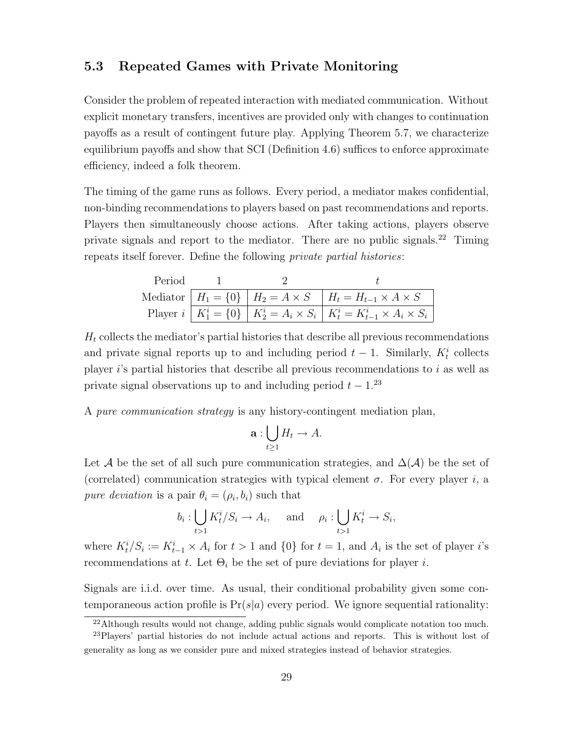### <span id="page-30-0"></span>5.3 Repeated Games with Private Monitoring

Consider the problem of repeated interaction with mediated communication. Without explicit monetary transfers, incentives are provided only with changes to continuation payoffs as a result of contingent future play. Applying [Theorem 5.7,](#page-26-0) we characterize equilibrium payoffs and show that SCI [\(Definition 4.6\)](#page-23-1) suffices to enforce approximate efficiency, indeed a folk theorem.

The timing of the game runs as follows. Every period, a mediator makes confidential, non-binding recommendations to players based on past recommendations and reports. Players then simultaneously choose actions. After taking actions, players observe private signals and report to the mediator. There are no public signals.[22](#page-30-1) Timing repeats itself forever. Define the following private partial histories:

| Period |  |                                                                                               |
|--------|--|-----------------------------------------------------------------------------------------------|
|        |  | Mediator $H_1 = \{0\}$ $H_2 = A \times S$ $H_t = H_{t-1} \times A \times S$                   |
|        |  | Player $i   K_1^i = \{0\}   K_2^i = A_i \times S_i   K_t^i = K_{t-1}^i \times A_i \times S_i$ |

 $H_t$  collects the mediator's partial histories that describe all previous recommendations and private signal reports up to and including period  $t-1$ . Similarly,  $K_t^i$  collects player  $i$ 's partial histories that describe all previous recommendations to  $i$  as well as private signal observations up to and including period  $t - 1$ .<sup>[23](#page-30-2)</sup>

A pure communication strategy is any history-contingent mediation plan,

$$
\mathbf{a}:\bigcup_{t\geq 1}H_t\to A.
$$

Let A be the set of all such pure communication strategies, and  $\Delta(\mathcal{A})$  be the set of (correlated) communication strategies with typical element  $\sigma$ . For every player i, a pure deviation is a pair  $\theta_i = (\rho_i, b_i)$  such that

$$
b_i: \bigcup_{t>1} K_t^i/S_i \to A_i, \quad \text{and} \quad \rho_i: \bigcup_{t>1} K_t^i \to S_i,
$$

where  $K_t^i/S_i := K_{t-1}^i \times A_i$  for  $t > 1$  and  $\{0\}$  for  $t = 1$ , and  $A_i$  is the set of player i's recommendations at t. Let  $\Theta_i$  be the set of pure deviations for player i.

Signals are i.i.d. over time. As usual, their conditional probability given some contemporaneous action profile is  $Pr(s|a)$  every period. We ignore sequential rationality:

<span id="page-30-2"></span><span id="page-30-1"></span><sup>&</sup>lt;sup>22</sup>Although results would not change, adding public signals would complicate notation too much.

<sup>&</sup>lt;sup>23</sup>Players' partial histories do not include actual actions and reports. This is without lost of generality as long as we consider pure and mixed strategies instead of behavior strategies.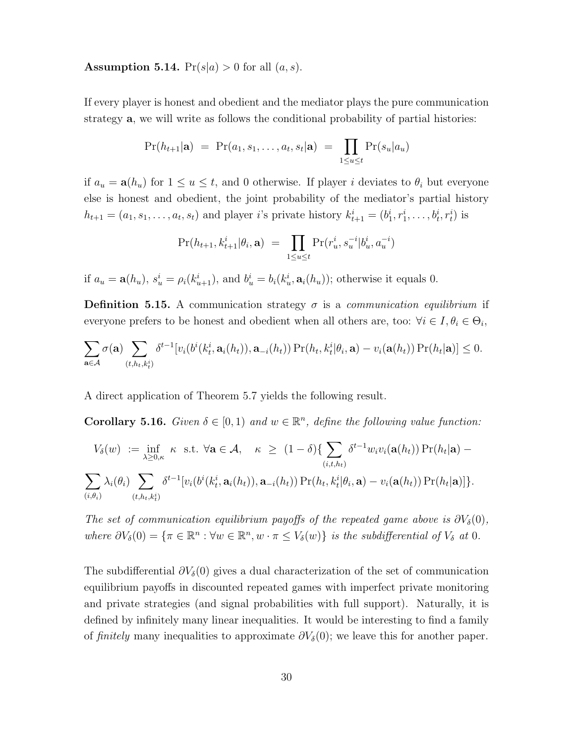**Assumption 5.14.**  $Pr(s|a) > 0$  for all  $(a, s)$ .

If every player is honest and obedient and the mediator plays the pure communication strategy a, we will write as follows the conditional probability of partial histories:

$$
Pr(h_{t+1}|\mathbf{a}) = Pr(a_1, s_1, \dots, a_t, s_t|\mathbf{a}) = \prod_{1 \le u \le t} Pr(s_u|a_u)
$$

if  $a_u = \mathbf{a}(h_u)$  for  $1 \le u \le t$ , and 0 otherwise. If player i deviates to  $\theta_i$  but everyone else is honest and obedient, the joint probability of the mediator's partial history  $h_{t+1} = (a_1, s_1, \ldots, a_t, s_t)$  and player *i*'s private history  $k_{t+1}^i = (b_1^i, r_1^i, \ldots, b_t^i, r_t^i)$  is

$$
\Pr(h_{t+1}, k_{t+1}^i | \theta_i, \mathbf{a}) = \prod_{1 \le u \le t} \Pr(r_u^i, s_u^{-i} | b_u^i, a_u^{-i})
$$

if  $a_u = \mathbf{a}(h_u)$ ,  $s_u^i = \rho_i(k_{u+1}^i)$ , and  $b_u^i = b_i(k_u^i, \mathbf{a}_i(h_u))$ ; otherwise it equals 0.

**Definition 5.15.** A communication strategy  $\sigma$  is a *communication equilibrium* if everyone prefers to be honest and obedient when all others are, too:  $\forall i \in I, \theta_i \in \Theta_i$ ,

$$
\sum_{\mathbf{a}\in\mathcal{A}}\sigma(\mathbf{a})\sum_{(t,h_t,k_t^i)}\delta^{t-1}[v_i(b^i(k_t^i,\mathbf{a}_i(h_t)),\mathbf{a}_{-i}(h_t))\Pr(h_t,k_t^i|\theta_i,\mathbf{a})-v_i(\mathbf{a}(h_t))\Pr(h_t|\mathbf{a})]\leq 0.
$$

<span id="page-31-0"></span>A direct application of [Theorem 5.7](#page-26-0) yields the following result.

**Corollary 5.16.** Given  $\delta \in [0,1)$  and  $w \in \mathbb{R}^n$ [, define the following value function:](#page-47-0)

$$
V_{\delta}(w) := \inf_{\lambda \geq 0,\kappa} \kappa \text{ s.t. } \forall \mathbf{a} \in \mathcal{A}, \quad \kappa \geq (1-\delta) \{ \sum_{(i,t,h_t)} \delta^{t-1} w_i v_i(\mathbf{a}(h_t)) \Pr(h_t|\mathbf{a}) - \sum_{(i,t,h_t)} \lambda_i(\theta_i) \sum_{(t,h_t,k_t^i)} \delta^{t-1} [v_i(b^i(k_t^i,\mathbf{a}_i(h_t)),\mathbf{a}_{-i}(h_t)) \Pr(h_t,k_t^i|\theta_i,\mathbf{a}) - v_i(\mathbf{a}(h_t)) \Pr(h_t|\mathbf{a})] \}.
$$

[The set of communication equilibrium payoffs of the repeated game above is](#page-47-0)  $\partial V_{\delta}(0)$ , where  $\partial V_{\delta}(0) = {\pi \in \mathbb{R}^n : \forall w \in \mathbb{R}^n, w \cdot \pi \leq V_{\delta}(w)}$  [is the subdifferential of](#page-47-0)  $V_{\delta}$  at 0.

The subdifferential  $\partial V_{\delta}(0)$  gives a dual characterization of the set of communication equilibrium payoffs in discounted repeated games with imperfect private monitoring and private strategies (and signal probabilities with full support). Naturally, it is defined by infinitely many linear inequalities. It would be interesting to find a family of finitely many inequalities to approximate  $\partial V_{\delta}(0)$ ; we leave this for another paper.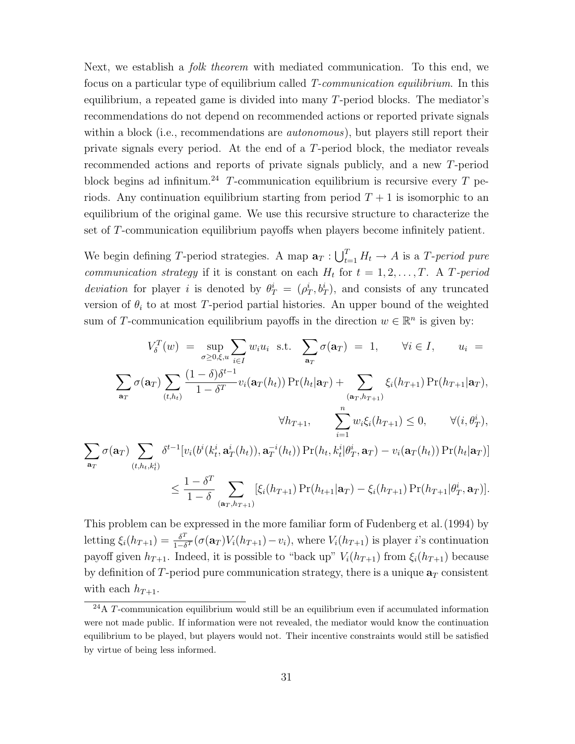Next, we establish a *folk theorem* with mediated communication. To this end, we focus on a particular type of equilibrium called T-communication equilibrium. In this equilibrium, a repeated game is divided into many T-period blocks. The mediator's recommendations do not depend on recommended actions or reported private signals within a block (i.e., recommendations are *autonomous*), but players still report their private signals every period. At the end of a T-period block, the mediator reveals recommended actions and reports of private signals publicly, and a new T-period block begins ad infinitum.<sup>[24](#page-32-0)</sup> T-communication equilibrium is recursive every T periods. Any continuation equilibrium starting from period  $T + 1$  is isomorphic to an equilibrium of the original game. We use this recursive structure to characterize the set of T-communication equilibrium payoffs when players become infinitely patient.

We begin defining T-period strategies. A map  $\mathbf{a}_T : \bigcup_{t=1}^T H_t \to A$  is a T-period pure *communication strategy* if it is constant on each  $H_t$  for  $t = 1, 2, ..., T$ . A T-period deviation for player i is denoted by  $\theta_T^i = (\rho_T^i, b_T^i)$ , and consists of any truncated version of  $\theta_i$  to at most T-period partial histories. An upper bound of the weighted sum of T-communication equilibrium payoffs in the direction  $w \in \mathbb{R}^n$  is given by:

$$
V_{\delta}^{T}(w) = \sup_{\sigma \geq 0, \xi, u} \sum_{i \in I} w_{i} u_{i} \text{ s.t. } \sum_{\mathbf{a}_{T}} \sigma(\mathbf{a}_{T}) = 1, \qquad \forall i \in I, \qquad u_{i} =
$$

$$
\sum_{\mathbf{a}_{T}} \sigma(\mathbf{a}_{T}) \sum_{(t, h_{t})} \frac{(1 - \delta) \delta^{t-1}}{1 - \delta^{T}} v_{i}(\mathbf{a}_{T}(h_{t})) \Pr(h_{t}|\mathbf{a}_{T}) + \sum_{(\mathbf{a}_{T}, h_{T+1})} \xi_{i}(h_{T+1}) \Pr(h_{T+1}|\mathbf{a}_{T}),
$$

$$
\forall h_{T+1}, \qquad \sum_{i=1}^{n} w_{i} \xi_{i}(h_{T+1}) \leq 0, \qquad \forall (i, \theta_{T}^{i}),
$$

$$
\sigma(\mathbf{a}_{T}) \sum_{(t, h_{t}, k_{t}^{i})} \delta^{t-1} [v_{i}(b^{i}(k_{t}^{i}, \mathbf{a}_{T}^{i}(h_{t})), \mathbf{a}_{T}^{-i}(h_{t})) \Pr(h_{t}, k_{t}^{i}|\theta_{T}^{i}, \mathbf{a}_{T}) - v_{i}(\mathbf{a}_{T}(h_{t})) \Pr(h_{t}|\mathbf{a}_{T})]
$$

 $\sum$  $a_T$ 

$$
\leq \frac{1-\delta^T}{1-\delta} \sum_{(\mathbf{a}_T,h_{T+1})} [\xi_i(h_{T+1}) \Pr(h_{t+1}|\mathbf{a}_T) - \xi_i(h_{T+1}) \Pr(h_{T+1}|\theta_T^i,\mathbf{a}_T)].
$$

This problem can be expressed in the more familiar form of [Fudenberg et al.\(1994\)](#page-37-4) by letting  $\xi_i(h_{T+1}) = \frac{\delta^T}{1-\delta}$  $\frac{\partial^2}{\partial 1-\delta^T}(\sigma(\mathbf{a}_T)V_i(h_{T+1})-v_i)$ , where  $V_i(h_{T+1})$  is player i's continuation payoff given  $h_{T+1}$ . Indeed, it is possible to "back up"  $V_i(h_{T+1})$  from  $\xi_i(h_{T+1})$  because by definition of T-period pure communication strategy, there is a unique  $a_T$  consistent with each  $h_{T+1}$ .

<span id="page-32-0"></span><sup>24</sup>A T-communication equilibrium would still be an equilibrium even if accumulated information were not made public. If information were not revealed, the mediator would know the continuation equilibrium to be played, but players would not. Their incentive constraints would still be satisfied by virtue of being less informed.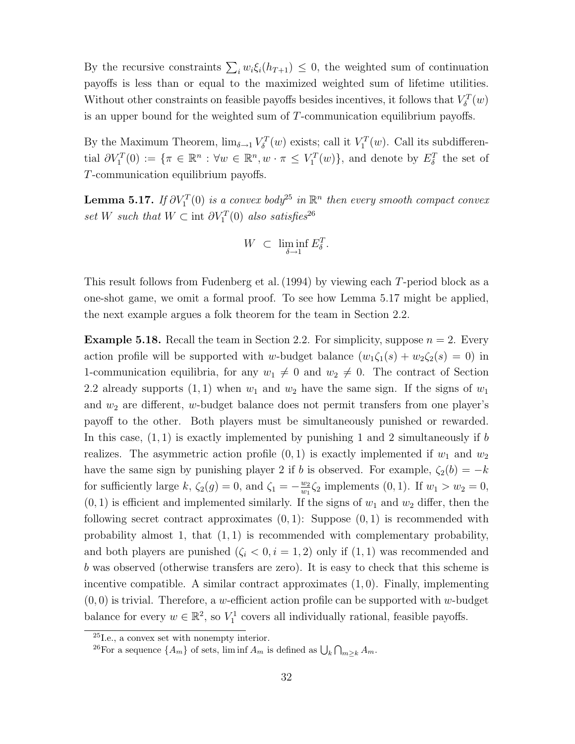By the recursive constraints  $\sum_i w_i \xi_i(h_{T+1}) \leq 0$ , the weighted sum of continuation payoffs is less than or equal to the maximized weighted sum of lifetime utilities. Without other constraints on feasible payoffs besides incentives, it follows that  $V_\delta^T(w)$ is an upper bound for the weighted sum of T-communication equilibrium payoffs.

By the Maximum Theorem,  $\lim_{\delta \to 1} V_{\delta}^T(w)$  exists; call it  $V_1^T(w)$ . Call its subdifferential  $\partial V_1^T(0) := \{ \pi \in \mathbb{R}^n : \forall w \in \mathbb{R}^n, w \cdot \pi \leq V_1^T(w) \}$ , and denote by  $E_\delta^T$  the set of T-communication equilibrium payoffs.

<span id="page-33-2"></span>**Lemma 5.17.** If  $\partial V_1^T(0)$  is a convex body<sup>[25](#page-33-0)</sup> in  $\mathbb{R}^n$  then every smooth compact convex set W such that  $W \subset \text{int } \partial V_1^T(0)$  also satisfies<sup>[26](#page-33-1)</sup>

$$
W \ \subset \ \liminf_{\delta \to 1} E_\delta^T.
$$

This result follows from [Fudenberg et al.\(1994\)](#page-37-4) by viewing each T-period block as a one-shot game, we omit a formal proof. To see how [Lemma 5.17](#page-33-2) might be applied, the next example argues a folk theorem for the team in [Section 2.2.](#page-8-0)

**Example 5.18.** Recall the team in [Section 2.2.](#page-8-0) For simplicity, suppose  $n = 2$ . Every action profile will be supported with w-budget balance  $(w_1\zeta_1(s) + w_2\zeta_2(s) = 0)$  in 1-communication equilibria, for any  $w_1 \neq 0$  and  $w_2 \neq 0$ . The contract of [Section](#page-8-0) [2.2](#page-8-0) already supports  $(1, 1)$  when  $w_1$  and  $w_2$  have the same sign. If the signs of  $w_1$ and  $w_2$  are different, w-budget balance does not permit transfers from one player's payoff to the other. Both players must be simultaneously punished or rewarded. In this case,  $(1, 1)$  is exactly implemented by punishing 1 and 2 simultaneously if b realizes. The asymmetric action profile  $(0, 1)$  is exactly implemented if  $w_1$  and  $w_2$ have the same sign by punishing player 2 if b is observed. For example,  $\zeta_2(b) = -k$ for sufficiently large k,  $\zeta_2(g) = 0$ , and  $\zeta_1 = -\frac{w_2}{w_1}$  $\frac{w_2}{w_1}\zeta_2$  implements  $(0, 1)$ . If  $w_1 > w_2 = 0$ ,  $(0, 1)$  is efficient and implemented similarly. If the signs of  $w_1$  and  $w_2$  differ, then the following secret contract approximates  $(0, 1)$ : Suppose  $(0, 1)$  is recommended with probability almost 1, that  $(1, 1)$  is recommended with complementary probability, and both players are punished  $(\zeta_i < 0, i = 1, 2)$  only if  $(1, 1)$  was recommended and b was observed (otherwise transfers are zero). It is easy to check that this scheme is incentive compatible. A similar contract approximates (1, 0). Finally, implementing  $(0,0)$  is trivial. Therefore, a w-efficient action profile can be supported with w-budget balance for every  $w \in \mathbb{R}^2$ , so  $V_1^1$  covers all individually rational, feasible payoffs.

<span id="page-33-0"></span><sup>25</sup>I.e., a convex set with nonempty interior.

<span id="page-33-1"></span><sup>&</sup>lt;sup>26</sup>For a sequence  $\{A_m\}$  of sets, lim inf  $A_m$  is defined as  $\bigcup_k \bigcap_{m \geq k} A_m$ .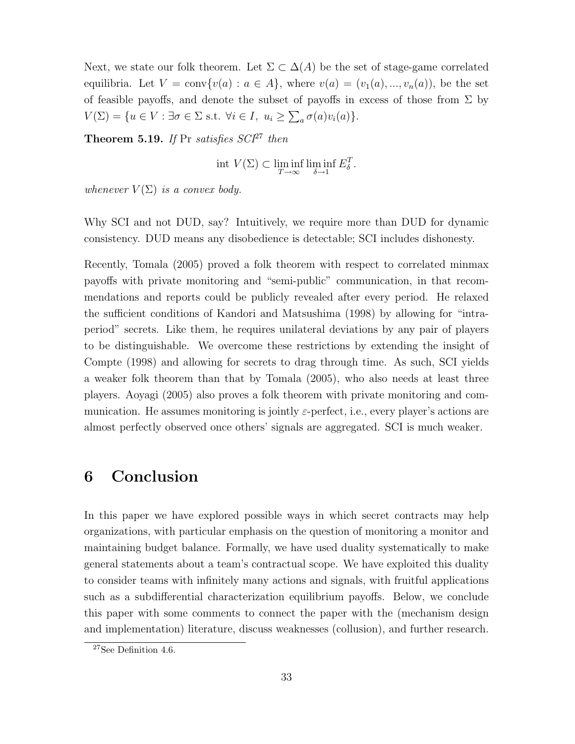Next, we state our folk theorem. Let  $\Sigma \subset \Delta(A)$  be the set of stage-game correlated equilibria. Let  $V = \text{conv}\{v(a) : a \in A\}$ , where  $v(a) = (v_1(a), ..., v_n(a))$ , be the set of feasible payoffs, and denote the subset of payoffs in excess of those from  $\Sigma$  by  $V(\Sigma) = \{u \in V : \exists \sigma \in \Sigma \text{ s.t. } \forall i \in I, u_i \geq \sum_a \sigma(a)v_i(a)\}.$ 

<span id="page-34-2"></span>Theorem 5.19. If Pr satisfies  $SCI<sup>27</sup>$  $SCI<sup>27</sup>$  $SCI<sup>27</sup>$  then

$$
int V(\Sigma) \subset \liminf_{T \to \infty} \liminf_{\delta \to 1} E_{\delta}^T.
$$

whenever  $V(\Sigma)$  is a convex body.

Why SCI and not DUD, say? Intuitively, we require more than DUD for dynamic consistency. DUD means any disobedience is detectable; SCI includes dishonesty.

Recently, [Tomala](#page-38-6) [\(2005\)](#page-38-6) proved a folk theorem with respect to correlated minmax payoffs with private monitoring and "semi-public" communication, in that recommendations and reports could be publicly revealed after every period. He relaxed the sufficient conditions of [Kandori and Matsushima](#page-37-7) [\(1998\)](#page-37-7) by allowing for "intraperiod" secrets. Like them, he requires unilateral deviations by any pair of players to be distinguishable. We overcome these restrictions by extending the insight of [Compte](#page-37-5) [\(1998\)](#page-37-5) and allowing for secrets to drag through time. As such, SCI yields a weaker folk theorem than that by [Tomala](#page-38-6) [\(2005\)](#page-38-6), who also needs at least three players. [Aoyagi](#page-36-2) [\(2005\)](#page-36-2) also proves a folk theorem with private monitoring and communication. He assumes monitoring is jointly  $\varepsilon$ -perfect, i.e., every player's actions are almost perfectly observed once others' signals are aggregated. SCI is much weaker.

# <span id="page-34-0"></span>6 Conclusion

In this paper we have explored possible ways in which secret contracts may help organizations, with particular emphasis on the question of monitoring a monitor and maintaining budget balance. Formally, we have used duality systematically to make general statements about a team's contractual scope. We have exploited this duality to consider teams with infinitely many actions and signals, with fruitful applications such as a subdifferential characterization equilibrium payoffs. Below, we conclude this paper with some comments to connect the paper with the (mechanism design and implementation) literature, discuss weaknesses (collusion), and further research.

<span id="page-34-1"></span><sup>27</sup>See [Definition 4.6.](#page-23-1)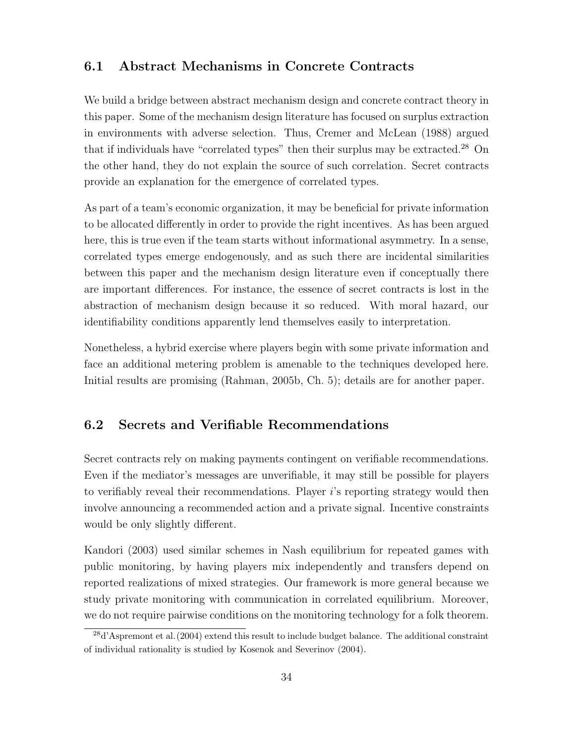### <span id="page-35-0"></span>6.1 Abstract Mechanisms in Concrete Contracts

We build a bridge between abstract mechanism design and concrete contract theory in this paper. Some of the mechanism design literature has focused on surplus extraction in environments with adverse selection. Thus, [Cremer and McLean](#page-37-12) [\(1988\)](#page-37-12) argued that if individuals have "correlated types" then their surplus may be extracted.<sup>[28](#page-35-2)</sup> On the other hand, they do not explain the source of such correlation. Secret contracts provide an explanation for the emergence of correlated types.

As part of a team's economic organization, it may be beneficial for private information to be allocated differently in order to provide the right incentives. As has been argued here, this is true even if the team starts without informational asymmetry. In a sense, correlated types emerge endogenously, and as such there are incidental similarities between this paper and the mechanism design literature even if conceptually there are important differences. For instance, the essence of secret contracts is lost in the abstraction of mechanism design because it so reduced. With moral hazard, our identifiability conditions apparently lend themselves easily to interpretation.

Nonetheless, a hybrid exercise where players begin with some private information and face an additional metering problem is amenable to the techniques developed here. Initial results are promising [\(Rahman,](#page-38-8) [2005b,](#page-38-8) Ch. 5); details are for another paper.

### <span id="page-35-1"></span>6.2 Secrets and Verifiable Recommendations

Secret contracts rely on making payments contingent on verifiable recommendations. Even if the mediator's messages are unverifiable, it may still be possible for players to verifiably reveal their recommendations. Player  $i$ 's reporting strategy would then involve announcing a recommended action and a private signal. Incentive constraints would be only slightly different.

[Kandori](#page-37-8) [\(2003\)](#page-37-8) used similar schemes in Nash equilibrium for repeated games with public monitoring, by having players mix independently and transfers depend on reported realizations of mixed strategies. Our framework is more general because we study private monitoring with communication in correlated equilibrium. Moreover, we do not require pairwise conditions on the monitoring technology for a folk theorem.

<span id="page-35-2"></span><sup>28</sup>[d'Aspremont et al.\(2004\)](#page-37-10) extend this result to include budget balance. The additional constraint of individual rationality is studied by [Kosenok and Severinov](#page-37-13) [\(2004\)](#page-37-13).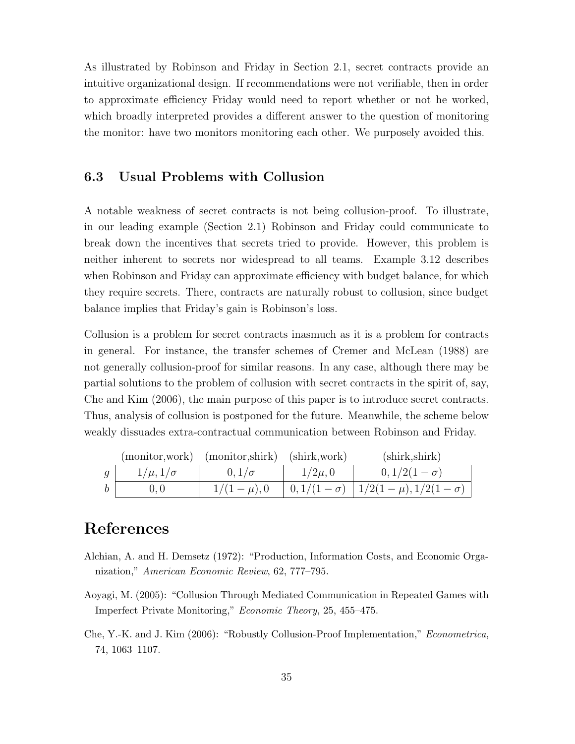As illustrated by Robinson and Friday in [Section 2.1,](#page-6-1) secret contracts provide an intuitive organizational design. If recommendations were not verifiable, then in order to approximate efficiency Friday would need to report whether or not he worked, which broadly interpreted provides a different answer to the question of monitoring the monitor: have two monitors monitoring each other. We purposely avoided this.

### <span id="page-36-0"></span>6.3 Usual Problems with Collusion

A notable weakness of secret contracts is not being collusion-proof. To illustrate, in our leading example [\(Section 2.1\)](#page-6-1) Robinson and Friday could communicate to break down the incentives that secrets tried to provide. However, this problem is neither inherent to secrets nor widespread to all teams. [Example 3.12](#page-18-1) describes when Robinson and Friday can approximate efficiency with budget balance, for which they require secrets. There, contracts are naturally robust to collusion, since budget balance implies that Friday's gain is Robinson's loss.

Collusion is a problem for secret contracts inasmuch as it is a problem for contracts in general. For instance, the transfer schemes of [Cremer and McLean](#page-37-12) [\(1988\)](#page-37-12) are not generally collusion-proof for similar reasons. In any case, although there may be partial solutions to the problem of collusion with secret contracts in the spirit of, say, [Che and Kim](#page-36-3) [\(2006\)](#page-36-3), the main purpose of this paper is to introduce secret contracts. Thus, analysis of collusion is postponed for the future. Meanwhile, the scheme below weakly dissuades extra-contractual communication between Robinson and Friday.

|                |                   | (monitor, work) (monitor, shirk) (shirk, work) |             | (shirk, shirtk)                                                               |
|----------------|-------------------|------------------------------------------------|-------------|-------------------------------------------------------------------------------|
| $\mathfrak{g}$ | $1/\mu, 1/\sigma$ | $0,1/\sigma$                                   | $1/2\mu, 0$ | $0, 1/2(1-\sigma)$                                                            |
|                |                   |                                                |             | $1/(1-\mu)$ , 0 $\left(0,1/(1-\sigma) \right)$ $1/2(1-\mu)$ , $1/2(1-\sigma)$ |

# References

- <span id="page-36-1"></span>Alchian, A. and H. Demsetz (1972): "Production, Information Costs, and Economic Organization," American Economic Review, 62, 777–795.
- <span id="page-36-2"></span>Aoyagi, M. (2005): "Collusion Through Mediated Communication in Repeated Games with Imperfect Private Monitoring," Economic Theory, 25, 455–475.
- <span id="page-36-3"></span>Che, Y.-K. and J. Kim (2006): "Robustly Collusion-Proof Implementation," Econometrica, 74, 1063–1107.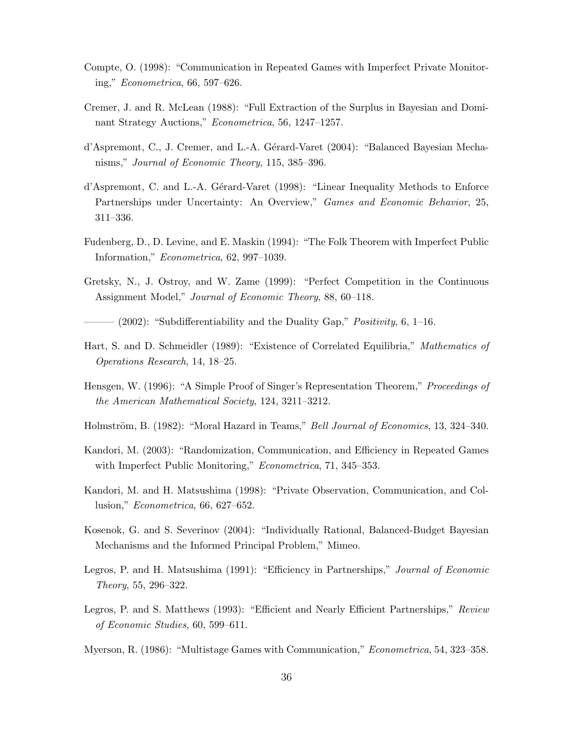- <span id="page-37-5"></span>Compte, O. (1998): "Communication in Repeated Games with Imperfect Private Monitoring," Econometrica, 66, 597–626.
- <span id="page-37-12"></span>Cremer, J. and R. McLean (1988): "Full Extraction of the Surplus in Bayesian and Dominant Strategy Auctions," Econometrica, 56, 1247–1257.
- <span id="page-37-10"></span>d'Aspremont, C., J. Cremer, and L.-A. Gérard-Varet (2004): "Balanced Bayesian Mechanisms," Journal of Economic Theory, 115, 385–396.
- <span id="page-37-3"></span>d'Aspremont, C. and L.-A. Gérard-Varet (1998): "Linear Inequality Methods to Enforce Partnerships under Uncertainty: An Overview," Games and Economic Behavior, 25, 311–336.
- <span id="page-37-4"></span>Fudenberg, D., D. Levine, and E. Maskin (1994): "The Folk Theorem with Imperfect Public Information," Econometrica, 62, 997–1039.
- <span id="page-37-11"></span>Gretsky, N., J. Ostroy, and W. Zame (1999): "Perfect Competition in the Continuous Assignment Model," Journal of Economic Theory, 88, 60–118.
- <span id="page-37-14"></span> $(2002)$ : "Subdifferentiability and the Duality Gap," *Positivity*, 6, 1–16.
- <span id="page-37-9"></span>Hart, S. and D. Schmeidler (1989): "Existence of Correlated Equilibria," Mathematics of Operations Research, 14, 18–25.
- <span id="page-37-15"></span>Hensgen, W. (1996): "A Simple Proof of Singer's Representation Theorem," Proceedings of the American Mathematical Society, 124, 3211–3212.
- <span id="page-37-0"></span>Holmström, B. (1982): "Moral Hazard in Teams," *Bell Journal of Economics*, 13, 324–340.
- <span id="page-37-8"></span>Kandori, M. (2003): "Randomization, Communication, and Efficiency in Repeated Games with Imperfect Public Monitoring," Econometrica, 71, 345–353.
- <span id="page-37-7"></span>Kandori, M. and H. Matsushima (1998): "Private Observation, Communication, and Collusion," Econometrica, 66, 627–652.
- <span id="page-37-13"></span>Kosenok, G. and S. Severinov (2004): "Individually Rational, Balanced-Budget Bayesian Mechanisms and the Informed Principal Problem," Mimeo.
- <span id="page-37-6"></span>Legros, P. and H. Matsushima (1991): "Efficiency in Partnerships," Journal of Economic Theory, 55, 296–322.
- <span id="page-37-2"></span>Legros, P. and S. Matthews (1993): "Efficient and Nearly Efficient Partnerships," Review of Economic Studies, 60, 599–611.
- <span id="page-37-1"></span>Myerson, R. (1986): "Multistage Games with Communication," Econometrica, 54, 323–358.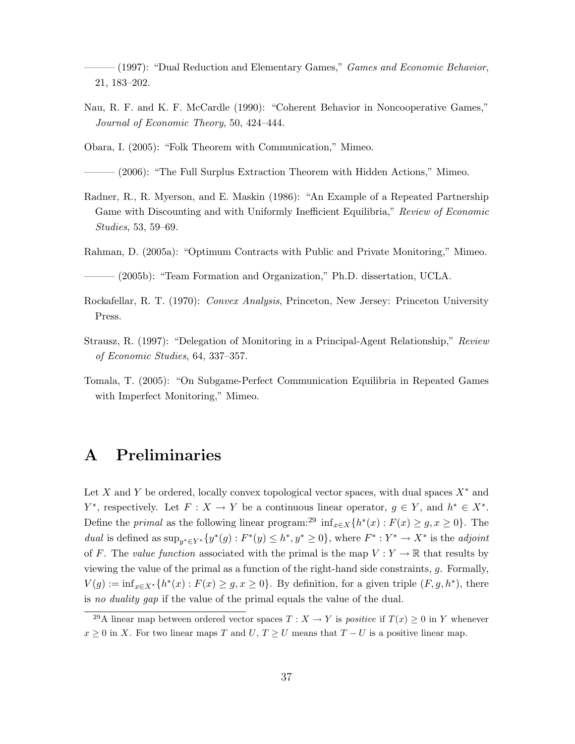<span id="page-38-7"></span>——— (1997): "Dual Reduction and Elementary Games," Games and Economic Behavior, 21, 183–202.

<span id="page-38-4"></span>Nau, R. F. and K. F. McCardle (1990): "Coherent Behavior in Noncooperative Games," Journal of Economic Theory, 50, 424–444.

<span id="page-38-5"></span>Obara, I. (2005): "Folk Theorem with Communication," Mimeo.

 $(2006)$ : "The Full Surplus Extraction Theorem with Hidden Actions," Mimeo.

<span id="page-38-3"></span>Radner, R., R. Myerson, and E. Maskin (1986): "An Example of a Repeated Partnership Game with Discounting and with Uniformly Inefficient Equilibria," Review of Economic Studies, 53, 59–69.

<span id="page-38-0"></span>Rahman, D. (2005a): "Optimum Contracts with Public and Private Monitoring," Mimeo.

<span id="page-38-8"></span> $(2005b)$ : "Team Formation and Organization," Ph.D. dissertation, UCLA.

- <span id="page-38-10"></span>Rockafellar, R. T. (1970): Convex Analysis, Princeton, New Jersey: Princeton University Press.
- <span id="page-38-2"></span>Strausz, R. (1997): "Delegation of Monitoring in a Principal-Agent Relationship," Review of Economic Studies, 64, 337–357.
- <span id="page-38-6"></span>Tomala, T. (2005): "On Subgame-Perfect Communication Equilibria in Repeated Games with Imperfect Monitoring," Mimeo.

# <span id="page-38-1"></span>A Preliminaries

Let X and Y be ordered, locally convex topological vector spaces, with dual spaces  $X^*$  and  $Y^*$ , respectively. Let  $F: X \to Y$  be a continuous linear operator,  $g \in Y$ , and  $h^* \in X^*$ . Define the *primal* as the following linear program:<sup>[29](#page-38-9)</sup> inf<sub>x∈X</sub>{ $h^*(x)$  :  $F(x) \geq g, x \geq 0$ }. The dual is defined as  $\sup_{y^* \in Y^*} \{y^*(g) : F^*(y) \leq h^*, y^* \geq 0\}$ , where  $F^* : Y^* \to X^*$  is the *adjoint* of F. The value function associated with the primal is the map  $V: Y \to \mathbb{R}$  that results by viewing the value of the primal as a function of the right-hand side constraints,  $g$ . Formally,  $V(g) := \inf_{x \in X^*} \{ h^*(x) : F(x) \ge g, x \ge 0 \}.$  By definition, for a given triple  $(F, g, h^*)$ , there is no duality gap if the value of the primal equals the value of the dual.

<span id="page-38-9"></span><sup>&</sup>lt;sup>29</sup>A linear map between ordered vector spaces  $T : X \to Y$  is *positive* if  $T(x) \geq 0$  in Y whenever  $x \geq 0$  in X. For two linear maps T and  $U, T \geq U$  means that  $T - U$  is a positive linear map.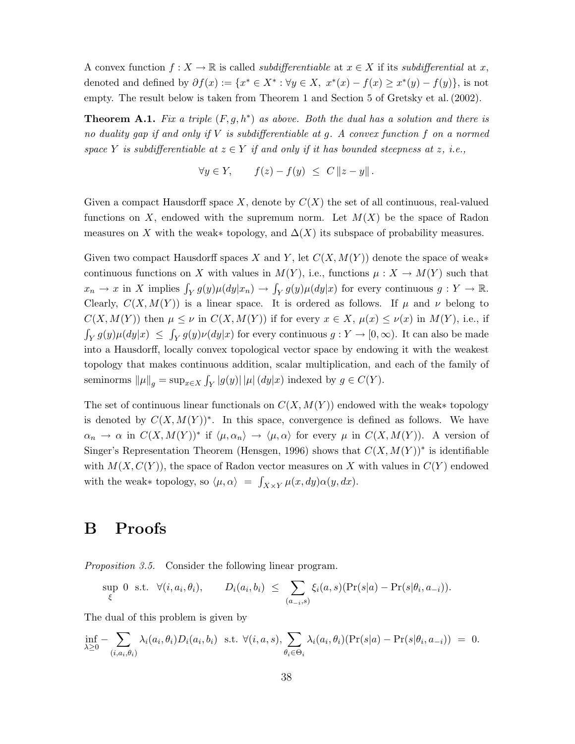A convex function  $f: X \to \mathbb{R}$  is called *subdifferentiable* at  $x \in X$  if its *subdifferential* at x, denoted and defined by  $\partial f(x) := \{x^* \in X^* : \forall y \in X, x^*(x) - f(x) \geq x^*(y) - f(y)\},\$ is not empty. The result below is taken from Theorem 1 and Section 5 of [Gretsky et al.\(2002\)](#page-37-14).

<span id="page-39-2"></span>**Theorem A.1.** Fix a triple  $(F, g, h^*)$  as above. Both the dual has a solution and there is no duality gap if and only if  $V$  is subdifferentiable at  $g$ . A convex function  $f$  on a normed space Y is subdifferentiable at  $z \in Y$  if and only if it has bounded steepness at z, i.e.,

$$
\forall y \in Y, \qquad f(z) - f(y) \leq C \|z - y\|.
$$

Given a compact Hausdorff space X, denote by  $C(X)$  the set of all continuous, real-valued functions on X, endowed with the supremum norm. Let  $M(X)$  be the space of Radon measures on X with the weak∗ topology, and  $\Delta(X)$  its subspace of probability measures.

Given two compact Hausdorff spaces X and Y, let  $C(X, M(Y))$  denote the space of weak\* continuous functions on X with values in  $M(Y)$ , i.e., functions  $\mu: X \to M(Y)$  such that  $x_n \to x$  in X implies  $\int_Y g(y) \mu(dy|x_n) \to \int_Y g(y) \mu(dy|x)$  for every continuous  $g: Y \to \mathbb{R}$ . Clearly,  $C(X, M(Y))$  is a linear space. It is ordered as follows. If  $\mu$  and  $\nu$  belong to  $C(X, M(Y))$  then  $\mu \leq \nu$  in  $C(X, M(Y))$  if for every  $x \in X$ ,  $\mu(x) \leq \nu(x)$  in  $M(Y)$ , i.e., if  $\int_Y g(y)\mu(dy|x) \leq \int_Y g(y)\nu(dy|x)$  for every continuous  $g: Y \to [0,\infty)$ . It can also be made into a Hausdorff, locally convex topological vector space by endowing it with the weakest topology that makes continuous addition, scalar multiplication, and each of the family of seminorms  $\|\mu\|_g = \sup_{x \in X} \int_Y |g(y)| |\mu| (dy|x)$  indexed by  $g \in C(Y)$ .

The set of continuous linear functionals on  $C(X, M(Y))$  endowed with the weak∗ topology is denoted by  $C(X, M(Y))^*$ . In this space, convergence is defined as follows. We have  $\alpha_n \to \alpha$  in  $C(X, M(Y))^*$  if  $\langle \mu, \alpha_n \rangle \to \langle \mu, \alpha \rangle$  for every  $\mu$  in  $C(X, M(Y))$ . A version of Singer's Representation Theorem [\(Hensgen,](#page-37-15) [1996\)](#page-37-15) shows that  $C(X, M(Y))^*$  is identifiable with  $M(X, C(Y))$ , the space of Radon vector measures on X with values in  $C(Y)$  endowed with the weak∗ topology, so  $\langle \mu, \alpha \rangle = \int_{X \times Y} \mu(x, dy) \alpha(y, dx)$ .

## <span id="page-39-0"></span>B Proofs

<span id="page-39-1"></span>[Proposition 3.5.](#page-15-2) Consider the following linear program.

$$
\sup_{\xi} 0 \text{ s.t. } \forall (i, a_i, \theta_i), \qquad D_i(a_i, b_i) \leq \sum_{(a_{-i}, s)} \xi_i(a, s)(\Pr(s|a) - \Pr(s|\theta_i, a_{-i})).
$$

The dual of this problem is given by

$$
\inf_{\lambda \geq 0} - \sum_{(i,a_i,\theta_i)} \lambda_i(a_i,\theta_i) D_i(a_i,b_i) \text{ s.t. } \forall (i,a,s), \sum_{\theta_i \in \Theta_i} \lambda_i(a_i,\theta_i) (\Pr(s|a) - \Pr(s|\theta_i,a_{-i})) = 0.
$$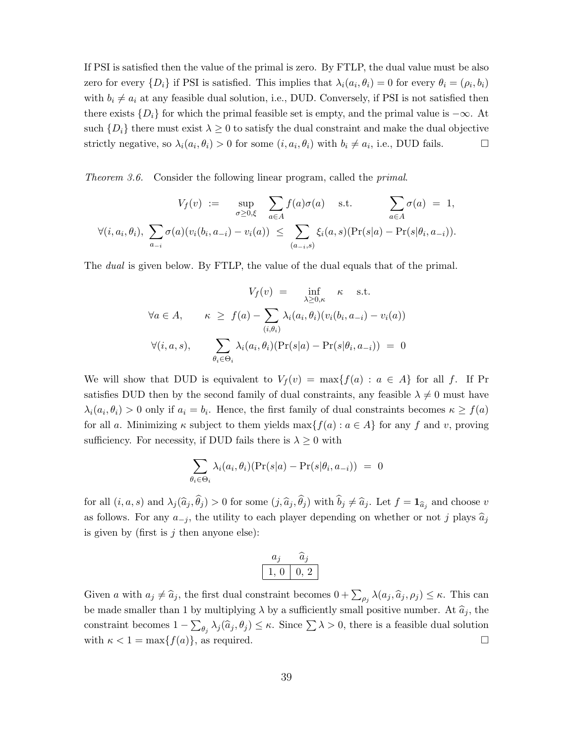If PSI is satisfied then the value of the primal is zero. By FTLP, the dual value must be also zero for every  $\{D_i\}$  if PSI is satisfied. This implies that  $\lambda_i(a_i, \theta_i) = 0$  for every  $\theta_i = (\rho_i, b_i)$ with  $b_i \neq a_i$  at any feasible dual solution, i.e., DUD. Conversely, if PSI is not satisfied then there exists  $\{D_i\}$  for which the primal feasible set is empty, and the primal value is  $-\infty$ . At such  $\{D_i\}$  there must exist  $\lambda \geq 0$  to satisfy the dual constraint and make the dual objective strictly negative, so  $\lambda_i(a_i, \theta_i) > 0$  for some  $(i, a_i, \theta_i)$  with  $b_i \neq a_i$ , i.e., DUD fails.

<span id="page-40-0"></span>[Theorem 3.6.](#page-15-0) Consider the following linear program, called the primal.

$$
V_f(v) := \sup_{\sigma \ge 0, \xi} \sum_{a \in A} f(a)\sigma(a) \quad \text{s.t.} \quad \sum_{a \in A} \sigma(a) = 1,
$$
  

$$
\forall (i, a_i, \theta_i), \sum_{a_{-i}} \sigma(a)(v_i(b_i, a_{-i}) - v_i(a)) \le \sum_{(a_{-i}, s)} \xi_i(a, s)(\Pr(s|a) - \Pr(s|\theta_i, a_{-i})).
$$

The *dual* is given below. By FTLP, the value of the dual equals that of the primal.

$$
V_f(v) = \inf_{\lambda \ge 0,\kappa} \kappa \quad \text{s.t.}
$$
  

$$
\forall a \in A, \qquad \kappa \ge f(a) - \sum_{(i,\theta_i)} \lambda_i(a_i, \theta_i)(v_i(b_i, a_{-i}) - v_i(a))
$$
  

$$
\forall (i, a, s), \qquad \sum_{\theta_i \in \Theta_i} \lambda_i(a_i, \theta_i)(\Pr(s|a) - \Pr(s|\theta_i, a_{-i})) = 0
$$

We will show that DUD is equivalent to  $V_f(v) = \max\{f(a) : a \in A\}$  for all f. If Pr satisfies DUD then by the second family of dual constraints, any feasible  $\lambda \neq 0$  must have  $\lambda_i(a_i, \theta_i) > 0$  only if  $a_i = b_i$ . Hence, the first family of dual constraints becomes  $\kappa \ge f(a)$ for all a. Minimizing  $\kappa$  subject to them yields  $\max\{f(a) : a \in A\}$  for any f and v, proving sufficiency. For necessity, if DUD fails there is  $\lambda \geq 0$  with

$$
\sum_{\theta_i \in \Theta_i} \lambda_i(a_i, \theta_i)(\Pr(s|a) - \Pr(s|\theta_i, a_{-i})) = 0
$$

for all  $(i, a, s)$  and  $\lambda_j(\hat{a}_j, \theta_j) > 0$  for some  $(j, \hat{a}_j, \theta_j)$  with  $b_j \neq \hat{a}_j$ . Let  $f = \mathbf{1}_{\hat{a}_j}$  and choose v as follows. For any  $a_{-j}$ , the utility to each player depending on whether or not j plays  $\hat{a}_j$ is given by (first is  $j$  then anyone else):

$$
\begin{array}{c|c} a_j & \widehat{a}_j \\ \hline 1, \, 0 & 0, \, 2 \\ \hline \end{array}
$$

Given a with  $a_j \neq \hat{a}_j$ , the first dual constraint becomes  $0 + \sum_{\rho_j} \lambda(a_j, \hat{a}_j, \rho_j) \leq \kappa$ . This can be made smaller than 1 by multiplying  $\lambda$  by a sufficiently small positive number. At  $\hat{a}_i$ , the constraint becomes  $1 - \sum_{\theta_j} \lambda_j(\hat{a}_j, \theta_j) \leq \kappa$ . Since  $\sum \lambda > 0$ , there is a feasible dual solution with  $\kappa < 1 = \max\{f(a)\}\text{, as required.}$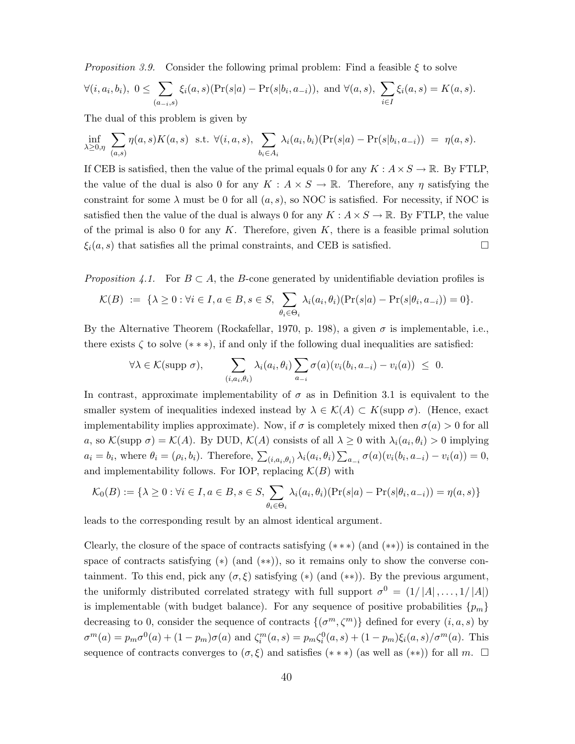<span id="page-41-0"></span>*[Proposition 3.9.](#page-17-1)* Consider the following primal problem: Find a feasible  $\xi$  to solve

$$
\forall (i, a_i, b_i), \ 0 \leq \sum_{(a_{-i}, s)} \xi_i(a, s)(\Pr(s|a) - \Pr(s|b_i, a_{-i})), \text{ and } \forall (a, s), \ \sum_{i \in I} \xi_i(a, s) = K(a, s).
$$

The dual of this problem is given by

$$
\inf_{\lambda \geq 0, \eta} \sum_{(a,s)} \eta(a,s) K(a,s) \text{ s.t. } \forall (i,a,s), \sum_{b_i \in A_i} \lambda_i(a_i,b_i) (\Pr(s|a) - \Pr(s|b_i,a_{-i})) = \eta(a,s).
$$

If CEB is satisfied, then the value of the primal equals 0 for any  $K : A \times S \to \mathbb{R}$ . By FTLP, the value of the dual is also 0 for any  $K : A \times S \to \mathbb{R}$ . Therefore, any  $\eta$  satisfying the constraint for some  $\lambda$  must be 0 for all  $(a, s)$ , so NOC is satisfied. For necessity, if NOC is satisfied then the value of the dual is always 0 for any  $K : A \times S \to \mathbb{R}$ . By FTLP, the value of the primal is also 0 for any  $K$ . Therefore, given  $K$ , there is a feasible primal solution  $\xi_i(a, s)$  that satisfies all the primal constraints, and CEB is satisfied.

<span id="page-41-1"></span>*[Proposition 4.1.](#page-20-3)* For  $B \subset A$ , the B-cone generated by unidentifiable deviation profiles is

$$
\mathcal{K}(B) := \{ \lambda \geq 0 : \forall i \in I, a \in B, s \in S, \sum_{\theta_i \in \Theta_i} \lambda_i(a_i, \theta_i) (\Pr(s|a) - \Pr(s|\theta_i, a_{-i})) = 0 \}.
$$

By the Alternative Theorem [\(Rockafellar,](#page-38-10) [1970,](#page-38-10) p. 198), a given  $\sigma$  is implementable, i.e., there exists  $\zeta$  to solve  $(* * *)$ , if and only if the following dual inequalities are satisfied:

$$
\forall \lambda \in \mathcal{K}(\text{supp }\sigma), \qquad \sum_{(i,a_i,\theta_i)} \lambda_i(a_i,\theta_i) \sum_{a_{-i}} \sigma(a) (v_i(b_i,a_{-i}) - v_i(a)) \leq 0.
$$

In contrast, approximate implementability of  $\sigma$  as in [Definition 3.1](#page-12-4) is equivalent to the smaller system of inequalities indexed instead by  $\lambda \in \mathcal{K}(A) \subset K(\text{supp }\sigma)$ . (Hence, exact implementability implies approximate). Now, if  $\sigma$  is completely mixed then  $\sigma(a) > 0$  for all a, so  $\mathcal{K}(\text{supp }\sigma) = \mathcal{K}(A)$ . By DUD,  $\mathcal{K}(A)$  consists of all  $\lambda \geq 0$  with  $\lambda_i(a_i, \theta_i) > 0$  implying  $a_i = b_i$ , where  $\theta_i = (\rho_i, b_i)$ . Therefore,  $\sum_{(i, a_i, \theta_i)} \lambda_i(a_i, \theta_i) \sum_{a_{-i}} \sigma(a)(v_i(b_i, a_{-i}) - v_i(a)) = 0$ , and implementability follows. For IOP, replacing  $\mathcal{K}(B)$  with

$$
\mathcal{K}_0(B) := \{ \lambda \ge 0 : \forall i \in I, a \in B, s \in S, \sum_{\theta_i \in \Theta_i} \lambda_i(a_i, \theta_i)(\Pr(s|a) - \Pr(s|\theta_i, a_{-i})) = \eta(a, s) \}
$$

leads to the corresponding result by an almost identical argument.

Clearly, the closure of the space of contracts satisfying ([∗ ∗ ∗](#page-20-2)) (and ([∗∗](#page-18-3))) is contained in the space of contracts satisfying (\*) (and (\*\*)), so it remains only to show the converse containment. To this end, pick any  $(\sigma, \xi)$  satisfying  $(*)$  (and  $(**)$ ). By the previous argument, the uniformly distributed correlated strategy with full support  $\sigma^0 = (1/|A|, \ldots, 1/|A|)$ is implementable (with budget balance). For any sequence of positive probabilities  $\{p_m\}$ decreasing to 0, consider the sequence of contracts  $\{(\sigma^m, \zeta^m)\}\$  defined for every  $(i, a, s)$  by  $\sigma^{m}(a) = p_{m}\sigma^{0}(a) + (1-p_{m})\sigma(a)$  and  $\zeta_{i}^{m}(a,s) = p_{m}\zeta_{i}^{0}(a,s) + (1-p_{m})\xi_{i}(a,s)/\sigma^{m}(a)$ . This sequence of contracts converges to  $(\sigma, \xi)$  and satisfies  $(**)$  (as well as  $(**)$ ) for all m.  $\square$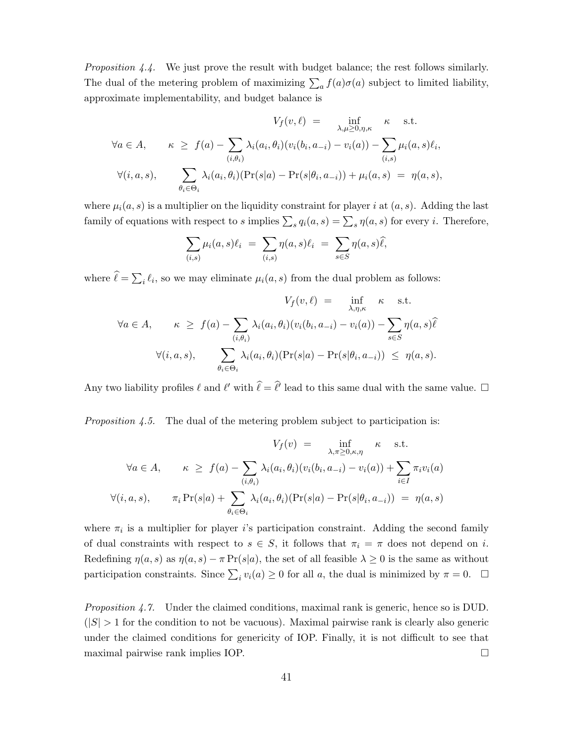<span id="page-42-0"></span>[Proposition 4.4.](#page-22-3) We just prove the result with budget balance; the rest follows similarly. The dual of the metering problem of maximizing  $\sum_a f(a)\sigma(a)$  subject to limited liability, approximate implementability, and budget balance is

$$
V_f(v,\ell) = \inf_{\lambda,\mu \ge 0,\eta,\kappa} \kappa \text{ s.t.}
$$
  

$$
\forall a \in A, \qquad \kappa \ge f(a) - \sum_{(i,\theta_i)} \lambda_i(a_i,\theta_i)(v_i(b_i,a_{-i}) - v_i(a)) - \sum_{(i,s)} \mu_i(a,s)\ell_i,
$$
  

$$
\forall (i,a,s), \qquad \sum_{\theta_i \in \Theta_i} \lambda_i(a_i,\theta_i)(\Pr(s|a) - \Pr(s|\theta_i,a_{-i})) + \mu_i(a,s) = \eta(a,s),
$$

where  $\mu_i(a, s)$  is a multiplier on the liquidity constraint for player i at  $(a, s)$ . Adding the last family of equations with respect to s implies  $\sum_s q_i(a, s) = \sum_s \eta(a, s)$  for every i. Therefore,

$$
\sum_{(i,s)} \mu_i(a,s)\ell_i = \sum_{(i,s)} \eta(a,s)\ell_i = \sum_{s \in S} \eta(a,s)\widehat{\ell},
$$

where  $\ell = \sum_i \ell_i$ , so we may eliminate  $\mu_i(a, s)$  from the dual problem as follows:

$$
V_f(v, \ell) = \inf_{\lambda, \eta, \kappa} \kappa \text{ s.t.}
$$
  

$$
\forall a \in A, \qquad \kappa \ge f(a) - \sum_{(i, \theta_i)} \lambda_i(a_i, \theta_i)(v_i(b_i, a_{-i}) - v_i(a)) - \sum_{s \in S} \eta(a, s)\hat{\ell}
$$
  

$$
\forall (i, a, s), \qquad \sum_{\theta_i \in \Theta_i} \lambda_i(a_i, \theta_i)(\Pr(s|a) - \Pr(s|\theta_i, a_{-i})) \le \eta(a, s).
$$

Any two liability profiles  $\ell$  and  $\ell'$  with  $\hat{\ell} = \hat{\ell}'$  lead to this same dual with the same value.  $\Box$ 

<span id="page-42-1"></span>*[Proposition 4.5.](#page-23-2)* The dual of the metering problem subject to participation is:

$$
V_f(v) = \inf_{\lambda, \pi \ge 0, \kappa, \eta} \kappa \text{ s.t.}
$$
  

$$
\forall a \in A, \qquad \kappa \ge f(a) - \sum_{(i, \theta_i)} \lambda_i(a_i, \theta_i)(v_i(b_i, a_{-i}) - v_i(a)) + \sum_{i \in I} \pi_i v_i(a)
$$
  

$$
\forall (i, a, s), \qquad \pi_i \Pr(s|a) + \sum_{\theta_i \in \Theta_i} \lambda_i(a_i, \theta_i)(\Pr(s|a) - \Pr(s|\theta_i, a_{-i})) = \eta(a, s)
$$

where  $\pi_i$  is a multiplier for player *i*'s participation constraint. Adding the second family of dual constraints with respect to  $s \in S$ , it follows that  $\pi_i = \pi$  does not depend on i. Redefining  $\eta(a, s)$  as  $\eta(a, s) - \pi \Pr(s|a)$ , the set of all feasible  $\lambda \geq 0$  is the same as without participation constraints. Since  $\sum_i v_i(a) \ge 0$  for all a, the dual is minimized by  $\pi = 0$ .  $\Box$ 

<span id="page-42-2"></span>[Proposition 4.7.](#page-24-3) Under the claimed conditions, maximal rank is generic, hence so is DUD.  $(|S| > 1$  for the condition to not be vacuous). Maximal pairwise rank is clearly also generic under the claimed conditions for genericity of IOP. Finally, it is not difficult to see that maximal pairwise rank implies IOP.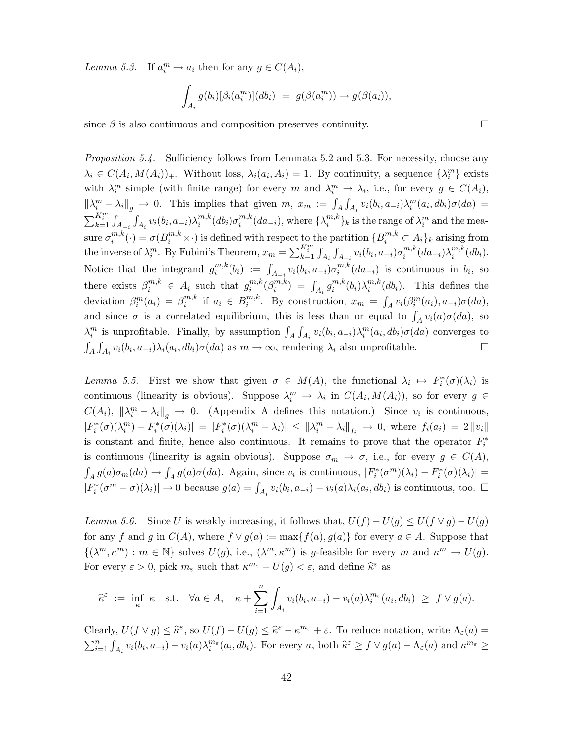<span id="page-43-0"></span>[Lemma 5.3.](#page-25-2) If  $a_i^m \to a_i$  then for any  $g \in C(A_i)$ ,

$$
\int_{A_i} g(b_i) [\beta_i(a_i^m)](db_i) = g(\beta(a_i^m)) \to g(\beta(a_i)),
$$

since  $\beta$  is also continuous and composition preserves continuity.  $\Box$ 

<span id="page-43-1"></span>[Proposition 5.4.](#page-25-0) Sufficiency follows from [Lemmata 5.2](#page-24-2) and [5.3.](#page-25-2) For necessity, choose any  $\lambda_i \in C(A_i, M(A_i))_+$ . Without loss,  $\lambda_i(a_i, A_i) = 1$ . By continuity, a sequence  $\{\lambda_i^m\}$  exists with  $\lambda_i^m$  simple (with finite range) for every m and  $\lambda_i^m \to \lambda_i$ , i.e., for every  $g \in C(A_i)$ ,  $\|\lambda_i^m - \lambda_i\|_g \to 0$ . This implies that given  $m, x_m := \int_A \int_{A_i} v_i(b_i, a_{-i}) \lambda_i^m(a_i, db_i) \sigma(da) =$  $\sum_{k=1}^{K_i^m} \int_{A_{-i}} \int_{A_i} v_i(b_i, a_{-i}) \lambda_i^{m,k}$  $_{i}^{m,k}(db_{i})\sigma_{i}^{m,k}$  $i^{m,k}(da_{-i}),$  where  $\{\lambda_i^{m,k}$  ${m,k \choose i}$ <sub>k</sub> is the range of  $\lambda_i^m$  and the measure  $\sigma^{m,k}_i$  $\mathcal{L}^{m,k}_i(\cdot) = \sigma(B^{m,k}_i \times \cdot)$  is defined with respect to the partition  $\{B^{m,k}_i \subset A_i\}_k$  arising from the inverse of  $\lambda_i^m$ . By Fubini's Theorem,  $x_m = \sum_{k=1}^{K_i^m} \int_{A_i} \int_{A_{-i}} v_i(b_i, a_{-i}) \sigma_i^{m,k}$  $_{i}^{m,k}(da_{-i})\lambda_{i}^{m,k}$  $i^{m,\kappa}(db_i).$ Notice that the integrand  $g_i^{m,k}$  $\hat{u}_i^{m,k}(b_i) := \int_{A_{-i}} v_i(b_i, a_{-i}) \sigma_i^{m,k}$  $i^{m,\kappa}(da_{-i})$  is continuous in  $b_i$ , so there exists  $\beta_i^{m,k} \in A_i$  such that  $g_i^{m,k}$  $_{i}^{m,k}(\beta_{i}^{m,k}% )_{i}^{m,k}=\sum_{i}^{\infty}\alpha_{i}^{m,k}(\beta_{i}^{m,k}% )_{i}^{m,k}$  $\binom{m,k}{i} = \int_{A_i} g_i^{m,k}$  $\lambda_i^{m,k}(b_i) \lambda_i^{m,k}$  $i^{m,k}(db_i)$ . This defines the deviation  $\beta_i^m(a_i) = \beta_i^{m,k}$  $i^{m,k}$  if  $a_i \in B_i^{m,k}$  $\int_i^{m,k}$ . By construction,  $x_m = \int_A v_i(\beta_i^m(a_i), a_{-i})\sigma(da),$ and since  $\sigma$  is a correlated equilibrium, this is less than or equal to  $\int_A v_i(a)\sigma(da)$ , so  $\lambda_i^m$  is unprofitable. Finally, by assumption  $\int_A \int_{A_i} v_i(b_i, a_{-i}) \lambda_i^m(a_i, db_i) \sigma(da)$  converges to  $\int_A \int_{A_i} v_i(b_i, a_{-i}) \lambda_i(a_i, db_i) \sigma(da)$  as  $m \to \infty$ , rendering  $\lambda_i$  also unprofitable.

<span id="page-43-2"></span>[Lemma 5.5.](#page-25-1) First we show that given  $\sigma \in M(A)$ , the functional  $\lambda_i \mapsto F_i^*(\sigma)(\lambda_i)$  is continuous (linearity is obvious). Suppose  $\lambda_i^m \to \lambda_i$  in  $C(A_i, M(A_i))$ , so for every  $g \in$  $C(A_i)$ ,  $\|\lambda_i^m - \lambda_i\|_g \to 0$ . [\(Appendix A](#page-38-1) defines this notation.) Since  $v_i$  is continuous,  $|F_i^*(\sigma)(\lambda_i^m) - F_i^*(\sigma)(\lambda_i)| = |F_i^*(\sigma)(\lambda_i^m - \lambda_i)| \leq {\|\lambda_i^m - \lambda_i\|}_{f_i} \to 0$ , where  $f_i(a_i) = 2 {\|v_i\|}$ is constant and finite, hence also continuous. It remains to prove that the operator  $F_i^*$ is continuous (linearity is again obvious). Suppose  $\sigma_m \to \sigma$ , i.e., for every  $g \in C(A)$ ,  $\int_A g(a)\sigma_m(da) \to \int_A g(a)\sigma(da)$ . Again, since  $v_i$  is continuous,  $|F_i^*(\sigma^m)(\lambda_i) - F_i^*(\sigma)(\lambda_i)| =$  $|F_i^*(\sigma^m - \sigma)(\lambda_i)| \to 0$  because  $g(a) = \int_{A_i} v_i(b_i, a_{-i}) - v_i(a)\lambda_i(a_i, db_i)$  is continuous, too.  $\Box$ 

<span id="page-43-3"></span>[Lemma 5.6.](#page-26-1) Since U is weakly increasing, it follows that,  $U(f) - U(g) \leq U(f \vee g) - U(g)$ for any f and g in  $C(A)$ , where  $f \vee g(a) := \max\{f(a), g(a)\}\$ for every  $a \in A$ . Suppose that  $\{(\lambda^m, \kappa^m) : m \in \mathbb{N}\}\)$  solves  $U(g)$ , i.e.,  $(\lambda^m, \kappa^m)\)$  is g-feasible for every m and  $\kappa^m \to U(g)$ . For every  $\varepsilon > 0$ , pick  $m_{\varepsilon}$  such that  $\kappa^{m_{\varepsilon}} - U(g) < \varepsilon$ , and define  $\widehat{\kappa}^{\varepsilon}$  as

$$
\widehat{\kappa}^{\varepsilon} \ := \ \inf_{\kappa} \ \kappa \quad \text{s.t.} \quad \forall a \in A, \quad \kappa + \sum_{i=1}^{n} \int_{A_i} v_i(b_i, a_{-i}) - v_i(a) \lambda_i^{m_{\varepsilon}}(a_i, db_i) \ \geq \ f \vee g(a).
$$

Clearly,  $U(f \vee g) \leq \hat{\kappa}^{\varepsilon}$ , so  $U(f) - U(g) \leq \hat{\kappa}^{\varepsilon} - \kappa^{m_{\varepsilon}} + \varepsilon$ . To reduce notation, write  $\Lambda_{\varepsilon}(a) =$  $\sum_{i=1}^n \int_{A_i} v_i(b_i, a_{-i}) - v_i(a) \lambda_i^{m_{\varepsilon}}(a_i, db_i)$ . For every a, both  $\hat{\kappa}^{\varepsilon} \geq f \vee g(a) - \Lambda_{\varepsilon}(a)$  and  $\kappa^{m_{\varepsilon}} \geq$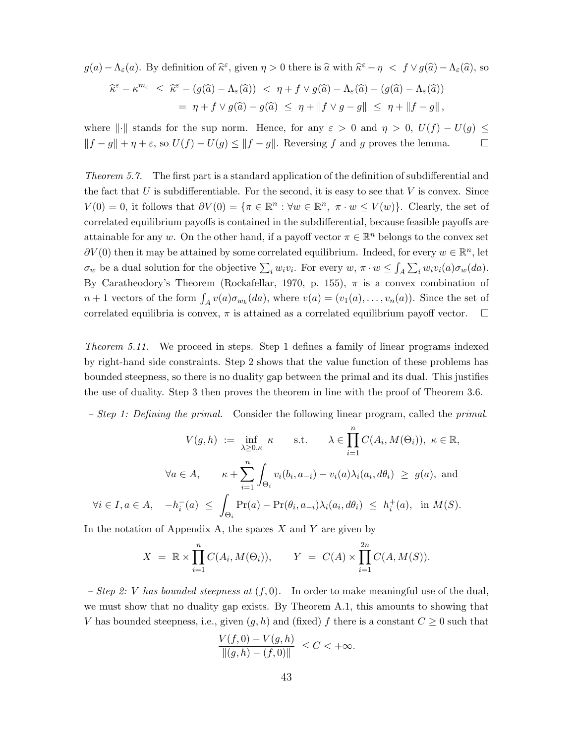$$
g(a) - \Lambda_{\varepsilon}(a)
$$
. By definition of  $\widehat{\kappa}^{\varepsilon}$ , given  $\eta > 0$  there is  $\widehat{a}$  with  $\widehat{\kappa}^{\varepsilon} - \eta < f \vee g(\widehat{a}) - \Lambda_{\varepsilon}(\widehat{a})$ , so

$$
\begin{aligned} \widehat{\kappa}^{\varepsilon} - \kappa^{m_{\varepsilon}} &\leq \widehat{\kappa}^{\varepsilon} - (g(\widehat{a}) - \Lambda_{\varepsilon}(\widehat{a})) < \eta + f \vee g(\widehat{a}) - \Lambda_{\varepsilon}(\widehat{a}) - (g(\widehat{a}) - \Lambda_{\varepsilon}(\widehat{a})) \\ &= \eta + f \vee g(\widehat{a}) - g(\widehat{a}) &\leq \eta + \|f \vee g - g\| \leq \eta + \|f - g\| \,, \end{aligned}
$$

where  $\lVert \cdot \rVert$  stands for the sup norm. Hence, for any  $\varepsilon > 0$  and  $\eta > 0$ ,  $U(f) - U(g) \le$  $||f - g|| + \eta + \varepsilon$ , so  $U(f) - U(g) \le ||f - g||$ . Reversing f and g proves the lemma. □

<span id="page-44-0"></span>[Theorem 5.7.](#page-26-0) The first part is a standard application of the definition of subdifferential and the fact that U is subdifferentiable. For the second, it is easy to see that V is convex. Since  $V(0) = 0$ , it follows that  $\partial V(0) = \{ \pi \in \mathbb{R}^n : \forall w \in \mathbb{R}^n, \pi \cdot w \leq V(w) \}.$  Clearly, the set of correlated equilibrium payoffs is contained in the subdifferential, because feasible payoffs are attainable for any w. On the other hand, if a payoff vector  $\pi \in \mathbb{R}^n$  belongs to the convex set  $\partial V(0)$  then it may be attained by some correlated equilibrium. Indeed, for every  $w \in \mathbb{R}^n$ , let  $\sigma_w$  be a dual solution for the objective  $\sum_i w_i v_i$ . For every  $w, \pi \cdot w \leq \int_A \sum_i w_i v_i(a) \sigma_w(da)$ . By Caratheodory's Theorem [\(Rockafellar,](#page-38-10) [1970,](#page-38-10) p. 155),  $\pi$  is a convex combination of  $n+1$  vectors of the form  $\int_A v(a)\sigma_{w_k}(da)$ , where  $v(a)=(v_1(a),\ldots,v_n(a))$ . Since the set of correlated equilibria is convex,  $\pi$  is attained as a correlated equilibrium payoff vector.  $\Box$ 

<span id="page-44-1"></span>[Theorem 5.11.](#page-29-0) We proceed in steps. Step 1 defines a family of linear programs indexed by right-hand side constraints. Step 2 shows that the value function of these problems has bounded steepness, so there is no duality gap between the primal and its dual. This justifies the use of duality. Step 3 then proves the theorem in line with the proof of [Theorem 3.6.](#page-15-0)

– Step 1: Defining the primal. Consider the following linear program, called the primal.

$$
V(g, h) := \inf_{\lambda \ge 0, \kappa} \kappa \quad \text{s.t.} \quad \lambda \in \prod_{i=1}^n C(A_i, M(\Theta_i)), \ \kappa \in \mathbb{R},
$$

$$
\forall a \in A, \quad \kappa + \sum_{i=1}^n \int_{\Theta_i} v_i(b_i, a_{-i}) - v_i(a)\lambda_i(a_i, d\theta_i) \ge g(a), \text{ and}
$$

$$
\forall i \in I, a \in A, \quad -h_i^-(a) \le \int_{\Theta_i} \Pr(a) - \Pr(\theta_i, a_{-i})\lambda_i(a_i, d\theta_i) \le h_i^+(a), \text{ in } M(S).
$$

In the notation of [Appendix A,](#page-38-1) the spaces  $X$  and  $Y$  are given by

$$
X = \mathbb{R} \times \prod_{i=1}^{n} C(A_i, M(\Theta_i)),
$$
  $Y = C(A) \times \prod_{i=1}^{2n} C(A, M(S)).$ 

– Step 2: V has bounded steepness at  $(f, 0)$ . In order to make meaningful use of the dual, we must show that no duality gap exists. By [Theorem A.1,](#page-39-2) this amounts to showing that V has bounded steepness, i.e., given  $(g, h)$  and (fixed) f there is a constant  $C \geq 0$  such that

$$
\frac{V(f,0) - V(g,h)}{\|(g,h) - (f,0)\|} \le C < +\infty.
$$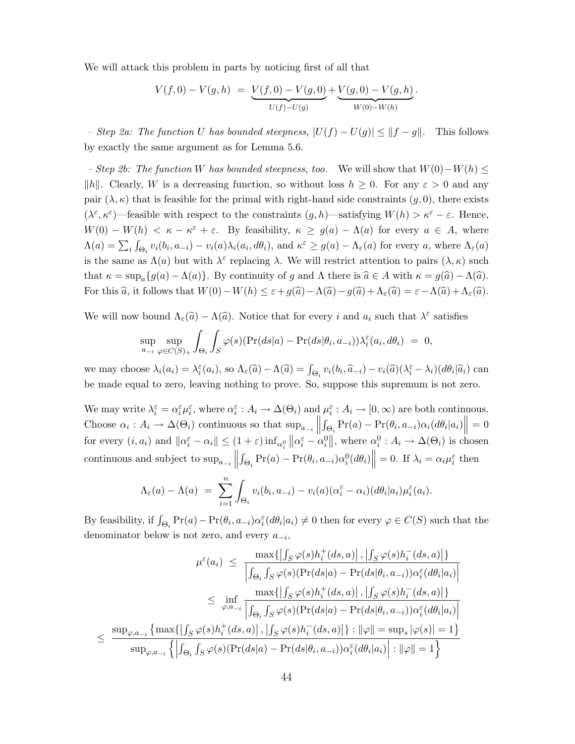We will attack this problem in parts by noticing first of all that

$$
V(f,0) - V(g,h) = \underbrace{V(f,0) - V(g,0)}_{U(f) - U(g)} + \underbrace{V(g,0) - V(g,h)}_{W(0) - W(h)}.
$$

– Step 2a: The function U has bounded steepness,  $|U(f) - U(g)| \leq ||f - g||$ . This follows by exactly the same argument as for [Lemma 5.6.](#page-26-1)

<span id="page-45-0"></span>– Step 2b: The function W has bounded steepness, too. We will show that  $W(0)-W(h)$  ≤ ||h||. Clearly, W is a decreasing function, so without loss  $h \geq 0$ . For any  $\varepsilon > 0$  and any pair  $(\lambda, \kappa)$  that is feasible for the primal with right-hand side constraints  $(g, 0)$ , there exists  $(\lambda^{\varepsilon}, \kappa^{\varepsilon})$ —feasible with respect to the constraints  $(g, h)$ —satisfying  $W(h) > \kappa^{\varepsilon} - \varepsilon$ . Hence,  $W(0) - W(h) < \kappa - \kappa^{\varepsilon} + \varepsilon$ . By feasibility,  $\kappa \ge g(a) - \Lambda(a)$  for every  $a \in A$ , where  $\Lambda(a) = \sum_i \int_{\Theta_i} v_i(b_i, a_{-i}) - v_i(a)\lambda_i(a_i, d\theta_i)$ , and  $\kappa^{\varepsilon} \ge g(a) - \Lambda_{\varepsilon}(a)$  for every a, where  $\Lambda_{\varepsilon}(a)$ is the same as  $\Lambda(a)$  but with  $\lambda^{\varepsilon}$  replacing  $\lambda$ . We will restrict attention to pairs  $(\lambda, \kappa)$  such that  $\kappa = \sup_{a} \{g(a) - \Lambda(a)\}\.$  By continuity of g and  $\Lambda$  there is  $\hat{a} \in A$  with  $\kappa = g(\hat{a}) - \Lambda(\hat{a})\.$ For this  $\widehat{a}$ , it follows that  $W(0)-W(h) \leq \varepsilon+g(\widehat{a})-\Lambda(\widehat{a})-g(\widehat{a})+\Lambda_{\varepsilon}(\widehat{a})=\varepsilon-\Lambda(\widehat{a})+\Lambda_{\varepsilon}(\widehat{a}).$ 

We will now bound  $\Lambda_{\varepsilon}(\hat{a}) - \Lambda(\hat{a})$ . Notice that for every i and  $a_i$  such that  $\lambda^{\varepsilon}$  satisfies

$$
\sup_{a_{-i}} \sup_{\varphi \in C(S)_+} \int_{\Theta_i} \int_S \varphi(s) (\Pr(ds|a) - \Pr(ds|\theta_i, a_{-i})) \lambda_i^{\varepsilon}(a_i, d\theta_i) = 0,
$$

we may choose  $\lambda_i(a_i) = \lambda_i^{\varepsilon}(a_i)$ , so  $\Lambda_{\varepsilon}(\widehat{a}) - \Lambda(\widehat{a}) = \int_{\Theta_i} v_i(b_i, \widehat{a}_{-i}) - v_i(\widehat{a})(\lambda_i^{\varepsilon} - \lambda_i)(d\theta_i|\widehat{a}_i)$  can be made equal to zero, leaving nothing to prove. So, suppose this supremum is not zero.

We may write  $\lambda_i^{\varepsilon} = \alpha_i^{\varepsilon} \mu_i^{\varepsilon}$ , where  $\alpha_i^{\varepsilon} : A_i \to \Delta(\Theta_i)$  and  $\mu_i^{\varepsilon} : A_i \to [0, \infty)$  are both continuous. Choose  $\alpha_i : A_i \to \Delta(\Theta_i)$  continuous so that  $\sup_{a_{-i}} \left\| \int_{\Theta_i} Pr(a) - Pr(\theta_i, a_{-i}) \alpha_i (d\theta_i | a_i) \right\| = 0$  $||J\Theta_i - (\cdot, \cdot) - (\cdot, \cdot, \cdot) - (\cdot, \cdot, \cdot)|$ for every  $(i, a_i)$  and  $||\alpha_i^{\varepsilon} - \alpha_i|| \leq (1 + \varepsilon) \inf_{\alpha_i^0} ||\alpha_i^{\varepsilon} - \alpha_i^0||$ , where  $\alpha_i^0 : A_i \to \Delta(\Theta_i)$  is chosen continuous and subject to  $\sup_{a_{-i}}$  ||  $\int_{\Theta_i} \Pr(a) - \Pr(\theta_i, a_{-i}) \alpha_i^0(d\theta_i) \Big\| = 0.$  If  $\lambda_i = \alpha_i \mu_i^{\varepsilon}$  then

$$
\Lambda_{\varepsilon}(a) - \Lambda(a) = \sum_{i=1}^{n} \int_{\Theta_i} v_i(b_i, a_{-i}) - v_i(a)(\alpha_i^{\varepsilon} - \alpha_i)(d\theta_i|a_i) \mu_i^{\varepsilon}(a_i).
$$

By feasibility, if  $\int_{\Theta_i} \Pr(a) - \Pr(\theta_i, a_{-i}) \alpha_i^{\varepsilon}(d\theta_i | a_i) \neq 0$  then for every  $\varphi \in C(S)$  such that the denominator below is not zero, and every  $a_{-i}$ ,

$$
\mu^{\varepsilon}(a_{i}) \leq \frac{\max\{|\int_{S}\varphi(s)h_{i}^{+}(ds,a)|,|\int_{S}\varphi(s)h_{i}^{-}(ds,a)|\}}{\left|\int_{\Theta_{i}}\int_{S}\varphi(s)(\Pr(ds|a) - \Pr(ds|\theta_{i},a_{-i}))\alpha_{i}^{\varepsilon}(d\theta_{i}|a_{i})\right|}
$$

$$
\leq \inf_{\varphi,a_{-i}} \frac{\max\{|\int_{S}\varphi(s)h_{i}^{+}(ds,a)|,|\int_{S}\varphi(s)h_{i}^{-}(ds,a)|\}}{\left|\int_{\Theta_{i}}\int_{S}\varphi(s)(\Pr(ds|a) - \Pr(ds|\theta_{i},a_{-i}))\alpha_{i}^{\varepsilon}(d\theta_{i}|a_{i})\right|}
$$

$$
\leq \frac{\sup_{\varphi,a_{-i}}\left\{\max\{|\int_{S}\varphi(s)h_{i}^{+}(ds,a)|,|\int_{S}\varphi(s)h_{i}^{-}(ds,a)|\} : ||\varphi|| = \sup_{s}|\varphi(s)| = 1\right\}}{\sup_{\varphi,a_{-i}}\left\{\left|\int_{\Theta_{i}}\int_{S}\varphi(s)(\Pr(ds|a) - \Pr(ds|\theta_{i},a_{-i}))\alpha_{i}^{\varepsilon}(d\theta_{i}|a_{i})\right| : ||\varphi|| = 1\right\}}
$$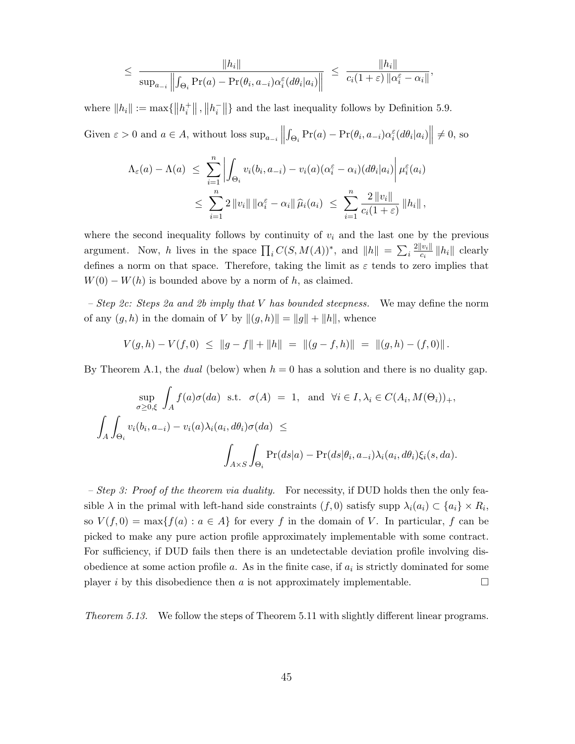$$
\leq \frac{\|h_i\|}{\sup_{a_{-i}} \left\| \int_{\Theta_i} \Pr(a) - \Pr(\theta_i, a_{-i}) \alpha_i^{\varepsilon}(d\theta_i|a_i) \right\|} \leq \frac{\|h_i\|}{c_i(1+\varepsilon) \left\| \alpha_i^{\varepsilon} - \alpha_i \right\|},
$$

where  $||h_i|| := \max\{||h_i^+||, ||h_i^-||\}$  and the last inequality follows by [Definition 5.9.](#page-28-1)

Given  $\varepsilon > 0$  and  $a \in A$ , without loss  $\sup_{a_{-i}}$  ||  $\int_{\Theta_i} \Pr(a) - \Pr(\theta_i, a_{-i}) \alpha_i^{\varepsilon} (d\theta_i | a_i) \middle\| \neq 0$ , so

$$
\Lambda_{\varepsilon}(a) - \Lambda(a) \leq \sum_{i=1}^{n} \left| \int_{\Theta_i} v_i(b_i, a_{-i}) - v_i(a)(\alpha_i^{\varepsilon} - \alpha_i)(d\theta_i|a_i) \right| \mu_i^{\varepsilon}(a_i)
$$
  

$$
\leq \sum_{i=1}^{n} 2 \left\| v_i \right\| \left\| \alpha_i^{\varepsilon} - \alpha_i \right\| \widehat{\mu}_i(a_i) \leq \sum_{i=1}^{n} \frac{2 \left\| v_i \right\|}{c_i(1+\varepsilon)} \left\| h_i \right\|,
$$

where the second inequality follows by continuity of  $v_i$  and the last one by the previous argument. Now, h lives in the space  $\prod_i C(S, M(A))^*$ , and  $||h|| = \sum_i \frac{2||v_i||}{c_i}$  $\frac{|v_i||}{c_i}$  || h<sub>i</sub>|| clearly defines a norm on that space. Therefore, taking the limit as  $\varepsilon$  tends to zero implies that  $W(0) - W(h)$  is bounded above by a norm of h, as claimed.

– Step 2c: Steps 2a and 2b imply that V has bounded steepness. We may define the norm of any  $(g, h)$  in the domain of V by  $\|(g, h)\| = \|g\| + \|h\|$ , whence

$$
V(g,h) - V(f,0) \le ||g - f|| + ||h|| = ||(g - f,h)|| = ||(g,h) - (f,0)||.
$$

By [Theorem A.1,](#page-39-2) the *dual* (below) when  $h = 0$  has a solution and there is no duality gap.

$$
\sup_{\sigma \ge 0, \xi} \int_A f(a)\sigma(da) \text{ s.t. } \sigma(A) = 1, \text{ and } \forall i \in I, \lambda_i \in C(A_i, M(\Theta_i))_+,
$$
  

$$
\int_A \int_{\Theta_i} v_i(b_i, a_{-i}) - v_i(a)\lambda_i(a_i, d\theta_i)\sigma(da) \le
$$
  

$$
\int_{A \times S} \int_{\Theta_i} \Pr(ds|a) - \Pr(ds|\theta_i, a_{-i})\lambda_i(a_i, d\theta_i)\xi_i(s, da).
$$

– Step 3: Proof of the theorem via duality. For necessity, if DUD holds then the only feasible  $\lambda$  in the primal with left-hand side constraints  $(f, 0)$  satisfy supp  $\lambda_i(a_i) \subset \{a_i\} \times R_i$ , so  $V(f, 0) = \max\{f(a) : a \in A\}$  for every f in the domain of V. In particular, f can be picked to make any pure action profile approximately implementable with some contract. For sufficiency, if DUD fails then there is an undetectable deviation profile involving disobedience at some action profile  $a$ . As in the finite case, if  $a_i$  is strictly dominated for some player i by this disobedience then a is not approximately implementable.

<span id="page-46-0"></span>[Theorem 5.13.](#page-29-1) We follow the steps of [Theorem 5.11](#page-29-0) with slightly different linear programs.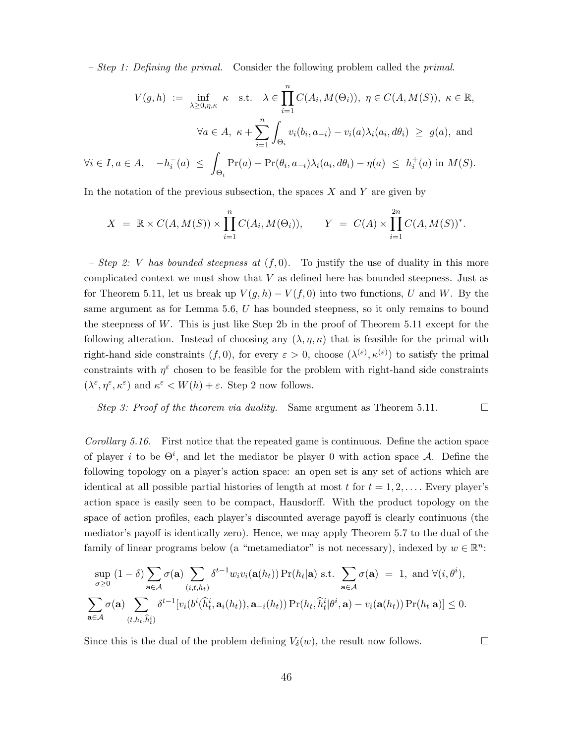– Step 1: Defining the primal. Consider the following problem called the primal.

$$
V(g, h) := \inf_{\lambda \ge 0, \eta, \kappa} \kappa \text{ s.t. } \lambda \in \prod_{i=1}^n C(A_i, M(\Theta_i)), \ \eta \in C(A, M(S)), \ \kappa \in \mathbb{R},
$$

$$
\forall a \in A, \ \kappa + \sum_{i=1}^n \int_{\Theta_i} v_i(b_i, a_{-i}) - v_i(a)\lambda_i(a_i, d\theta_i) \ge g(a), \text{ and}
$$

$$
\forall i \in I, a \in A, \quad -h_i^-(a) \le \int_{\Theta_i} \Pr(a) - \Pr(\theta_i, a_{-i})\lambda_i(a_i, d\theta_i) - \eta(a) \le h_i^+(a) \text{ in } M(S).
$$

In the notation of the previous subsection, the spaces  $X$  and  $Y$  are given by

$$
X = \mathbb{R} \times C(A, M(S)) \times \prod_{i=1}^{n} C(A_i, M(\Theta_i)), \qquad Y = C(A) \times \prod_{i=1}^{2n} C(A, M(S))^*.
$$

– Step 2: V has bounded steepness at  $(f, 0)$ . To justify the use of duality in this more complicated context we must show that  $V$  as defined here has bounded steepness. Just as for [Theorem 5.11,](#page-29-0) let us break up  $V(g, h) - V(f, 0)$  into two functions, U and W. By the same argument as for [Lemma 5.6,](#page-26-1) U has bounded steepness, so it only remains to bound the steepness of  $W$ . This is just like Step 2b in the proof of [Theorem 5.11](#page-29-0) except for the following alteration. Instead of choosing any  $(\lambda, \eta, \kappa)$  that is feasible for the primal with right-hand side constraints  $(f, 0)$ , for every  $\varepsilon > 0$ , choose  $(\lambda^{(\varepsilon)}, \kappa^{(\varepsilon)})$  to satisfy the primal constraints with  $\eta^{\varepsilon}$  chosen to be feasible for the problem with right-hand side constraints  $(\lambda^{\varepsilon}, \eta^{\varepsilon}, \kappa^{\varepsilon})$  and  $\kappa^{\varepsilon} < W(h) + \varepsilon$ . Step 2 now follows.

- Step 3: Proof of the theorem via duality. Same argument as Theorem 5.11. 
$$
\Box
$$

<span id="page-47-0"></span>[Corollary 5.16.](#page-31-0) First notice that the repeated game is continuous. Define the action space of player i to be  $\Theta^i$ , and let the mediator be player 0 with action space A. Define the following topology on a player's action space: an open set is any set of actions which are identical at all possible partial histories of length at most t for  $t = 1, 2, \ldots$ . Every player's action space is easily seen to be compact, Hausdorff. With the product topology on the space of action profiles, each player's discounted average payoff is clearly continuous (the mediator's payoff is identically zero). Hence, we may apply [Theorem 5.7](#page-26-0) to the dual of the family of linear programs below (a "metamediator" is not necessary), indexed by  $w \in \mathbb{R}^n$ :

$$
\sup_{\sigma\geq 0} (1-\delta) \sum_{\mathbf{a}\in\mathcal{A}} \sigma(\mathbf{a}) \sum_{(i,t,h_t)} \delta^{t-1} w_i v_i(\mathbf{a}(h_t)) \Pr(h_t|\mathbf{a}) \text{ s.t. } \sum_{\mathbf{a}\in\mathcal{A}} \sigma(\mathbf{a}) = 1, \text{ and } \forall (i,\theta^i),
$$
  

$$
\sum_{\mathbf{a}\in\mathcal{A}} \sigma(\mathbf{a}) \sum_{(t,h_t,\hat{h}_t^i)} \delta^{t-1} [v_i(b^i(\hat{h}_t^i,\mathbf{a}_i(h_t)),\mathbf{a}_{-i}(h_t)) \Pr(h_t,\hat{h}_t^i|\theta^i,\mathbf{a}) - v_i(\mathbf{a}(h_t)) \Pr(h_t|\mathbf{a})] \leq 0.
$$

Since this is the dual of the problem defining  $V_\delta(w)$ , the result now follows.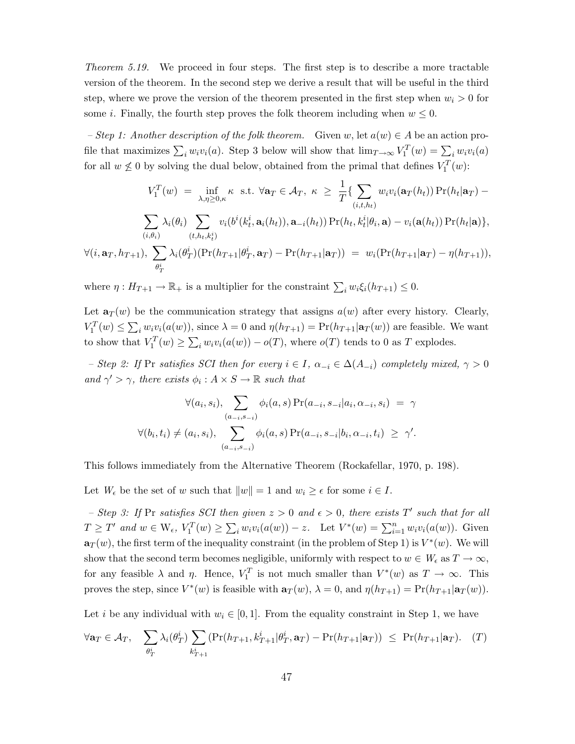[Theorem 5.19.](#page-34-2) We proceed in four steps. The first step is to describe a more tractable version of the theorem. In the second step we derive a result that will be useful in the third step, where we prove the version of the theorem presented in the first step when  $w_i > 0$  for some *i*. Finally, the fourth step proves the folk theorem including when  $w \leq 0$ .

<span id="page-48-1"></span>– Step 1: Another description of the folk theorem. Given w, let  $a(w) \in A$  be an action profile that maximizes  $\sum_i w_i v_i(a)$ . [Step 3](#page-48-0) below will show that  $\lim_{T\to\infty} V_1^T(w) = \sum_i w_i v_i(a)$ for all  $w \not\leq 0$  by solving the dual below, obtained from the primal that defines  $V_1^T(w)$ :

$$
V_1^T(w) = \inf_{\lambda,\eta \geq 0,\kappa} \kappa \text{ s.t. } \forall \mathbf{a}_T \in \mathcal{A}_T, \ \kappa \geq \frac{1}{T} \{ \sum_{(i,t,h_t)} w_i v_i(\mathbf{a}_T(h_t)) \Pr(h_t|\mathbf{a}_T) - \sum_{(i,\theta_i)} \lambda_i(\theta_i) \sum_{(t,h_t,k_t^i)} v_i(b^i(k_t^i,\mathbf{a}_i(h_t)),\mathbf{a}_{-i}(h_t)) \Pr(h_t,k_t^i|\theta_i,\mathbf{a}) - v_i(\mathbf{a}(h_t)) \Pr(h_t|\mathbf{a}) \},
$$
  

$$
\forall (i,\mathbf{a}_T,h_{T+1}), \ \sum_{\theta_T^i} \lambda_i(\theta_T^i)(\Pr(h_{T+1}|\theta_T^i,\mathbf{a}_T) - \Pr(h_{T+1}|\mathbf{a}_T)) = w_i(\Pr(h_{T+1}|\mathbf{a}_T) - \eta(h_{T+1})),
$$

where  $\eta: H_{T+1} \to \mathbb{R}_+$  is a multiplier for the constraint  $\sum_i w_i \xi_i(h_{T+1}) \leq 0$ .

Let  $\mathbf{a}_T(w)$  be the communication strategy that assigns  $a(w)$  after every history. Clearly,  $V_1^T(w) \le \sum_i w_i v_i(a(w))$ , since  $\lambda = 0$  and  $\eta(h_{T+1}) = Pr(h_{T+1}|\mathbf{a}_T(w))$  are feasible. We want to show that  $V_1^T(w) \ge \sum_i w_i v_i(a(w)) - o(T)$ , where  $o(T)$  tends to 0 as T explodes.

<span id="page-48-3"></span>– Step 2: If Pr satisfies SCI then for every  $i \in I$ ,  $\alpha_{-i} \in \Delta(A_{-i})$  completely mixed,  $\gamma > 0$ and  $\gamma' > \gamma$ , there exists  $\phi_i : A \times S \to \mathbb{R}$  such that

$$
\forall (a_i, s_i), \sum_{(a_{-i}, s_{-i})} \phi_i(a, s) \Pr(a_{-i}, s_{-i} | a_i, \alpha_{-i}, s_i) = \gamma
$$
  

$$
\forall (b_i, t_i) \neq (a_i, s_i), \sum_{(a_{-i}, s_{-i})} \phi_i(a, s) \Pr(a_{-i}, s_{-i} | b_i, \alpha_{-i}, t_i) \geq \gamma'.
$$

This follows immediately from the Alternative Theorem [\(Rockafellar,](#page-38-10) [1970,](#page-38-10) p. 198).

<span id="page-48-0"></span>Let  $W_{\epsilon}$  be the set of w such that  $||w|| = 1$  and  $w_i \geq \epsilon$  for some  $i \in I$ .

- Step 3: If Pr satisfies SCI then given  $z > 0$  and  $\epsilon > 0$ , there exists T' such that for all  $T \geq T'$  and  $w \in W_{\epsilon}$ ,  $V_1^T(w) \geq \sum_i w_i v_i(a(w)) - z$ . Let  $V^*(w) = \sum_{i=1}^n w_i v_i(a(w))$ . Given  $a_T(w)$ , the first term of the inequality constraint (in the problem of [Step 1\)](#page-48-1) is  $V^*(w)$ . We will show that the second term becomes negligible, uniformly with respect to  $w \in W_{\epsilon}$  as  $T \to \infty$ , for any feasible  $\lambda$  and  $\eta$ . Hence,  $V_1^T$  is not much smaller than  $V^*(w)$  as  $T \to \infty$ . This proves the step, since  $V^*(w)$  is feasible with  $\mathbf{a}_T(w)$ ,  $\lambda = 0$ , and  $\eta(h_{T+1}) = \Pr(h_{T+1}|\mathbf{a}_T(w))$ .

Let *i* be any individual with  $w_i \in [0, 1]$ . From the equality constraint in [Step 1,](#page-48-1) we have

<span id="page-48-2"></span>
$$
\forall \mathbf{a}_T \in \mathcal{A}_T, \quad \sum_{\theta_T^i} \lambda_i(\theta_T^i) \sum_{k_{T+1}^i} (\Pr(h_{T+1}, k_{T+1}^i | \theta_T^i, \mathbf{a}_T) - \Pr(h_{T+1} | \mathbf{a}_T)) \leq \Pr(h_{T+1} | \mathbf{a}_T). \quad (T)
$$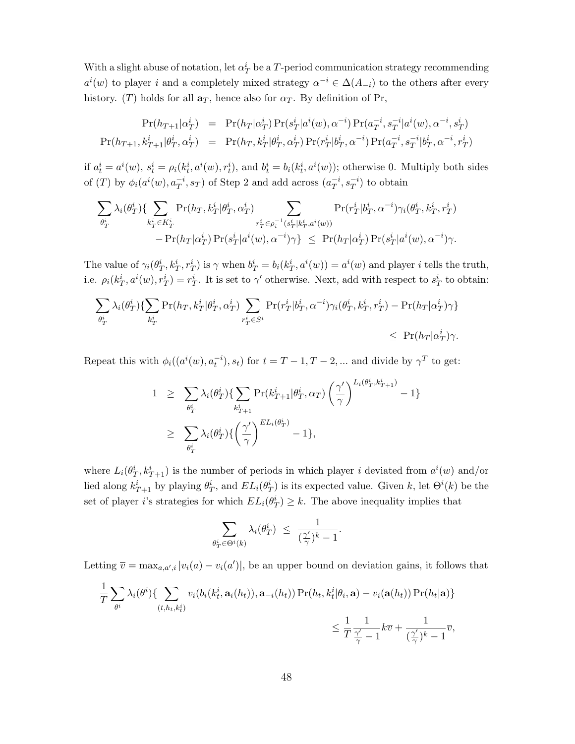With a slight abuse of notation, let  $\alpha_T^i$  be a  $T$ -period communication strategy recommending  $a^i(w)$  to player i and a completely mixed strategy  $\alpha^{-i} \in \Delta(A_{-i})$  to the others after every history. ([T](#page-48-2)) holds for all  $\mathbf{a}_T$ , hence also for  $\alpha_T$ . By definition of Pr,

$$
\Pr(h_{T+1}|\alpha_T^i) = \Pr(h_T|\alpha_T^i) \Pr(s_T^i|a^i(w), \alpha^{-i}) \Pr(a_T^{-i}, s_T^{-i}|a^i(w), \alpha^{-i}, s_T^i)
$$
  

$$
\Pr(h_{T+1}, k_{T+1}^i|\theta_T^i, \alpha_T^i) = \Pr(h_T, k_T^i|\theta_T^i, \alpha_T^i) \Pr(r_T^i|b_T^i, \alpha^{-i}) \Pr(a_T^{-i}, s_T^{-i}|b_T^i, \alpha^{-i}, r_T^i)
$$

if  $a_t^i = a^i(w)$ ,  $s_t^i = \rho_i(k_t^i, a^i(w), r_t^i)$ , and  $b_t^i = b_i(k_t^i, a^i(w))$ ; otherwise 0. Multiply both sides of (T) by  $\phi_i(a^i(w), a_T^{-i}, s_T)$  of [Step 2](#page-48-3) and add across  $(a_T^{-i})$  $\overline{T}^{i}, s_{T}^{-i})$  to obtain

$$
\sum_{\theta_T^i} \lambda_i(\theta_T^i) \{ \sum_{k_T^i \in K_T^i} \Pr(h_T, k_T^i | \theta_T^i, \alpha_T^i) \sum_{\substack{r_T^i \in \rho_i^{-1}(s_T^i | k_T^i, \alpha^i(w)) \\ -\Pr(h_T | \alpha_T^i) \Pr(s_T^i | a^i(w), \alpha^{-i}) \gamma \}} \sum_{\substack{r_T^i \in \rho_i^{-1}(s_T^i | k_T^i, \alpha^i(w)) \\ \leq \Pr(h_T | \alpha_T^i) \Pr(s_T^i | a^i(w), \alpha^{-i}) \gamma. \}}
$$

The value of  $\gamma_i(\theta_T^i, k_T^i, r_T^i)$  is  $\gamma$  when  $b_T^i = b_i(k_T^i, a^i(w)) = a^i(w)$  and player i tells the truth, i.e.  $\rho_i(k_T^i, a^i(w), r_T^i) = r_T^i$ . It is set to  $\gamma'$  otherwise. Next, add with respect to  $s_T^i$  to obtain:

$$
\sum_{\theta_T^i} \lambda_i(\theta_T^i) \{ \sum_{k_T^i} \Pr(h_T, k_T^i | \theta_T^i, \alpha_T^i) \sum_{r_T^i \in S^i} \Pr(r_T^i | b_T^i, \alpha^{-i}) \gamma_i(\theta_T^i, k_T^i, r_T^i) - \Pr(h_T | \alpha_T^i) \gamma \} \le \Pr(h_T | \alpha_T^i) \gamma.
$$

Repeat this with  $\phi_i((a^i(w), a_t^{-i}), s_t)$  for  $t = T - 1, T - 2, ...$  and divide by  $\gamma^T$  to get:

$$
1 \geq \sum_{\theta_T^i} \lambda_i(\theta_T^i) \{ \sum_{k_{T+1}^i} \Pr(k_{T+1}^i | \theta_T^i, \alpha_T) \left( \frac{\gamma'}{\gamma} \right)^{L_i(\theta_T^i, k_{T+1}^i)} - 1 \}
$$
  

$$
\geq \sum_{\theta_T^i} \lambda_i(\theta_T^i) \{ \left( \frac{\gamma'}{\gamma} \right)^{E_{L_i}(\theta_T^i)} - 1 \},
$$

where  $L_i(\theta_T^i, k_{T+1}^i)$  is the number of periods in which player i deviated from  $a^i(w)$  and/or lied along  $k_{T+1}^i$  by playing  $\theta_T^i$ , and  $EL_i(\theta_T^i)$  is its expected value. Given k, let  $\Theta^i(k)$  be the set of player *i*'s strategies for which  $EL_i(\theta_T^i) \geq k$ . The above inequality implies that

$$
\sum_{\theta_T^i \in \Theta^i(k)} \lambda_i(\theta_T^i) \ \leq \ \frac{1}{(\frac{\gamma'}{\gamma})^k-1}.
$$

Letting  $\overline{v} = \max_{a,a',i} |v_i(a) - v_i(a')|$ , be an upper bound on deviation gains, it follows that

$$
\frac{1}{T} \sum_{\theta^i} \lambda_i(\theta^i) \{ \sum_{(t, h_t, k_t^i)} v_i(b_i(k_t^i, \mathbf{a}_i(h_t)), \mathbf{a}_{-i}(h_t)) \Pr(h_t, k_t^i | \theta_i, \mathbf{a}) - v_i(\mathbf{a}(h_t)) \Pr(h_t | \mathbf{a}) \} \leq \frac{1}{T} \frac{1}{\frac{\gamma'}{\gamma} - 1} k \overline{v} + \frac{1}{(\frac{\gamma'}{\gamma})^k - 1} \overline{v},
$$